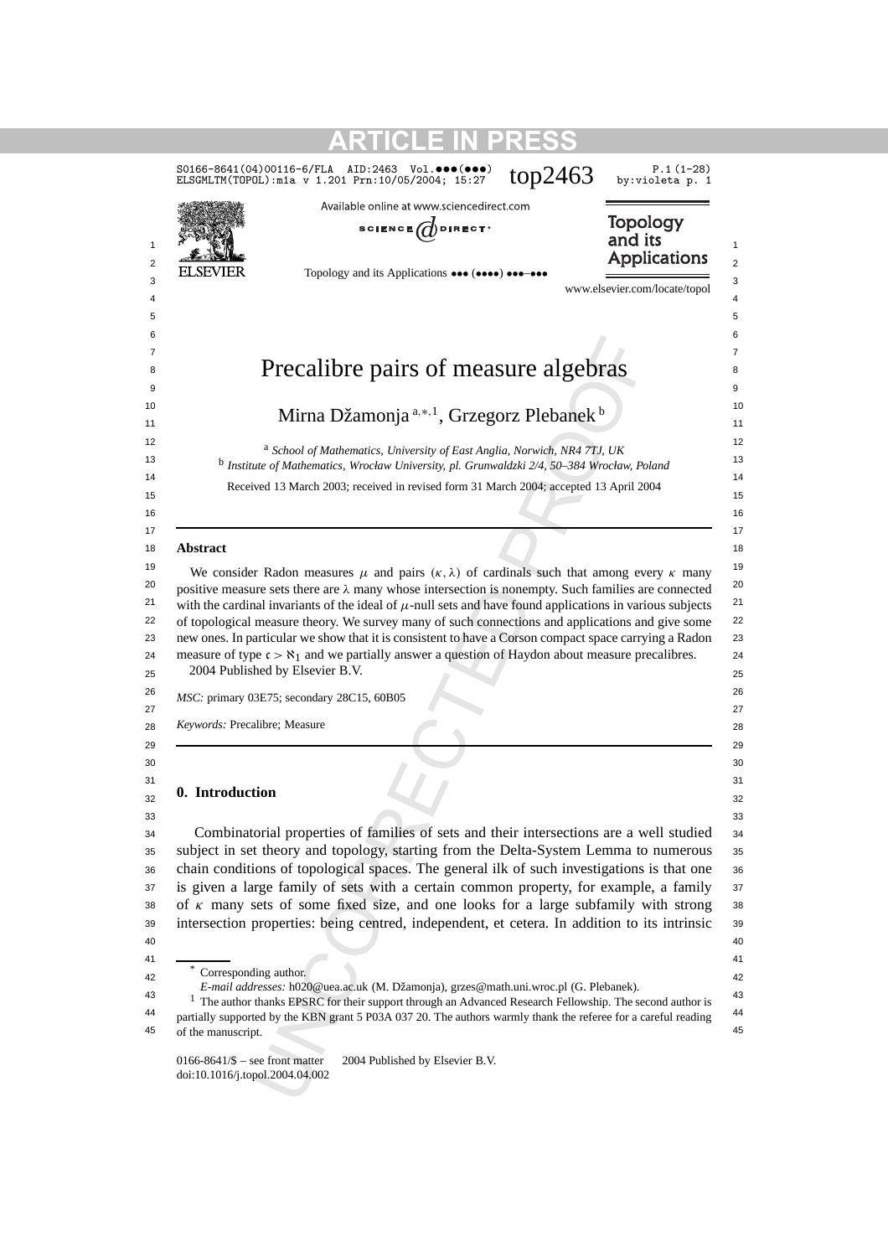|                                                                                       | S0166-8641(04)00116-6/FLA AID:2463 Vol.000(000)<br>ELSGMLTM(TOPOL): m1a v 1.201 Prn: 10/05/2004; 15:27                                                                                                                                                                                                                                                                                                                                             | top2463 | $P.1(1-28)$<br>by:violeta p. 1                    |
|---------------------------------------------------------------------------------------|----------------------------------------------------------------------------------------------------------------------------------------------------------------------------------------------------------------------------------------------------------------------------------------------------------------------------------------------------------------------------------------------------------------------------------------------------|---------|---------------------------------------------------|
| <b>ELSEVIER</b>                                                                       | Available online at www.sciencedirect.com<br>SCIENCE $\bigcirc$ DIRECT <sup>®</sup><br>Topology and its Applications $\bullet \bullet \bullet (\bullet \bullet \bullet) \bullet \bullet \bullet \bullet \bullet \bullet$                                                                                                                                                                                                                           |         | <b>Topology</b><br>and its<br><b>Applications</b> |
|                                                                                       |                                                                                                                                                                                                                                                                                                                                                                                                                                                    |         | www.elsevier.com/locate/topol                     |
|                                                                                       | Precalibre pairs of measure algebras                                                                                                                                                                                                                                                                                                                                                                                                               |         |                                                   |
|                                                                                       | Mirna Džamonja <sup>a,*,1</sup> , Grzegorz Plebanek <sup>b</sup>                                                                                                                                                                                                                                                                                                                                                                                   |         |                                                   |
|                                                                                       | <sup>a</sup> School of Mathematics, University of East Anglia, Norwich, NR4 7TJ, UK<br><sup>b</sup> Institute of Mathematics, Wrocław University, pl. Grunwaldzki 2/4, 50-384 Wrocław, Poland                                                                                                                                                                                                                                                      |         |                                                   |
|                                                                                       | Received 13 March 2003; received in revised form 31 March 2004; accepted 13 April 2004                                                                                                                                                                                                                                                                                                                                                             |         |                                                   |
| Abstract                                                                              |                                                                                                                                                                                                                                                                                                                                                                                                                                                    |         |                                                   |
|                                                                                       | We consider Radon measures $\mu$ and pairs $(\kappa, \lambda)$ of cardinals such that among every $\kappa$ many<br>positive measure sets there are $\lambda$ many whose intersection is nonempty. Such families are connected<br>with the cardinal invariants of the ideal of $\mu$ -null sets and have found applications in various subjects<br>of topological measure theory. We survey many of such connections and applications and give some |         |                                                   |
|                                                                                       | new ones. In particular we show that it is consistent to have a Corson compact space carrying a Radon<br>measure of type $c > \aleph_1$ and we partially answer a question of Haydon about measure precalibres.                                                                                                                                                                                                                                    |         |                                                   |
|                                                                                       | MSC: primary 03E75; secondary 28C15, 60B05                                                                                                                                                                                                                                                                                                                                                                                                         |         |                                                   |
|                                                                                       |                                                                                                                                                                                                                                                                                                                                                                                                                                                    |         |                                                   |
|                                                                                       |                                                                                                                                                                                                                                                                                                                                                                                                                                                    |         |                                                   |
|                                                                                       | Combinatorial properties of families of sets and their intersections are a well studied<br>subject in set theory and topology, starting from the Delta-System Lemma to numerous<br>chain conditions of topological spaces. The general ilk of such investigations is that one<br>is given a large family of sets with a certain common property, for example, a family                                                                             |         |                                                   |
| © 2004 Published by Elsevier B.V.<br>Keywords: Precalibre; Measure<br>0. Introduction | of $\kappa$ many sets of some fixed size, and one looks for a large subfamily with strong<br>intersection properties: being centred, independent, et cetera. In addition to its intrinsic                                                                                                                                                                                                                                                          |         |                                                   |
| Corresponding author.<br>of the manuscript.                                           | E-mail addresses: h020@uea.ac.uk (M. Džamonja), grzes@math.uni.wroc.pl (G. Plebanek).<br>$1$ The author thanks EPSRC for their support through an Advanced Research Fellowship. The second author is<br>partially supported by the KBN grant 5 P03A 037 20. The authors warmly thank the referee for a careful reading                                                                                                                             |         |                                                   |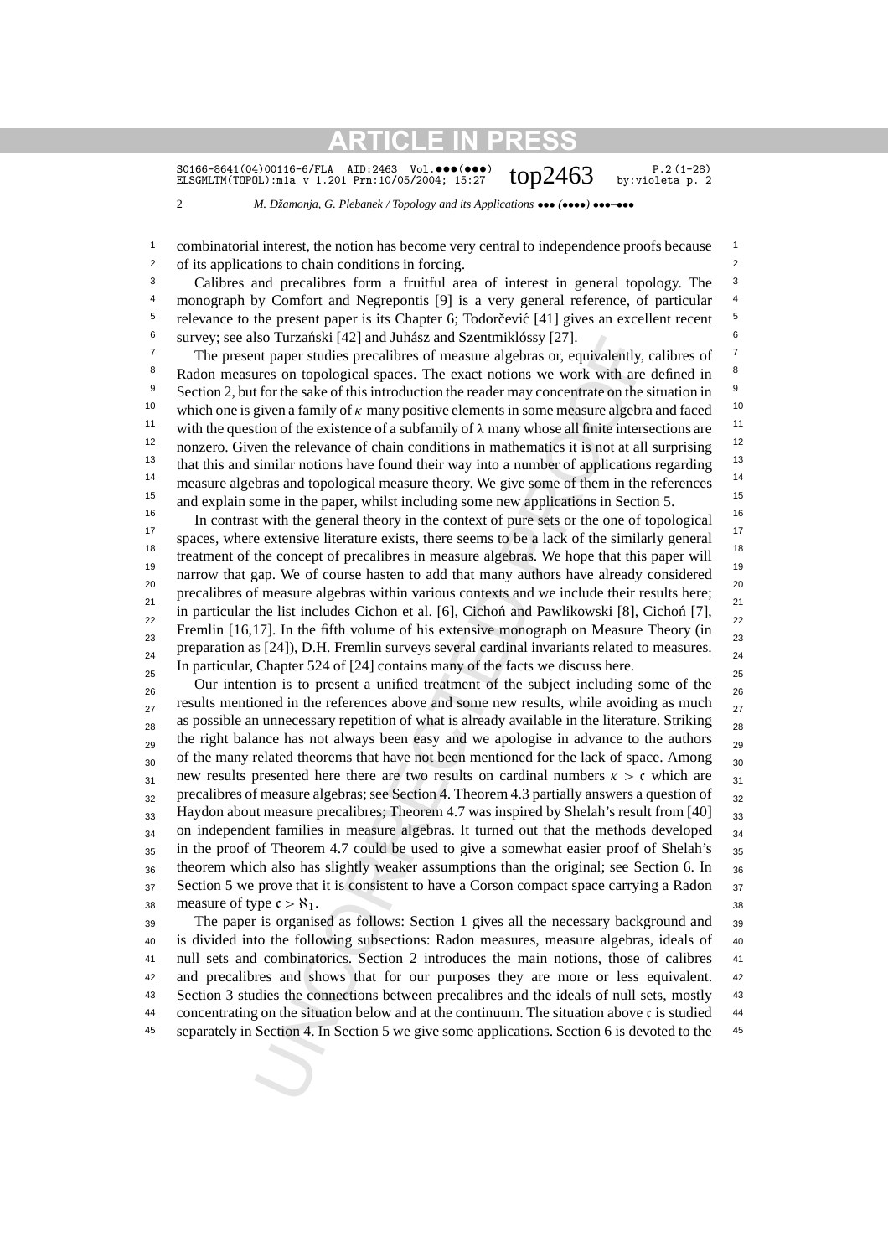SO166-8641(04)00116-6/FLA AID:2463 Vol. ••• (•••)  $top2463$  P.2(1-28) ELSGMLTM(TOPOL):mia v 1.201 Prn:10/05/2004; 15:27  $top2463$  by:violeta p. 2 ELSGMLTM(TOPOL):m1a v 1.201 Prn:10/05/2004; 15:27

2 *M. Džamonja, G. Plebanek / Topology and its Applications* ••• *(*••••*)* •••*–*•••

<sup>1</sup> combinatorial interest, the notion has become very central to independence proofs because <sup>1</sup> 2 of its applications to chain conditions in forcing. 2

<sup>3</sup> Calibres and precalibres form a fruitful area of interest in general topology. The <sup>3</sup> <sup>4</sup> monograph by Comfort and Negrepontis [9] is a very general reference, of particular <sup>4</sup> <sup>5</sup> relevance to the present paper is its Chapter 6; Todorcevic [41] gives an excellent recent  $5$ <sup>6</sup> survey; see also Turzański [42] and Juhász and Szentmiklóssy [27]. <sup>6</sup>

<sup>7</sup> The present paper studies precalibres of measure algebras or, equivalently, calibres of <sup>7</sup> <sup>8</sup> Radon measures on topological spaces. The exact notions we work with are defined in  $8$ <sup>9</sup> Section 2, but for the sake of this introduction the reader may concentrate on the situation in  $9$ <sup>10</sup> which one is given a family of  $\kappa$  many positive elements in some measure algebra and faced <sup>10</sup> <sup>11</sup> with the question of the existence of a subfamily of  $\lambda$  many whose all finite intersections are <sup>11</sup> <sup>12</sup> nonzero. Given the relevance of chain conditions in mathematics it is not at all surprising  $12$ <sup>13</sup> that this and similar notions have found their way into a number of applications regarding  $13$ <sup>14</sup> measure algebras and topological measure theory. We give some of them in the references<sup>14</sup> <sup>15</sup> and explain some in the paper, whilst including some new applications in Section 5.<sup>15</sup>

<sup>16</sup> In contrast with the general theory in the context of pure sets or the one of topological<sup>16</sup> <sup>17</sup> spaces, where extensive literature exists, there seems to be a lack of the similarly general <sup>17</sup> <sup>18</sup> treatment of the concept of precalibres in measure algebras. We hope that this paper will <sup>19</sup> narrow that gap. We of course hasten to add that many authors have already considered  $\frac{20}{\epsilon}$  precalibres of measure algebras within various contexts and we include their results here; <sup>21</sup> in particular the list includes Cichon et al. [6], Cichon and Pawlikowski [8], Cichon [7], <sup>21</sup>  $\frac{22}{22}$  Fremlin [16,17]. In the fifth volume of his extensive monograph on Measure Theory (in  $\frac{22}{22}$  $23$  23 preparation as [24]), D.H. Fremlin surveys several cardinal invariants related to measures.  $\frac{1}{24}$ 25 In particular, Chapter 524 of [24] contains many of the facts we discuss here.

Iso Iurzanski [42] and dunawz and Szentinkiosyy [2/].<br>In paper studies proclubes of measure algebras or, equivalently, ress on tropological spaces. The exact notions we work with are for the aske of this introduction the 26 26 26 26 27 Our intention is to present a unified treatment of the subject including some of the 26  $_{27}$  results mentioned in the references above and some new results, while avoiding as much  $_{27}$ <sub>28</sub> as possible an unnecessary repetition of what is already available in the literature. Striking <sub>28</sub> <sub>29</sub> the right balance has not always been easy and we apologise in advance to the authors <sub>29</sub> <sub>30</sub> of the many related theorems that have not been mentioned for the lack of space. Among <sub>30</sub>  $_{31}$  new results presented here there are two results on cardinal numbers  $\kappa > c$  which are  $_{31}$  $_{32}$  precalibres of measure algebras; see Section 4. Theorem 4.3 partially answers a question of  $_{32}$  $_{33}$  Haydon about measure precalibres; Theorem 4.7 was inspired by Shelah's result from [40]  $_{33}$ <sub>34</sub> on independent families in measure algebras. It turned out that the methods developed <sub>34</sub>  $_{35}$  in the proof of Theorem 4.7 could be used to give a somewhat easier proof of Shelah's  $_{35}$  $36$  theorem which also has slightly weaker assumptions than the original; see Section 6. In  $36$ 37 Section 5 we prove that it is consistent to have a Corson compact space carrying a Radon 37  $\alpha$  38 measure of type  $c > \aleph_1$ .

 39 The paper is organised as follows: Section 1 gives all the necessary background and 40 is divided into the following subsections: Radon measures, measure algebras, ideals of 41 null sets and combinatorics. Section 2 introduces the main notions, those of calibres 42 and precalibres and shows that for our purposes they are more or less equivalent. 42 43 Section 3 studies the connections between precalibres and the ideals of null sets, mostly 44 concentrating on the situation below and at the continuum. The situation above c is studied 45 separately in Section 4. In Section 5 we give some applications. Section 6 is devoted to the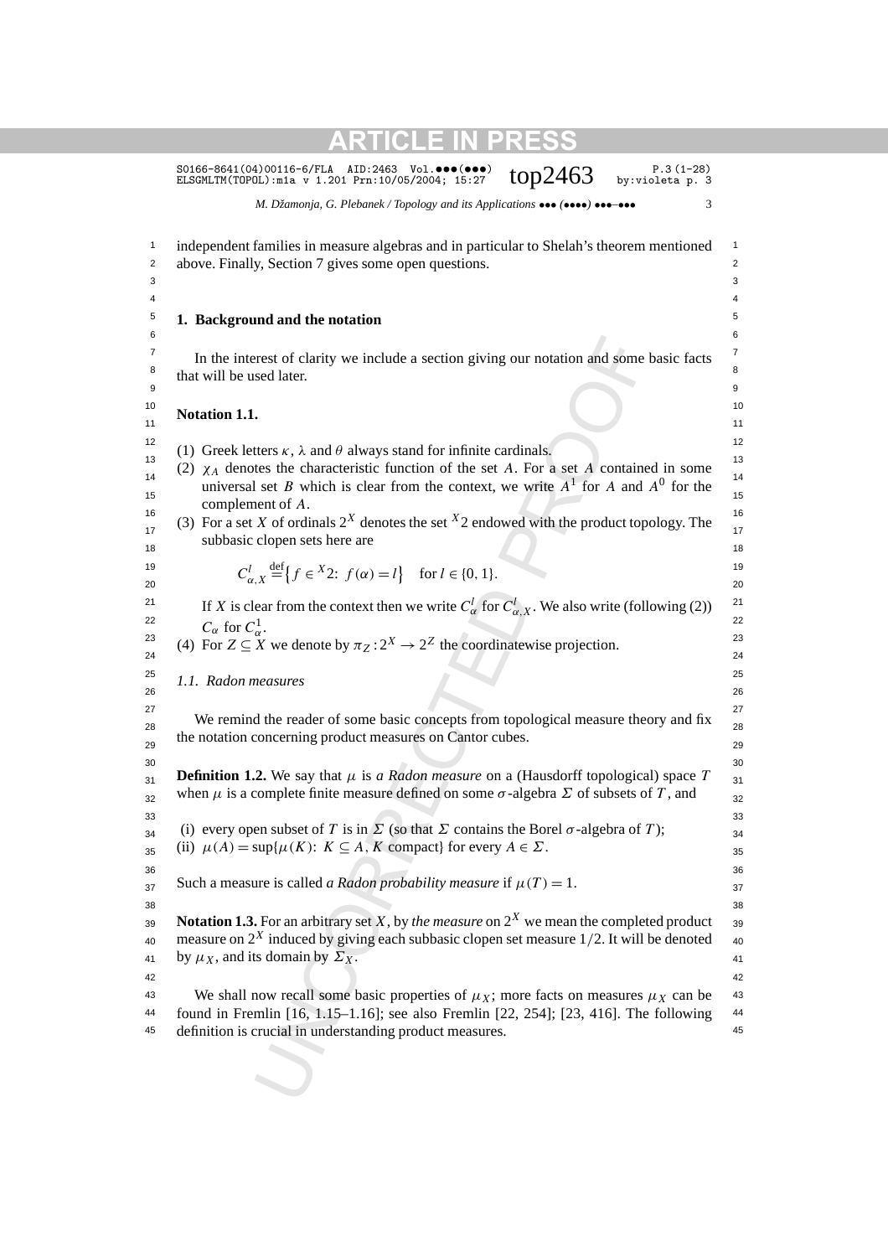S0166-8641(04)00116-6/FLA AID:2463 Vol. $\bullet\bullet\bullet\bullet\bullet\bullet$ )  $\bullet\bullet\bullet$  P.3(1-28)<br>ELSGMLTM(TOPOL):m1a v 1.201 Prn:10/05/2004; 15:27  $\bullet$  top2463 by:violeta p. 3

*M. Džamonja, G. Plebanek / Topology and its Applications* ••• *(*••••*)* •••*–*••• 3

| independent families in measure algebras and in particular to Shelah's theorem mentioned<br>above. Finally, Section 7 gives some open questions.                                                            |
|-------------------------------------------------------------------------------------------------------------------------------------------------------------------------------------------------------------|
|                                                                                                                                                                                                             |
|                                                                                                                                                                                                             |
| 1. Background and the notation                                                                                                                                                                              |
|                                                                                                                                                                                                             |
| In the interest of clarity we include a section giving our notation and some basic facts                                                                                                                    |
| that will be used later.                                                                                                                                                                                    |
|                                                                                                                                                                                                             |
| Notation 1.1.                                                                                                                                                                                               |
| (1) Greek letters $\kappa$ , $\lambda$ and $\theta$ always stand for infinite cardinals.                                                                                                                    |
| (2) $\chi_A$ denotes the characteristic function of the set A. For a set A contained in some                                                                                                                |
| universal set B which is clear from the context, we write $A^1$ for A and $A^0$ for the                                                                                                                     |
| complement of A.                                                                                                                                                                                            |
| (3) For a set X of ordinals $2^X$ denotes the set $X$ 2 endowed with the product topology. The                                                                                                              |
| subbasic clopen sets here are                                                                                                                                                                               |
| $C_{\alpha X}^l \stackrel{\text{def}}{=} \{f \in X2: f(\alpha) = l\}$ for $l \in \{0, 1\}.$                                                                                                                 |
|                                                                                                                                                                                                             |
| If X is clear from the context then we write $C^l_{\alpha}$ for $C^l_{\alpha,X}$ . We also write (following (2))                                                                                            |
| $C_{\alpha}$ for $C_{\alpha}^1$ .                                                                                                                                                                           |
| (4) For $Z \subseteq X$ we denote by $\pi_Z : 2^X \to 2^Z$ the coordinatewise projection.                                                                                                                   |
|                                                                                                                                                                                                             |
| 1.1. Radon measures                                                                                                                                                                                         |
|                                                                                                                                                                                                             |
| We remind the reader of some basic concepts from topological measure theory and fix                                                                                                                         |
| the notation concerning product measures on Cantor cubes.                                                                                                                                                   |
|                                                                                                                                                                                                             |
| <b>Definition 1.2.</b> We say that $\mu$ is a Radon measure on a (Hausdorff topological) space T<br>when $\mu$ is a complete finite measure defined on some $\sigma$ -algebra $\Sigma$ of subsets of T, and |
|                                                                                                                                                                                                             |
| (i) every open subset of T is in $\Sigma$ (so that $\Sigma$ contains the Borel $\sigma$ -algebra of T);                                                                                                     |
| (ii) $\mu(A) = \sup \{ \mu(K): K \subseteq A, K \text{ compact} \}$ for every $A \in \Sigma$ .                                                                                                              |
|                                                                                                                                                                                                             |
| Such a measure is called <i>a Radon probability measure</i> if $\mu(T) = 1$ .                                                                                                                               |
|                                                                                                                                                                                                             |
| <b>Notation 1.3.</b> For an arbitrary set X, by the measure on $2^X$ we mean the completed product                                                                                                          |
| measure on $2^X$ induced by giving each subbasic clopen set measure 1/2. It will be denoted                                                                                                                 |
| by $\mu_X$ , and its domain by $\Sigma_X$ .                                                                                                                                                                 |
|                                                                                                                                                                                                             |
| We shall now recall some basic properties of $\mu_X$ ; more facts on measures $\mu_X$ can be                                                                                                                |
| found in Fremlin [16, 1.15-1.16]; see also Fremlin [22, 254]; [23, 416]. The following                                                                                                                      |
| definition is crucial in understanding product measures.                                                                                                                                                    |
|                                                                                                                                                                                                             |
|                                                                                                                                                                                                             |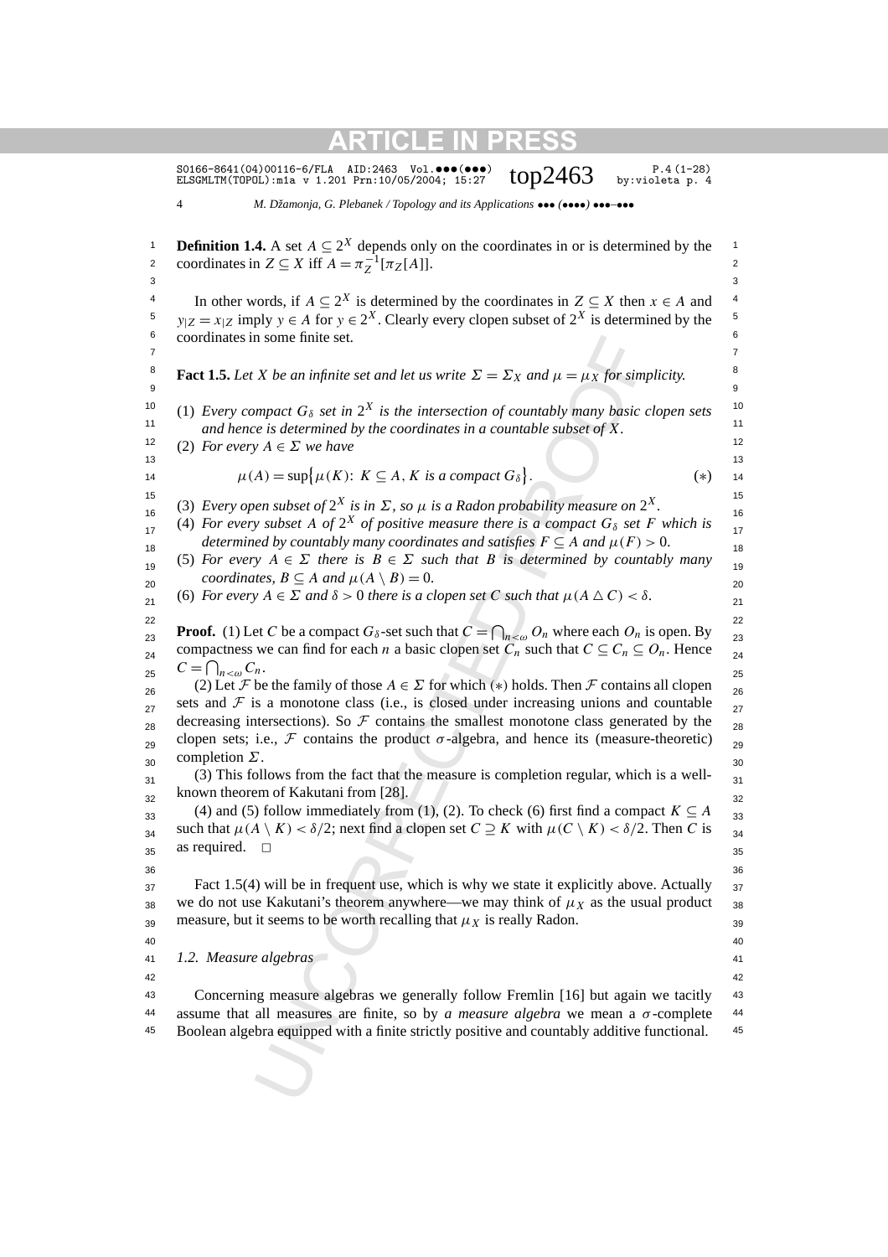S0166-8641(04)00116-6/FLA AID:2463 Vol.•••(•••) P.4 (1-28) ELSGMLTM(TOPOL):m1a v 1.201 Prn:10/05/2004; 15:27 top2463 by:violeta p. 4

4 *M. Džamonja, G. Plebanek / Topology and its Applications* ••• *(*••••*)* •••*–*•••

In some finite set.<br>
X be an infinite set and let us write  $\Sigma = \Sigma_X$  and  $\mu = \mu_X$  for simpact  $G_8$  set in  $2^X$  is the intersection of countably many basic is  $A \in \Sigma$  we have is determined by the coordinates in a countabl **1 Definition 1.4.** A set  $A \subseteq 2^X$  depends only on the coordinates in or is determined by the 2 coordinates in  $Z \subseteq X$  iff  $A = \pi_Z^{-1}[\pi_Z[A]]$ .  $3<sup>3</sup>$ 4 In other words, if  $A \subseteq 2^X$  is determined by the coordinates in  $Z \subseteq X$  then  $x \in A$  and <sup>4</sup> <sup>5</sup> *y*<sub>| $Z = x$ | $Z$  imply  $y \in A$  for  $y \in 2^X$ . Clearly every clopen subset of  $2^X$  is determined by the <sup>5</sup></sub> 6 6 coordinates in some finite set. 7 7 **Fact 1.5.** Let *X* be an infinite set and let us write  $\Sigma = \Sigma_X$  and  $\mu = \mu_X$  for simplicity. 9 9 <sup>10</sup> (1) *Every compact*  $G_{\delta}$  *set in*  $2^{X}$  *is the intersection of countably many basic clopen sets*<sup>10</sup> 11 11 *and hence is determined by the coordinates in a countable subset of X.* 12 (2) *For every*  $A \in \Sigma$  *we have* 12 13 13 14  $\mu(A) = \sup \{ \mu(K): K \subseteq A, K \text{ is a compact } G_{\delta} \}.$  (\*) 14 15 (3) *Every open subset of*  $2^X$  *is in*  $\Sigma$ *, so*  $\mu$  *is a Radon probability measure on*  $2^X$ .  $16$  (b) Every open subset of 2 as  $m \geq 0$  for  $\omega$  is a radion probability measure on 2. (4) For every subset A of  $2^X$  of positive measure there is a compact  $G_\delta$  set F which is  $\frac{17}{17}$ *determined by countably many coordinates and satisfies*  $F \subseteq A$  *and*  $\mu(F) > 0$ . (5) *For every*  $A \in \Sigma$  *there is*  $B \in \Sigma$  *such that B is determined by countably many coordinates,*  $B \subseteq A$  *and*  $\mu(A \setminus B) = 0$ . (6) *For every*  $A \in \Sigma$  *and*  $\delta > 0$  *there is a clopen set C such that*  $\mu(A \triangle C) < \delta$ . 22 22 **Proof.** (1) Let *C* be a compact  $G_\delta$ -set such that  $C = \bigcap_{n < \omega} O_n$  where each  $O_n$  is open. By compactness we can find for each *n* a basic clopen set  $C_n$  such that  $C \subseteq C_n \subseteq O_n$ . Hence 25  $2^5$   $-1 \ln 30$   $n^3$ 26 (2) Let F be the family of those  $A \in \Sigma$  for which (\*) holds. Then F contains all clopen <sub>26</sub> sets and  $F$  is a monotone class (i.e., is closed under increasing unions and countable  $_{27}$ decreasing intersections). So  $\mathcal F$  contains the smallest monotone class generated by the  $_{28}$ clopen sets; i.e., F contains the product  $\sigma$ -algebra, and hence its (measure-theoretic) <sub>29</sub>  $30$  completion  $2.3$  $31$  (3) This follows from the fact that the measure is completion regular, which is a well- $\frac{32}{2}$  known theorem of Kakutani from [28]. (4) and (5) follow immediately from (1), (2). To check (6) first find a compact  $K \subseteq A$  <sup>33</sup>  $34$  such that *µ*(*A* \ *K*) < δ/2; next find a clopen set *C* ≥ *K* with *µ*(*C* \ *K*) < δ/2. Then *C* is  $34$  $35$  as required.  $\Box$  35 36 36  $37$  Fact 1.5(4) will be in frequent use, which is why we state it explicitly above. Actually  $37$  $38$  we do not use Kakutani's theorem anywhere—we may think of  $\mu_X$  as the usual product  $38$ 39 measure, but it seems to be worth recalling that  $\mu_X$  is really Radon. 40 40 41 41 *1.2. Measure algebras* 42 42 43 43 Concerning measure algebras we generally follow Fremlin [16] but again we tacitly 44 assume that all measures are finite, so by *a measure algebra* we mean a  $\sigma$ -complete 44 45 45 Boolean algebra equipped with a finite strictly positive and countably additive functional.*.* (∗)  $C = \bigcap_{n < \omega} C_n$ . completion *Σ*. as required.  $\square$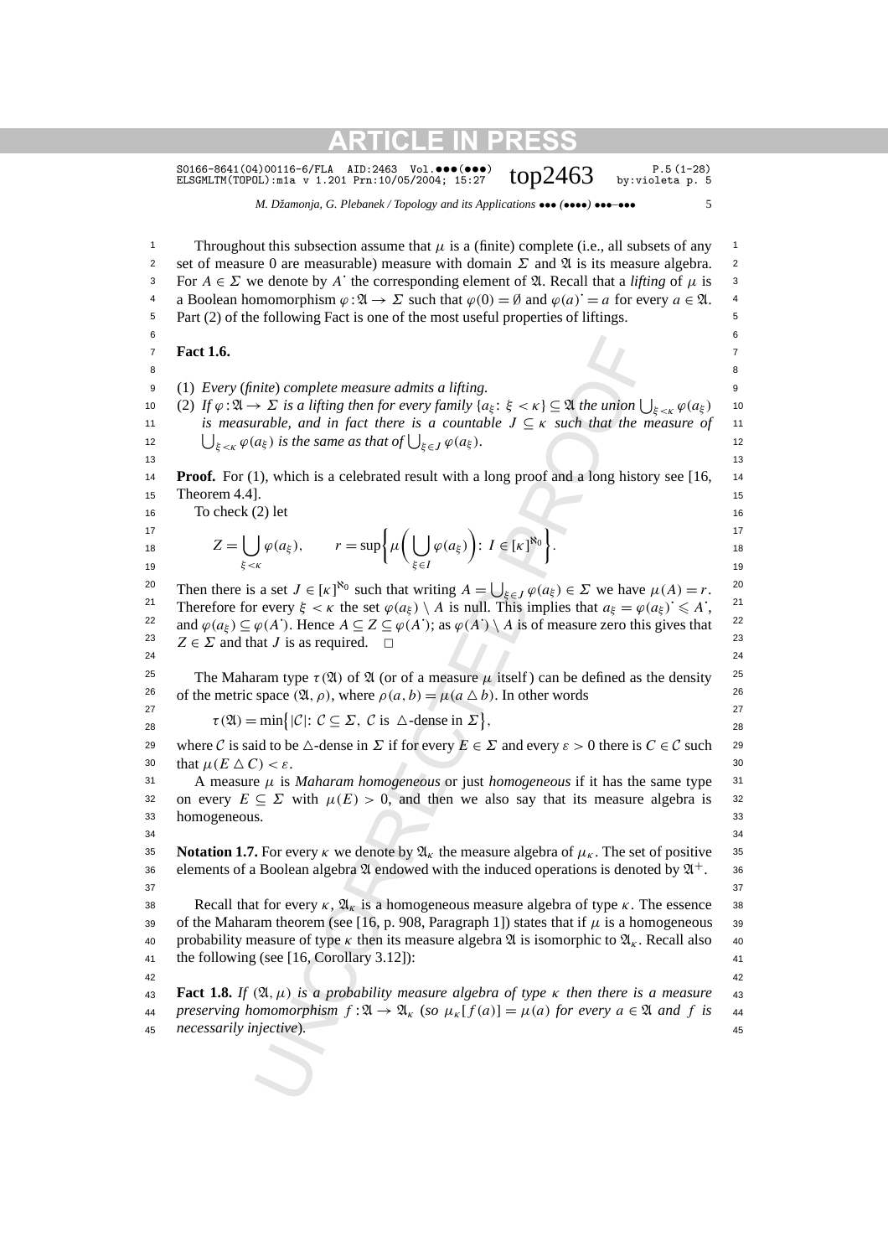S0166-8641(04)00116-6/FLA AID:2463 Vol. ••• (•••)  $top2463$  P.5 (1-28)<br>ELSGMLTM(TOPOL):mia v 1.201 Prn:10/05/2004; 15:27  $top2463$  by:violeta p. 5 ELSGMLTM(TOPOL):m1a v 1.201 Prn:10/05/2004; 15:27

*M. Džamonja, G. Plebanek / Topology and its Applications* ••• *(*••••*)* •••*–*••• 5

nite) complete measure admits a lifting.<br>  $\Sigma \Sigma$  is a lifting then for every family  $\{a_i : \xi < \kappa\} \subseteq \mathfrak{A}$  the union  $\lfloor \log \frac{1}{\kappa} \rfloor$  is the same as that of  $\lfloor \log \frac{1}{\kappa} \rfloor$   $\ell(\alpha_{\xi})$ .<br>  $\lfloor \log \frac{1}{\kappa} \rfloor$  for th 1 1 Throughout this subsection assume that *µ* is a (finite) complete (i.e., all subsets of any 2 set of measure 0 are measurable) measure with domain *Σ* and *A* is its measure algebra. 2 <sup>3</sup> For *A* ∈ *Σ* we denote by *A*<sup> $\cdot$ </sup> the corresponding element of  $\mathfrak{A}$ . Recall that a *lifting* of *μ* is <sup>3</sup> 4 a Boolean homomorphism  $\varphi : \mathfrak{A} \to \Sigma$  such that  $\varphi(0) = \emptyset$  and  $\varphi(a)^{\dagger} = a$  for every  $a \in \mathfrak{A}$ . 5 5 Part (2) of the following Fact is one of the most useful properties of liftings.  $6$  $7 \quad \text{Fact 1.6.}$ 8 8 9 9 (1) *Every* (*finite*) *complete measure admits a lifting.* 10 (2) If  $\varphi : \mathfrak{A} \to \Sigma$  is a lifting then for every family  $\{a_{\xi} : \xi < \kappa\} \subseteq \mathfrak{A}$  the union  $\bigcup_{\xi < \kappa} \varphi(a_{\xi})$  10 11 11 *is measurable, and in fact there is a countable J* ⊆ *κ such that the measure of* 12  $\bigcup_{\xi \leq \kappa} \varphi(a_{\xi})$  *is the same as that of*  $\bigcup_{\xi \in J} \varphi(a_{\xi})$ *.* 12 13 13 **Proof.** For (1), which is a celebrated result with a long proof and a long history see [16, 14] 15 Theorem 4.4]. (15) 15 16 16 To check (2) let 17 and  $\left( \begin{array}{cc} 1 & 1 \end{array} \right)$  and  $\left( \begin{array}{cc} 1 & 1 \end{array} \right)$  and  $\left( \begin{array}{cc} 1 & 1 \end{array} \right)$  and  $\left( \begin{array}{cc} 1 & 1 \end{array} \right)$ 18  $\mathcal{L} = \int \int \varphi(a\xi), \qquad r = \sup{\{\mu \mid \int \varphi(a\xi)\} : I \in [K]}^{\circ}$ . 19  $\xi < \kappa$  19 20 Then there is a set  $J \in [\kappa]^{80}$  such that writing  $A = \bigcup_{\xi \in J} \varphi(a_{\xi}) \in \Sigma$  we have  $\mu(A) = r$ . 21 Therefore for every  $\xi < \kappa$  the set  $\varphi(a_{\xi}) \setminus A$  is null. This implies that  $a_{\xi} = \varphi(a_{\xi}) \leq A$ ; <sup>21</sup> 22 and  $\varphi(a_{\xi}) \subseteq \varphi(A')$ . Hence  $A \subseteq Z \subseteq \varphi(A')$ ; as  $\varphi(A') \setminus A$  is of measure zero this gives that <sup>22</sup> 23  $Z \in \Sigma$  and that *J* is as required.  $□$  23 24 24 <sup>25</sup> The Maharam type  $\tau(\mathfrak{A})$  of  $\mathfrak{A}$  (or of a measure  $\mu$  itself) can be defined as the density <sup>25</sup> <sup>26</sup> of the metric space  $(\mathfrak{A}, \rho)$ , where  $\rho(a, b) = \mu(a \Delta b)$ . In other words 27 27  $\tau(\mathfrak{A}) = \min\{|C|: C \subseteq \Sigma, C \text{ is } \triangle\text{-dense in } \Sigma\},\$  28 29 where C is said to be  $\triangle$ -dense in  $\Sigma$  if for every  $E \in \Sigma$  and every  $\varepsilon > 0$  there is  $C \in \mathcal{C}$  such 29 30 that  $\mu(E \triangle C) < \varepsilon$ . 31 A measure  $\mu$  is *Maharam homogeneous* or just *homogeneous* if it has the same type  $31$ 32 on every  $E \subseteq \Sigma$  with  $\mu(E) > 0$ , and then we also say that its measure algebra is 32 33 33 homogeneous.  $34$   $34$ 35 **Notation 1.7.** For every *κ* we denote by  $\mathfrak{A}_k$  the measure algebra of  $\mu_k$ . The set of positive 35 36 elements of a Boolean algebra  $\mathfrak A$  endowed with the induced operations is denoted by  $\mathfrak A^+$ . 36  $37$   $37$ **38 Recall that for every** *κ***,**  $\mathfrak{A}_{k}$  **is a homogeneous measure algebra of type** *κ***. The essence 38** 39 of the Maharam theorem (see [16, p. 908, Paragraph 1]) states that if  $\mu$  is a homogeneous 39 40 40 probability measure of type *κ* then its measure algebra A is isomorphic to A*<sup>κ</sup>* . Recall also 41 41 the following (see [16, Corollary 3.12]): 42 42 43 43 **Fact 1.8.** *If (*A*, µ) is a probability measure algebra of type κ then there is a measure*  $\mathfrak{A}_4$  preserving homomorphism  $f : \mathfrak{A} \to \mathfrak{A}_k$  (so  $\mu_k[f(a)] = \mu(a)$  for every  $a \in \mathfrak{A}$  and  $f$  is  $\mu(A)$ 45 45 *necessarily injective*)*.***Fact 1.6.**  $Z = \begin{bmatrix} \end{bmatrix}$ *ξ<κ*  $\varphi(a_{\xi}), \qquad r = \sup \{ \mu \mid \xi \}$ *ξ*∈*I*  $\varphi(a_{\xi})$  $\overline{ }$ :  $I \in [\kappa]^{\aleph_0}$ *.*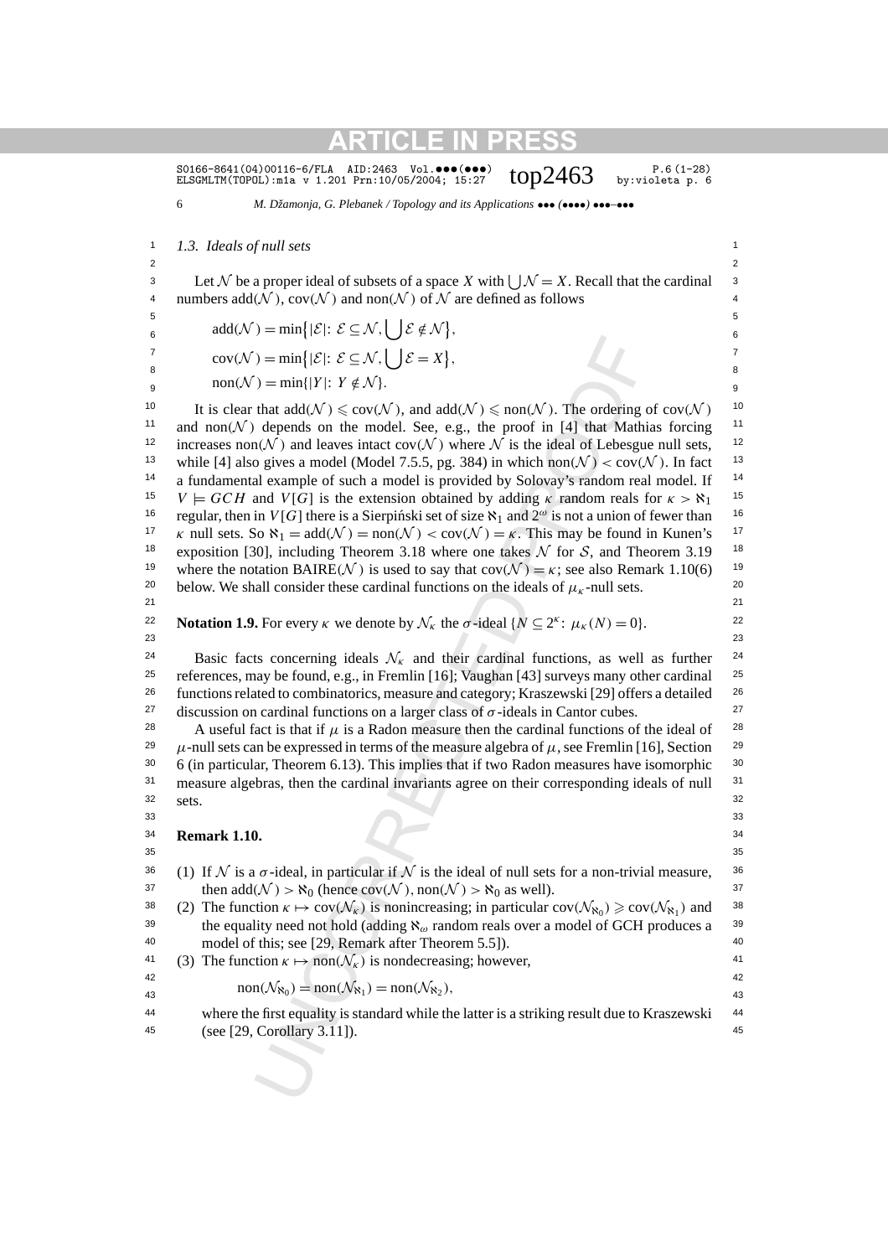SO166-8641(04)00116-6/FLA AID:2463 Vol. ••• (•••)  $top2463$  P.6(1-28)<br>ELSGMLTM(TOPOL):mia v 1.201 Prn:10/05/2004; 15:27  $top2463$  by:violeta p. 6 ELSGMLTM(TOPOL):m1a v 1.201 Prn:10/05/2004; 15:27

6 *M. Džamonja, G. Plebanek / Topology and its Applications* ••• *(*••••*)* •••*–*•••

1 1 *1.3. Ideals of null sets*

2  $\sim$  2 3 Let N be a proper ideal of subsets of a space X with  $\bigcup \mathcal{N} = X$ . Recall that the cardinal <sup>3</sup> 4 numbers  $add(N)$ ,  $cov(N)$  and  $non(N)$  of N are defined as follows 4 5 behavior of the contract of the contract of the contract of the contract of the contract of the contract of the contract of the contract of the contract of the contract of the contract of the contract of the contract of

 $\epsilon_6$  add(N) = min{|E|:  $\mathcal{E} \subseteq \mathcal{N}$ ,  $\bigcup \mathcal{E} \notin \mathcal{N}$ },

 $7 \quad \text{and} \quad \text{or} \quad \text{or} \quad \text{or} \quad \text{or} \quad \text{or} \quad \text{or} \quad \text{or} \quad \text{or} \quad \text{or} \quad \text{or} \quad \text{or} \quad \text{or} \quad \text{or} \quad \text{or} \quad \text{or} \quad \text{or} \quad \text{or} \quad \text{or} \quad \text{or} \quad \text{or} \quad \text{or} \quad \text{or} \quad \text{or} \quad \text{or} \quad \text{or} \quad \text{or} \quad \text{or} \quad \text{or} \quad \text{or} \quad \text{or} \quad$  $\mathcal{E} = \text{cov}(\mathcal{N}) = \min\{|\mathcal{E}|: \mathcal{E} \subseteq \mathcal{N}, \bigcup \mathcal{E} = X\},$ 

 $\text{non}(\mathcal{N}) = \min\{|Y|: Y \notin \mathcal{N}\}.$ 

) = min $\{|\mathcal{E}|: \mathcal{E} \subseteq \mathcal{N}, \bigcup \mathcal{E} = X\},$ <br>
(bend) = min $\{|\mathcal{E}|: \mathcal{E} \subseteq \mathcal{N}, \bigcup \mathcal{E} = X\},$ <br>
that add( $\mathcal{N} \leq \text{cov}(\mathcal{N})$ , and add( $\mathcal{N} \leq \text{non}(\mathcal{N})$ . The ordering depends on the model. See, e.g., the proof 10 It is clear that  $add(\mathcal{N}) \leq cov(\mathcal{N})$ , and  $add(\mathcal{N}) \leq non(\mathcal{N})$ . The ordering of  $cov(\mathcal{N})$  <sup>10</sup> <sup>11</sup> and non $(N)$  depends on the model. See, e.g., the proof in [4] that Mathias forcing <sup>11</sup> <sup>12</sup> increases non $(N)$  and leaves intact cov $(N)$  where  $N$  is the ideal of Lebesgue null sets, <sup>13</sup> while [4] also gives a model (Model 7.5.5, pg. 384) in which non $(N) < cov(N)$ . In fact <sup>13</sup> <sup>14</sup> a fundamental example of such a model is provided by Solovay's random real model. If <sup>14</sup> <sup>15</sup>  $V \models GCH$  and  $V[G]$  is the extension obtained by adding *κ* random reals for  $\kappa > \aleph_1$ <sup>15</sup> <sup>16</sup> regular, then in *V*[*G*] there is a Sierpinski set of size  $\aleph_1$  and  $2^\omega$  is not a union of fewer than <sup>16</sup> <sup>17</sup> *κ* null sets. So  $\aleph_1 = \text{add}(\mathcal{N}) = \text{non}(\mathcal{N}) < \text{cov}(\mathcal{N}) = \kappa$ . This may be found in Kunen's <sup>17</sup> <sup>18</sup> exposition [30], including Theorem 3.18 where one takes  $N$  for  $S$ , and Theorem 3.19 <sup>18</sup> <sup>19</sup> where the notation BAIRE( $\mathcal{N}$ ) is used to say that  $cov(\mathcal{N}) = \kappa$ ; see also Remark 1.10(6)<sup>19</sup> <sup>20</sup> below. We shall consider these cardinal functions on the ideals of  $\mu_k$ -null sets. 21 21

**Notation 1.9.** For every *κ* we denote by  $\mathcal{N}_k$  the  $\sigma$ -ideal  $\{N \subseteq 2^k : \mu_k(N) = 0\}$ .

23 23

Basic facts concerning ideals  $\mathcal{N}_k$  and their cardinal functions, as well as further <sup>25</sup> references, may be found, e.g., in Fremlin [16]; Vaughan [43] surveys many other cardinal <sup>25</sup> <sup>26</sup> functions related to combinatorics, measure and category; Kraszewski [29] offers a detailed  $26$ <sup>27</sup> discussion on cardinal functions on a larger class of  $\sigma$ -ideals in Cantor cubes.<sup>27</sup>

28 A useful fact is that if  $\mu$  is a Radon measure then the cardinal functions of the ideal of 28 <sup>29</sup>  $\mu$ -null sets can be expressed in terms of the measure algebra of  $\mu$ , see Fremlin [16], Section <sup>29</sup> <sup>30</sup> 6 (in particular, Theorem 6.13). This implies that if two Radon measures have isomorphic <sup>30</sup> <sup>31</sup> measure algebras, then the cardinal invariants agree on their corresponding ideals of null <sup>31</sup>  $32$  sets  $32$ sets.

 $33$   $33$ 

34 34 **Remark 1.10.**

 $35$  35

36 (1) If N is a  $\sigma$ -ideal, in particular if N is the ideal of null sets for a non-trivial measure, <sup>36</sup> 37 then  $add(\mathcal{N}) > \aleph_0$  (hence  $cov(\mathcal{N})$ ,  $non(\mathcal{N}) > \aleph_0$  as well). 37 38 (2) The function  $\kappa \mapsto \text{cov}(\mathcal{N}_{\kappa})$  is nonincreasing; in particular  $\text{cov}(\mathcal{N}_{\kappa_0}) \geq \text{cov}(\mathcal{N}_{\kappa_1})$  and <sup>38</sup> <sup>39</sup> the equality need not hold (adding  $\aleph_{\omega}$  random reals over a model of GCH produces a <sup>39</sup> 40 40 model of this; see [29, Remark after Theorem 5.5]).

<sup>41</sup> (3) The function 
$$
\kappa \mapsto \text{non}(\mathcal{N}_{\kappa})
$$
 is nondecreasing; however,

 $\text{non}(\mathcal{N}_{\aleph_0}) = \text{non}(\mathcal{N}_{\aleph_1}) = \text{non}(\mathcal{N}_{\aleph_2}),$ <sup>43</sup>

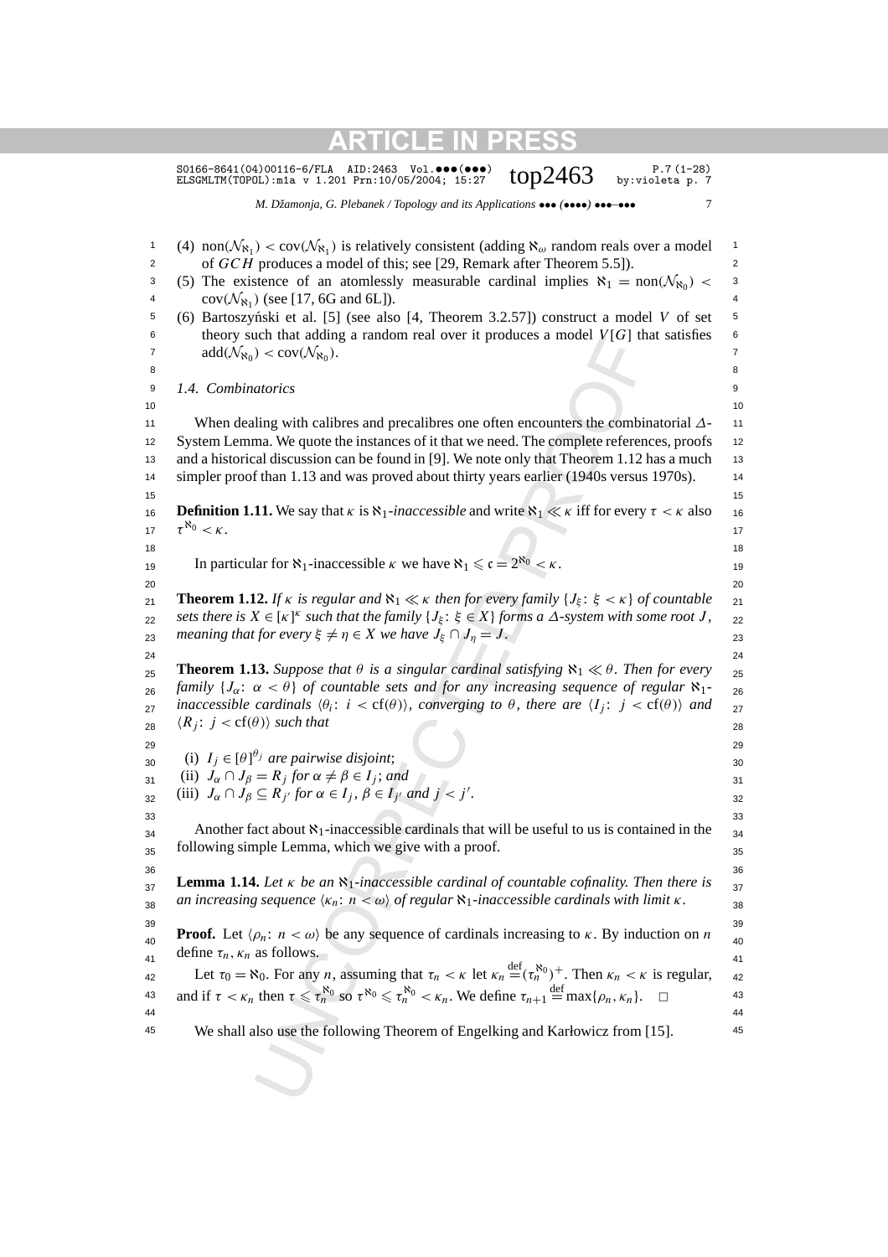| $SO166-8641(04)00116-6/FLA$ AID:2463 Vol.000(000)<br>$P.7(1-28)$<br>top $2463$<br>by:violeta p. 7<br>ELSGMLTM(TOPOL): m1a v 1.201 Prn: 10/05/2004; 15:27                                                                                                                                                                                                                                                                        |
|---------------------------------------------------------------------------------------------------------------------------------------------------------------------------------------------------------------------------------------------------------------------------------------------------------------------------------------------------------------------------------------------------------------------------------|
| M. Džamonja, G. Plebanek / Topology and its Applications ••• (****) ***-***<br>7                                                                                                                                                                                                                                                                                                                                                |
| (4) non $(\mathcal{N}_{\aleph_1})$ < cov $(\mathcal{N}_{\aleph_1})$ is relatively consistent (adding $\aleph_\omega$ random reals over a model                                                                                                                                                                                                                                                                                  |
| of GCH produces a model of this; see [29, Remark after Theorem 5.5]).                                                                                                                                                                                                                                                                                                                                                           |
| (5) The existence of an atomlessly measurable cardinal implies $\aleph_1 = \text{non}(\mathcal{N}_{\aleph_0})$                                                                                                                                                                                                                                                                                                                  |
| $cov(\mathcal{N}_{\aleph_1})$ (see [17, 6G and 6L]).                                                                                                                                                                                                                                                                                                                                                                            |
| (6) Bartoszyński et al. [5] (see also [4, Theorem 3.2.57]) construct a model V of set                                                                                                                                                                                                                                                                                                                                           |
| theory such that adding a random real over it produces a model $V[G]$ that satisfies                                                                                                                                                                                                                                                                                                                                            |
| $add(\mathcal{N}_{\aleph_0}) < cov(\mathcal{N}_{\aleph_0}).$                                                                                                                                                                                                                                                                                                                                                                    |
| 1.4. Combinatorics                                                                                                                                                                                                                                                                                                                                                                                                              |
|                                                                                                                                                                                                                                                                                                                                                                                                                                 |
| When dealing with calibres and precalibres one often encounters the combinatorial $\Delta$ -                                                                                                                                                                                                                                                                                                                                    |
| System Lemma. We quote the instances of it that we need. The complete references, proofs                                                                                                                                                                                                                                                                                                                                        |
| and a historical discussion can be found in [9]. We note only that Theorem 1.12 has a much                                                                                                                                                                                                                                                                                                                                      |
| simpler proof than 1.13 and was proved about thirty years earlier (1940s versus 1970s).                                                                                                                                                                                                                                                                                                                                         |
|                                                                                                                                                                                                                                                                                                                                                                                                                                 |
| <b>Definition 1.11.</b> We say that $\kappa$ is $\aleph_1$ -inaccessible and write $\aleph_1 \ll \kappa$ iff for every $\tau < \kappa$ also                                                                                                                                                                                                                                                                                     |
| $\tau^{\aleph_0} < \kappa$ .                                                                                                                                                                                                                                                                                                                                                                                                    |
|                                                                                                                                                                                                                                                                                                                                                                                                                                 |
| In particular for $\aleph_1$ -inaccessible $\kappa$ we have $\aleph_1 \leq c = 2^{\aleph_0} < \kappa$ .                                                                                                                                                                                                                                                                                                                         |
| <b>Theorem 1.12.</b> If $\kappa$ is regular and $\aleph_1 \ll \kappa$ then for every family $\{J_{\xi} : \xi < \kappa\}$ of countable                                                                                                                                                                                                                                                                                           |
| sets there is $X \in [\kappa]^{\kappa}$ such that the family $\{J_{\xi} : \xi \in X\}$ forms a $\Delta$ -system with some root J,                                                                                                                                                                                                                                                                                               |
| meaning that for every $\xi \neq \eta \in X$ we have $J_{\xi} \cap J_{\eta} = J$ .                                                                                                                                                                                                                                                                                                                                              |
|                                                                                                                                                                                                                                                                                                                                                                                                                                 |
| <b>Theorem 1.13.</b> Suppose that $\theta$ is a singular cardinal satisfying $\aleph_1 \ll \theta$ . Then for every                                                                                                                                                                                                                                                                                                             |
| family $\{J_{\alpha}: \alpha < \theta\}$ of countable sets and for any increasing sequence of regular $\aleph_1$ .                                                                                                                                                                                                                                                                                                              |
| inaccessible cardinals $\langle \theta_i : i < \text{cf}(\theta) \rangle$ , converging to $\theta$ , there are $\langle I_i : j < \text{cf}(\theta) \rangle$ and                                                                                                                                                                                                                                                                |
| $\langle R_i : j < \text{cf}(\theta) \rangle$ such that                                                                                                                                                                                                                                                                                                                                                                         |
|                                                                                                                                                                                                                                                                                                                                                                                                                                 |
| (i) $I_i \in [\theta]^{i}$ are pairwise disjoint;                                                                                                                                                                                                                                                                                                                                                                               |
| (ii) $J_{\alpha} \cap J_{\beta} = R_j$ for $\alpha \neq \beta \in I_j$ ; and                                                                                                                                                                                                                                                                                                                                                    |
| (iii) $J_{\alpha} \cap J_{\beta} \subseteq R_{i'}$ for $\alpha \in I_j$ , $\beta \in I_{i'}$ and $j < j'$ .                                                                                                                                                                                                                                                                                                                     |
| Another fact about $\aleph_1$ -inaccessible cardinals that will be useful to us is contained in the                                                                                                                                                                                                                                                                                                                             |
| following simple Lemma, which we give with a proof.                                                                                                                                                                                                                                                                                                                                                                             |
|                                                                                                                                                                                                                                                                                                                                                                                                                                 |
| <b>Lemma 1.14.</b> Let $\kappa$ be an $\aleph_1$ -inaccessible cardinal of countable cofinality. Then there is                                                                                                                                                                                                                                                                                                                  |
| an increasing sequence $\langle \kappa_n : n < \omega \rangle$ of regular $\aleph_1$ -inaccessible cardinals with limit $\kappa$ .                                                                                                                                                                                                                                                                                              |
|                                                                                                                                                                                                                                                                                                                                                                                                                                 |
| <b>Proof.</b> Let $\langle \rho_n : n \langle \omega \rangle$ be any sequence of cardinals increasing to $\kappa$ . By induction on <i>n</i>                                                                                                                                                                                                                                                                                    |
|                                                                                                                                                                                                                                                                                                                                                                                                                                 |
|                                                                                                                                                                                                                                                                                                                                                                                                                                 |
| $\Box$                                                                                                                                                                                                                                                                                                                                                                                                                          |
|                                                                                                                                                                                                                                                                                                                                                                                                                                 |
| We shall also use the following Theorem of Engelking and Karłowicz from [15].                                                                                                                                                                                                                                                                                                                                                   |
|                                                                                                                                                                                                                                                                                                                                                                                                                                 |
|                                                                                                                                                                                                                                                                                                                                                                                                                                 |
|                                                                                                                                                                                                                                                                                                                                                                                                                                 |
| define $\tau_n$ , $\kappa_n$ as follows.<br>Let $\tau_0 = \aleph_0$ . For any <i>n</i> , assuming that $\tau_n < \kappa$ let $\kappa_n \stackrel{\text{def}}{=} (\tau_n^{\aleph_0})^+$ . Then $\kappa_n < \kappa$ is regular,<br>and if $\tau < \kappa_n$ then $\tau \leq \tau_n^{\aleph_0}$ so $\tau^{\aleph_0} \leq \tau_n^{\aleph_0} < \kappa_n$ . We define $\tau_{n+1} \stackrel{\text{def}}{=} \max\{\rho_n, \kappa_n\}.$ |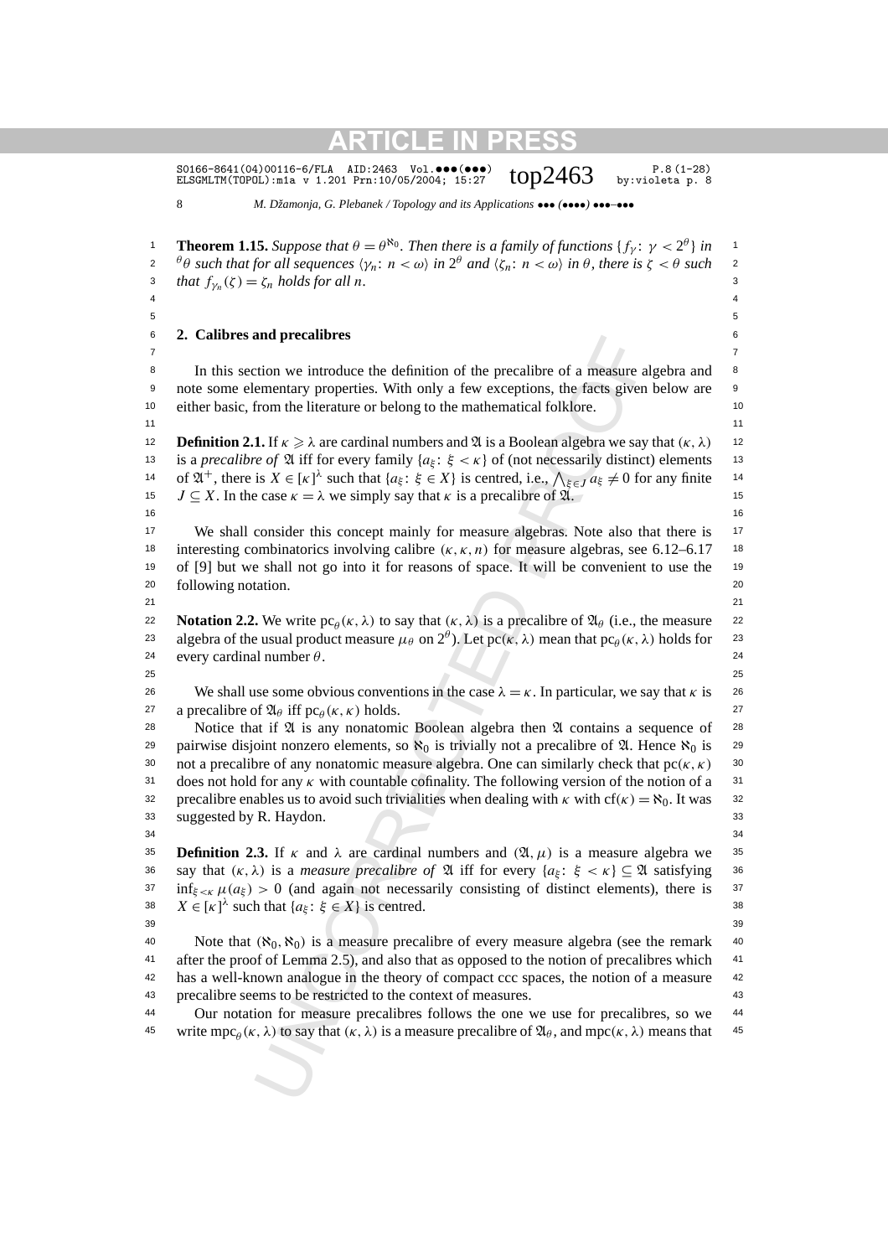S0166-8641(04)00116-6/FLA AID:2463 Vol. $\bullet\bullet\bullet\bullet\bullet\bullet$ )  $\bullet\bullet\bullet$  P.8(1-28) P.8(1-28)<br>ELSGMLTM(TOPOL):m1a v 1.201 Prn:10/05/2004; 15:27  $\bullet$   $\bullet$   $\bullet$  py:violeta p.8

8 *M. Džamonja, G. Plebanek / Topology and its Applications* ••• *(*••••*)* •••*–*•••

and precautores<br>
trito we introduce the definition of the precalibre of a measure and<br>
ementary properties. With only a few exceptions, the facts given<br>
from the literature or belong to the mathematical folklore.<br>
1. If **Theorem 1.15.** *Suppose that*  $\theta = \theta^{\aleph_0}$ . *Then there is a family of functions*  $\{f_\gamma : \gamma < 2^\theta\}$  *in*  $\theta$ *θ**such that for all sequences* $\langle \gamma_n : n < \omega \rangle$ *in* $2^\theta$ *and* $\langle \zeta_n : n < \omega \rangle$ *in* $\theta$ *, there is* $\zeta < \theta$ *such* **2** 3 *that*  $f_{\gamma_n}(\zeta) = \zeta_n$  *holds for all n*.  $4 \times 4$  $5$ 6 6 **2. Calibres and precalibres** 7 7 <sup>8</sup> In this section we introduce the definition of the precalibre of a measure algebra and <sup>8</sup> <sup>9</sup> note some elementary properties. With only a few exceptions, the facts given below are <sup>9</sup> 10 10 either basic, from the literature or belong to the mathematical folklore.  $11$  11 **12 Definition 2.1.** If  $\kappa \ge \lambda$  are cardinal numbers and  $\mathfrak{A}$  is a Boolean algebra we say that  $(\kappa, \lambda)$  12 13 is a *precalibre of*  $\mathfrak A$  iff for every family  $\{a_{\xi} : \xi < \kappa\}$  of (not necessarily distinct) elements 13 14 of  $\mathfrak{A}^+$ , there is  $X \in [\kappa]^{\lambda}$  such that  $\{a_{\xi}: \xi \in X\}$  is centred, i.e.,  $\bigwedge_{\xi \in J} a_{\xi} \neq 0$  for any finite 14 15  $J \subseteq X$ . In the case  $\kappa = \lambda$  we simply say that  $\kappa$  is a precalibre of  $\mathfrak{A}$ .  $16$  16 <sup>17</sup> We shall consider this concept mainly for measure algebras. Note also that there is <sup>17</sup> 18 interesting combinatorics involving calibre  $(\kappa, \kappa, n)$  for measure algebras, see 6.12–6.17 <sup>18</sup> <sup>19</sup> of [9] but we shall not go into it for reasons of space. It will be convenient to use the <sup>19</sup> 20 following notation. 20 and 20 and 20 and 20 and 20 and 20 and 20 and 20 and 20 and 20 and 20 and 20 and 20 and 20 and 20 and 20 and 20 and 20 and 20 and 20 and 20 and 20 and 20 and 20 and 20 and 20 and 20 and 20 and 20 21 21 **Notation 2.2.** We write  $pc_\theta(\kappa, \lambda)$  to say that  $(\kappa, \lambda)$  is a precalibre of  $\mathfrak{A}_\theta$  (i.e., the measure 22 algebra of the usual product measure  $\mu_{\theta}$  on  $2^{\theta}$ ). Let pc*(κ, λ)* mean that pc<sub>*θ*</sub> (*κ, λ*) holds for as 24 every cardinal number  $θ$ . 24  $25$  25 <sup>26</sup> We shall use some obvious conventions in the case  $λ = κ$ . In particular, we say that *κ* is <sup>26</sup> 27 a precalibre of  $\mathfrak{A}_{\theta}$  iff pc<sub> $\theta$ </sub> (*κ, κ*) holds. 27 28 Notice that if  $\mathfrak A$  is any nonatomic Boolean algebra then  $\mathfrak A$  contains a sequence of 28 29 pairwise disjoint nonzero elements, so  $\aleph_0$  is trivially not a precalibre of  $\mathfrak{A}$ . Hence  $\aleph_0$  is 29 30 not a precalibre of any nonatomic measure algebra. One can similarly check that  $pc(\kappa, \kappa)$  <sup>30</sup> 31 31 does not hold for any *κ* with countable cofinality. The following version of the notion of a 32 precalibre enables us to avoid such trivialities when dealing with  $\kappa$  with cf( $\kappa$ ) =  $\aleph_0$ . It was <sup>32</sup> 33 33 suggested by R. Haydon.  $34$   $34$ **35 Definition 2.3.** If  $\kappa$  and  $\lambda$  are cardinal numbers and  $(\mathfrak{A}, \mu)$  is a measure algebra we 35 36 say that  $(\kappa, \lambda)$  is a *measure precalibre of*  $\mathfrak A$  iff for every  $\{a_{\xi}: \xi < \kappa\} \subseteq \mathfrak A$  satisfying 36  $\inf_{\xi \le \kappa} \mu(a_{\xi}) > 0$  (and again not necessarily consisting of distinct elements), there is <sup>37</sup> 38  $X \in [\kappa]^{\lambda}$  such that  $\{a_{\xi} : \xi \in X\}$  is centred. 39 39 40 Note that  $(\aleph_0, \aleph_0)$  is a measure precalibre of every measure algebra (see the remark 40 <sup>41</sup> after the proof of Lemma 2.5), and also that as opposed to the notion of precalibres which <sup>41</sup> <sup>42</sup> has a well-known analogue in the theory of compact ccc spaces, the notion of a measure <sup>42</sup> 43 43 precalibre seems to be restricted to the context of measures.

44 44 Our notation for measure precalibres follows the one we use for precalibres, so we 45 write mpc<sub> $\theta$ </sub>( $\kappa$ ,  $\lambda$ ) to say that  $(\kappa, \lambda)$  is a measure precalibre of  $\mathfrak{A}_{\theta}$ , and mpc( $\kappa$ ,  $\lambda$ ) means that 45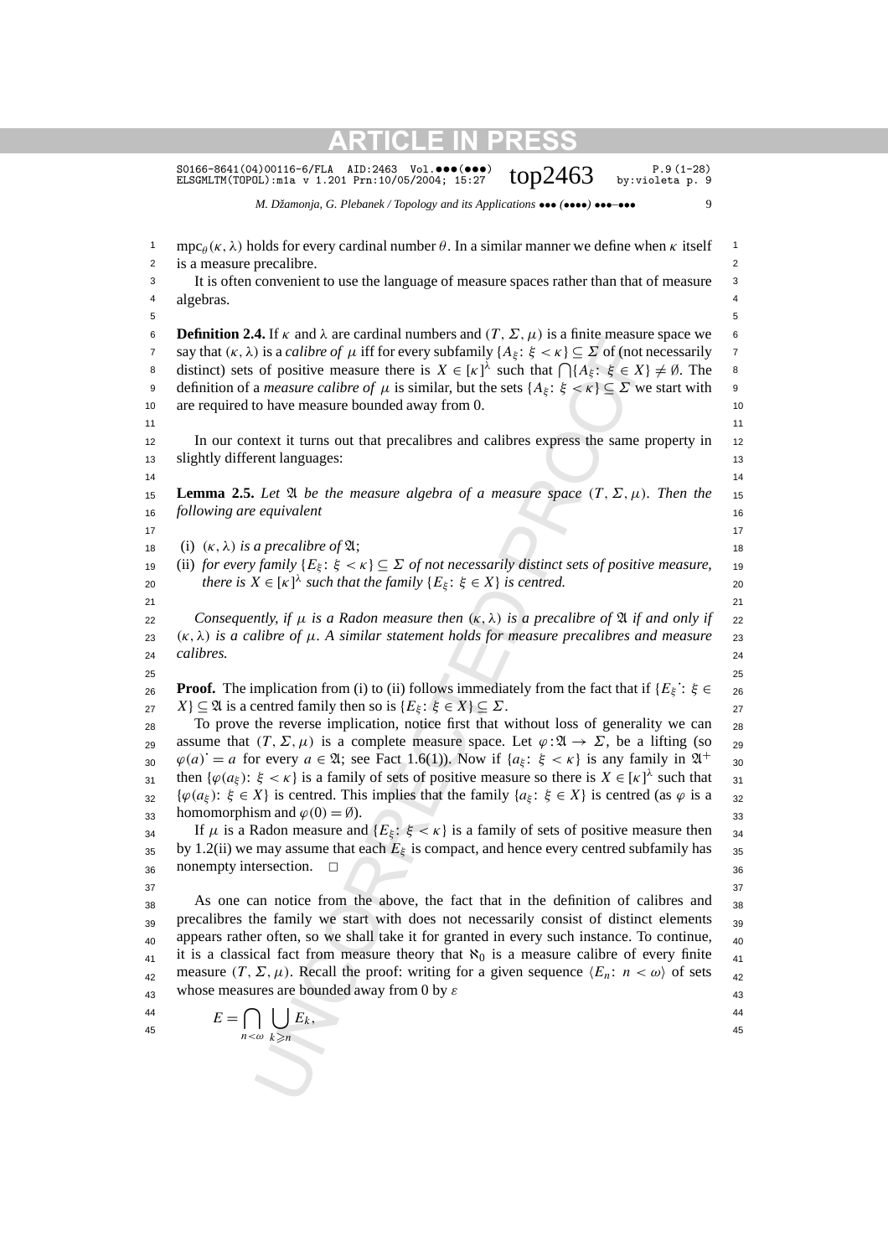|                                                                            | $SO166-8641(04)00116-6/FLA$ AID:2463 Vol.000(000)<br>$P.9(1-28)$<br>top $2463$<br>by:violeta p. 9<br>ELSGMLTM(TOPOL): m1a v 1.201 Prn: 10/05/2004; 15:27                                                                                                                                                                                                                                                                                                                                                                                                                                                                                                                                                                                                                                                                                                                                                                                                                                                                                                                                                                                                                           |                                                                            |
|----------------------------------------------------------------------------|------------------------------------------------------------------------------------------------------------------------------------------------------------------------------------------------------------------------------------------------------------------------------------------------------------------------------------------------------------------------------------------------------------------------------------------------------------------------------------------------------------------------------------------------------------------------------------------------------------------------------------------------------------------------------------------------------------------------------------------------------------------------------------------------------------------------------------------------------------------------------------------------------------------------------------------------------------------------------------------------------------------------------------------------------------------------------------------------------------------------------------------------------------------------------------|----------------------------------------------------------------------------|
|                                                                            | M. Džamonja, G. Plebanek / Topology and its Applications $\bullet \bullet \bullet$ ( $\bullet \bullet \bullet$ ) $\bullet \bullet \bullet \bullet \bullet \bullet$<br>9                                                                                                                                                                                                                                                                                                                                                                                                                                                                                                                                                                                                                                                                                                                                                                                                                                                                                                                                                                                                            |                                                                            |
| $\mathbf{1}$<br>2<br>3<br>4<br>5                                           | $\text{mpc}_{\theta}(\kappa, \lambda)$ holds for every cardinal number $\theta$ . In a similar manner we define when $\kappa$ itself<br>is a measure precalibre.<br>It is often convenient to use the language of measure spaces rather than that of measure<br>algebras.                                                                                                                                                                                                                                                                                                                                                                                                                                                                                                                                                                                                                                                                                                                                                                                                                                                                                                          | 1<br>2<br>3<br>4<br>5                                                      |
| 6<br>$\overline{7}$<br>8<br>9<br>10<br>11<br>12<br>13                      | <b>Definition 2.4.</b> If $\kappa$ and $\lambda$ are cardinal numbers and $(T, \Sigma, \mu)$ is a finite measure space we<br>say that $(\kappa, \lambda)$ is a <i>calibre of</i> $\mu$ iff for every subfamily $\{A_{\xi} : \xi < \kappa\} \subseteq \Sigma$ of (not necessarily<br>distinct) sets of positive measure there is $X \in [\kappa]^{\lambda}$ such that $\bigcap \{A_{\xi}: \xi \in X\} \neq \emptyset$ . The<br>definition of a <i>measure calibre of</i> $\mu$ is similar, but the sets $\{A_{\xi} : \xi < \kappa\} \subseteq \Sigma$ we start with<br>are required to have measure bounded away from 0.<br>In our context it turns out that precalibres and calibres express the same property in<br>slightly different languages:                                                                                                                                                                                                                                                                                                                                                                                                                                 | 6<br>$\overline{7}$<br>8<br>9<br>10<br>11<br>12<br>13                      |
| 14<br>15<br>16                                                             | <b>Lemma 2.5.</b> Let $\mathfrak A$ be the measure algebra of a measure space $(T, \Sigma, \mu)$ . Then the<br>following are equivalent                                                                                                                                                                                                                                                                                                                                                                                                                                                                                                                                                                                                                                                                                                                                                                                                                                                                                                                                                                                                                                            | 14<br>15<br>16                                                             |
| 17<br>18<br>19<br>20<br>21                                                 | (i) $(\kappa, \lambda)$ is a precalibre of $\mathfrak{A}$ ;<br>(ii) for every family $\{E_{\xi} : \xi < \kappa\} \subseteq \Sigma$ of not necessarily distinct sets of positive measure,<br>there is $X \in [\kappa]^{\lambda}$ such that the family $\{E_{\xi} : \xi \in X\}$ is centred.                                                                                                                                                                                                                                                                                                                                                                                                                                                                                                                                                                                                                                                                                                                                                                                                                                                                                         | 17<br>18<br>19<br>20<br>21                                                 |
| 22<br>23<br>24                                                             | Consequently, if $\mu$ is a Radon measure then $(\kappa, \lambda)$ is a precalibre of $\mathfrak A$ if and only if<br>$(\kappa, \lambda)$ is a calibre of $\mu$ . A similar statement holds for measure precalibres and measure<br>calibres.                                                                                                                                                                                                                                                                                                                                                                                                                                                                                                                                                                                                                                                                                                                                                                                                                                                                                                                                       | 22<br>23<br>24                                                             |
| 25<br>26<br>27<br>28<br>29<br>30<br>31<br>32<br>33<br>34<br>35<br>36<br>37 | <b>Proof.</b> The implication from (i) to (ii) follows immediately from the fact that if $\{E_{\xi} : \xi \in$<br>$X$ } $\subseteq$ 24 is a centred family then so is { $E_{\xi}$ : $\xi \in X$ } $\subseteq \Sigma$ .<br>To prove the reverse implication, notice first that without loss of generality we can<br>assume that $(T, \Sigma, \mu)$ is a complete measure space. Let $\varphi : \mathfrak{A} \to \Sigma$ , be a lifting (so<br>$\varphi(a) = a$ for every $a \in \mathfrak{A}$ ; see Fact 1.6(1)). Now if $\{a_{\xi}: \xi < \kappa\}$ is any family in $\mathfrak{A}^+$<br>then $\{\varphi(a_{\xi})\colon \xi < \kappa\}$ is a family of sets of positive measure so there is $X \in [\kappa]^{\lambda}$ such that<br>$\{\varphi(a_{\xi})\colon \xi \in X\}$ is centred. This implies that the family $\{a_{\xi}\colon \xi \in X\}$ is centred (as $\varphi$ is a<br>homomorphism and $\varphi(0) = \emptyset$ ).<br>If $\mu$ is a Radon measure and $\{E_{\xi} : \xi < \kappa\}$ is a family of sets of positive measure then<br>by 1.2(ii) we may assume that each $E_{\xi}$ is compact, and hence every centred subfamily has<br>nonempty intersection.<br>$\Box$ | 25<br>26<br>27<br>28<br>29<br>30<br>31<br>32<br>33<br>34<br>35<br>36<br>37 |
| 38<br>39<br>40<br>41<br>42<br>43                                           | As one can notice from the above, the fact that in the definition of calibres and<br>precalibres the family we start with does not necessarily consist of distinct elements<br>appears rather often, so we shall take it for granted in every such instance. To continue,<br>it is a classical fact from measure theory that $\aleph_0$ is a measure calibre of every finite<br>measure $(T, \Sigma, \mu)$ . Recall the proof: writing for a given sequence $\langle E_n : n \langle \omega \rangle$ of sets<br>whose measures are bounded away from 0 by $\varepsilon$                                                                                                                                                                                                                                                                                                                                                                                                                                                                                                                                                                                                            | 38<br>39<br>40<br>41<br>42<br>43                                           |
| 44<br>45                                                                   | $E = \bigcap_{n < \omega} \bigcup_{k \geq n} E_k,$                                                                                                                                                                                                                                                                                                                                                                                                                                                                                                                                                                                                                                                                                                                                                                                                                                                                                                                                                                                                                                                                                                                                 | 44<br>45                                                                   |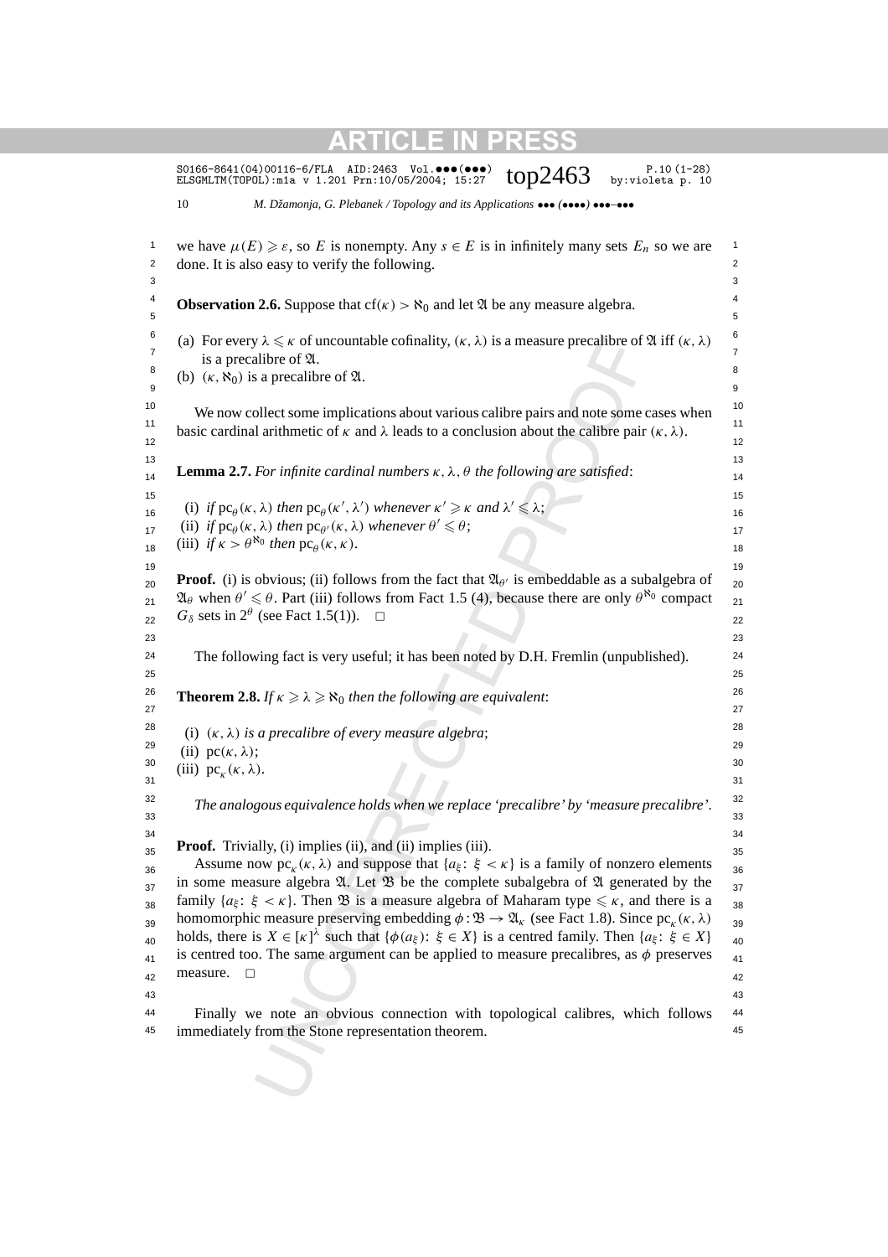|                                        | top $2463$<br>by:violeta p. 10<br>ELSGMLTM(TOPOL): m1a v 1.201 Prn: 10/05/2004; 15:27                                                                              |
|----------------------------------------|--------------------------------------------------------------------------------------------------------------------------------------------------------------------|
| 10                                     | M. Džamonja, G. Plebanek / Topology and its Applications $\bullet \bullet \bullet$ ( $\bullet \bullet \bullet$ ) $\bullet \bullet \bullet \bullet \bullet \bullet$ |
|                                        | we have $\mu(E) \geq \varepsilon$ , so E is nonempty. Any $s \in E$ is in infinitely many sets $E_n$ so we are                                                     |
|                                        | done. It is also easy to verify the following.                                                                                                                     |
|                                        |                                                                                                                                                                    |
|                                        | <b>Observation 2.6.</b> Suppose that $cf(\kappa) > \aleph_0$ and let $\mathfrak{A}$ be any measure algebra.                                                        |
|                                        | (a) For every $\lambda \leq \kappa$ of uncountable cofinality, $(\kappa, \lambda)$ is a measure precalibre of $\mathfrak{A}$ iff $(\kappa, \lambda)$               |
|                                        | is a precalibre of 2.                                                                                                                                              |
|                                        | (b) $(\kappa, \aleph_0)$ is a precalibre of $\mathfrak{A}$ .                                                                                                       |
|                                        | We now collect some implications about various calibre pairs and note some cases when                                                                              |
|                                        | basic cardinal arithmetic of $\kappa$ and $\lambda$ leads to a conclusion about the calibre pair $(\kappa, \lambda)$ .                                             |
|                                        | <b>Lemma 2.7.</b> For infinite cardinal numbers $\kappa$ , $\lambda$ , $\theta$ the following are satisfied:                                                       |
|                                        |                                                                                                                                                                    |
|                                        | (i) if $pc_{\theta}(\kappa, \lambda)$ then $pc_{\theta}(\kappa', \lambda')$ whenever $\kappa' \geq \kappa$ and $\lambda' \leq \lambda$ ;                           |
|                                        | (ii) if $pc_{\theta}(\kappa, \lambda)$ then $pc_{\theta'}(\kappa, \lambda)$ whenever $\theta' \leq \theta$ ;                                                       |
|                                        | (iii) if $\kappa > \theta^{\aleph_0}$ then $\operatorname{pc}_{\theta}(\kappa, \kappa)$ .                                                                          |
|                                        |                                                                                                                                                                    |
|                                        | <b>Proof.</b> (i) is obvious; (ii) follows from the fact that $\mathfrak{A}_{\theta}$ is embeddable as a subalgebra of                                             |
|                                        | $\mathfrak{A}_{\theta}$ when $\theta' \leq \theta$ . Part (iii) follows from Fact 1.5 (4), because there are only $\theta^{\aleph_0}$ compact                      |
|                                        | $G_{\delta}$ sets in $2^{\theta}$ (see Fact 1.5(1)).<br>$\Box$                                                                                                     |
|                                        |                                                                                                                                                                    |
|                                        | The following fact is very useful; it has been noted by D.H. Fremlin (unpublished).                                                                                |
|                                        |                                                                                                                                                                    |
|                                        | <b>Theorem 2.8.</b> If $\kappa \ge \lambda \ge \aleph_0$ then the following are equivalent:                                                                        |
|                                        |                                                                                                                                                                    |
|                                        | (i) $(\kappa, \lambda)$ is a precalibre of every measure algebra;                                                                                                  |
| (ii) $pc(\kappa, \lambda)$ ;           |                                                                                                                                                                    |
| (iii) $pc_{\kappa}(\kappa, \lambda)$ . |                                                                                                                                                                    |
|                                        |                                                                                                                                                                    |
|                                        | The analogous equivalence holds when we replace 'precalibre' by 'measure precalibre'.                                                                              |
|                                        | <b>Proof.</b> Trivially, (i) implies (ii), and (ii) implies (iii).                                                                                                 |
|                                        | Assume now $pc_{\kappa}(\kappa, \lambda)$ and suppose that $\{a_{\xi}: \xi < \kappa\}$ is a family of nonzero elements                                             |
|                                        | in some measure algebra $\mathfrak{A}$ . Let $\mathfrak{B}$ be the complete subalgebra of $\mathfrak{A}$ generated by the                                          |
|                                        | family $\{a_{\xi} : \xi < \kappa\}$ . Then $\mathfrak{B}$ is a measure algebra of Maharam type $\leq \kappa$ , and there is a                                      |
|                                        | homomorphic measure preserving embedding $\phi : \mathfrak{B} \to \mathfrak{A}_k$ (see Fact 1.8). Since pc <sub>k</sub> ( $\kappa, \lambda$ )                      |
|                                        | holds, there is $X \in [\kappa]^{\lambda}$ such that $\{\phi(a_{\xi}) : \xi \in X\}$ is a centred family. Then $\{a_{\xi} : \xi \in X\}$                           |
|                                        | is centred too. The same argument can be applied to measure precalibres, as $\phi$ preserves                                                                       |
| measure.                               | □                                                                                                                                                                  |
|                                        |                                                                                                                                                                    |
|                                        | Finally we note an obvious connection with topological calibres, which follows                                                                                     |
|                                        | immediately from the Stone representation theorem.                                                                                                                 |
|                                        |                                                                                                                                                                    |
|                                        |                                                                                                                                                                    |
|                                        |                                                                                                                                                                    |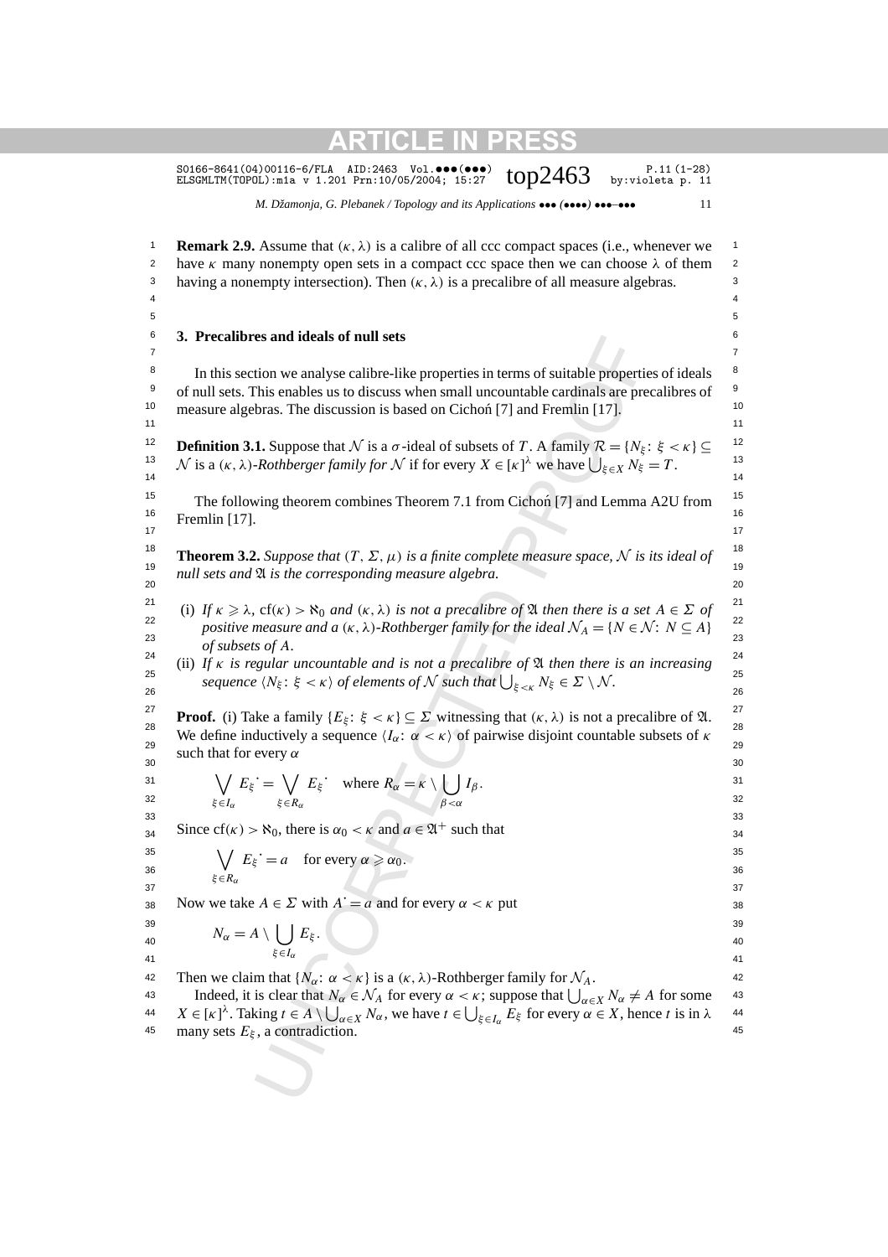|                                    | S0166-8641(04)00116-6/FLA AID:2463 Vol.000(000)<br>$P.11(1-28)$<br>top $2463$<br>by: violeta $p. 11$<br>ELSGMLTM(TOPOL): m1a v 1.201 Prn: 10/05/2004; 15:27                                                                                                                                                                                                                                                                                                                                                                                                                             |                                               |
|------------------------------------|-----------------------------------------------------------------------------------------------------------------------------------------------------------------------------------------------------------------------------------------------------------------------------------------------------------------------------------------------------------------------------------------------------------------------------------------------------------------------------------------------------------------------------------------------------------------------------------------|-----------------------------------------------|
|                                    | M. Džamonja, G. Plebanek / Topology and its Applications $\bullet \bullet \bullet$ ( $\bullet \bullet \bullet \bullet$ ) $\bullet \bullet \bullet \bullet \bullet \bullet$<br>11                                                                                                                                                                                                                                                                                                                                                                                                        |                                               |
| 1<br>2<br>3<br>$\overline{4}$<br>5 | <b>Remark 2.9.</b> Assume that $(\kappa, \lambda)$ is a calibre of all ccc compact spaces (i.e., whenever we<br>have $\kappa$ many nonempty open sets in a compact ccc space then we can choose $\lambda$ of them<br>having a nonempty intersection). Then $(\kappa, \lambda)$ is a precalibre of all measure algebras.                                                                                                                                                                                                                                                                 | $\mathbf{1}$<br>$\overline{c}$<br>3<br>4<br>5 |
| 6<br>$\overline{7}$                | 3. Precalibres and ideals of null sets                                                                                                                                                                                                                                                                                                                                                                                                                                                                                                                                                  | 6<br>$\overline{7}$                           |
| 8<br>9<br>10<br>11                 | In this section we analyse calibre-like properties in terms of suitable properties of ideals<br>of null sets. This enables us to discuss when small uncountable cardinals are precalibres of<br>measure algebras. The discussion is based on Cichoń [7] and Fremlin [17].                                                                                                                                                                                                                                                                                                               | 8<br>9<br>10<br>11                            |
| 12<br>13<br>14                     | <b>Definition 3.1.</b> Suppose that N is a $\sigma$ -ideal of subsets of T. A family $\mathcal{R} = \{N_{\xi} : \xi < \kappa\} \subseteq$<br>N is a $(\kappa, \lambda)$ -Rothberger family for N if for every $X \in [\kappa]^{\lambda}$ we have $\bigcup_{\xi \in X} N_{\xi} = T$ .                                                                                                                                                                                                                                                                                                    | 12<br>13<br>14                                |
| 15<br>16<br>17                     | The following theorem combines Theorem 7.1 from Cichoń [7] and Lemma A2U from<br>Fremlin [17].                                                                                                                                                                                                                                                                                                                                                                                                                                                                                          | 15<br>16<br>17                                |
| 18<br>19<br>20                     | <b>Theorem 3.2.</b> Suppose that $(T, \Sigma, \mu)$ is a finite complete measure space, N is its ideal of<br>null sets and $\mathfrak A$ is the corresponding measure algebra.                                                                                                                                                                                                                                                                                                                                                                                                          | 18<br>19<br>20                                |
| 21<br>22<br>23<br>24<br>25<br>26   | (i) If $\kappa \ge \lambda$ , $cf(\kappa) > \aleph_0$ and $(\kappa, \lambda)$ is not a precalibre of $\mathfrak A$ then there is a set $A \in \Sigma$ of<br>positive measure and a $(\kappa, \lambda)$ -Rothberger family for the ideal $\mathcal{N}_A = \{N \in \mathcal{N} : N \subseteq A\}$<br>of subsets of A.<br>(ii) If $\kappa$ is regular uncountable and is not a precalibre of $\mathfrak A$ then there is an increasing<br>sequence $\langle N_{\xi} : \xi < \kappa \rangle$ of elements of N such that $\bigcup_{\xi < \kappa} N_{\xi} \in \Sigma \setminus \mathcal{N}$ . | 21<br>22<br>23<br>24<br>25<br>26              |
| 27<br>28<br>29<br>30               | <b>Proof.</b> (i) Take a family $\{E_{\xi} : \xi < \kappa\} \subseteq \Sigma$ witnessing that $(\kappa, \lambda)$ is not a precalibre of $\mathfrak{A}$ .<br>We define inductively a sequence $\langle I_{\alpha}: \alpha < \kappa \rangle$ of pairwise disjoint countable subsets of $\kappa$<br>such that for every $\alpha$                                                                                                                                                                                                                                                          | 27<br>28<br>29<br>30                          |
| 31<br>32<br>33                     | $\bigvee_{\xi \in I_{\alpha}} E_{\xi} = \bigvee_{\xi \in R_{\alpha}} E_{\xi}$ where $R_{\alpha} = \kappa \setminus \bigcup_{\beta < \alpha} I_{\beta}$ .                                                                                                                                                                                                                                                                                                                                                                                                                                | 31<br>32<br>33                                |
| 34<br>35<br>36                     | Since $cf(\kappa) > \aleph_0$ , there is $\alpha_0 < \kappa$ and $a \in \mathfrak{A}^+$ such that<br>$\bigvee E_{\xi} = a$ for every $\alpha \ge \alpha_0$ .<br>$\xi \in R_{\alpha}$                                                                                                                                                                                                                                                                                                                                                                                                    | 34<br>35<br>36                                |
| 37<br>38<br>39<br>40               | Now we take $A \in \Sigma$ with $A' = a$ and for every $\alpha < \kappa$ put<br>$N_{\alpha} = A \setminus \bigcup_{\xi \in I_{\alpha}} E_{\xi}.$                                                                                                                                                                                                                                                                                                                                                                                                                                        | 37<br>38<br>39<br>40                          |
| 41<br>42<br>43<br>44<br>45         | Then we claim that $\{N_{\alpha}: \alpha < \kappa\}$ is a $(\kappa, \lambda)$ -Rothberger family for $\mathcal{N}_A$ .<br>Indeed, it is clear that $N_\alpha \in \mathcal{N}_A$ for every $\alpha < \kappa$ ; suppose that $\bigcup_{\alpha \in X} N_\alpha \neq A$ for some<br>$X \in [\kappa]^{\lambda}$ . Taking $t \in A \setminus \bigcup_{\alpha \in X} N_{\alpha}$ , we have $t \in \bigcup_{\xi \in I_{\alpha}} E_{\xi}$ for every $\alpha \in X$ , hence t is in $\lambda$<br>many sets $E_{\xi}$ , a contradiction.                                                           | 41<br>42<br>43<br>44<br>45                    |
|                                    |                                                                                                                                                                                                                                                                                                                                                                                                                                                                                                                                                                                         |                                               |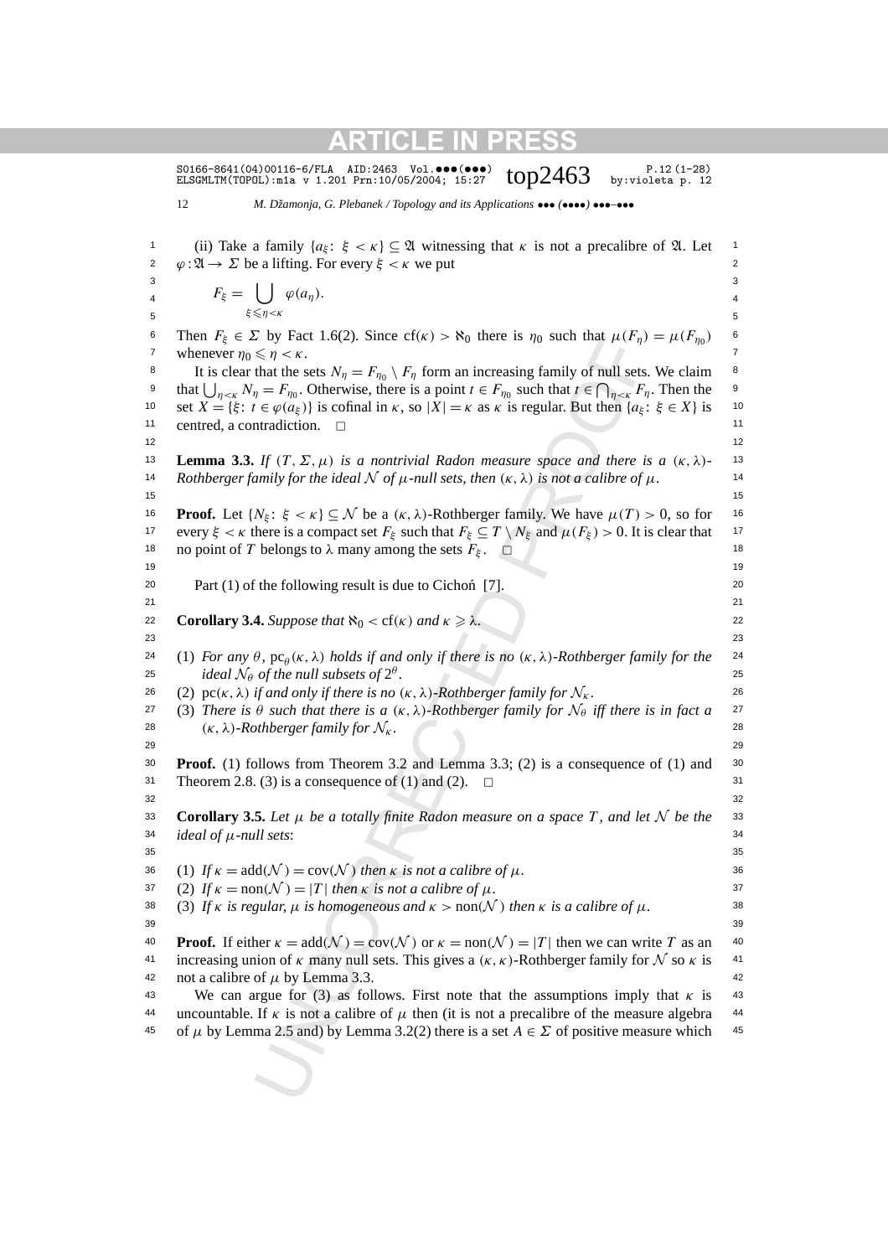S0166-8641(04)00116-6/FLA AID:2463 Vol. $\bullet\bullet\bullet\bullet\bullet\bullet$ )  $\bullet\bullet\cdot\bullet\cdot$  P.12(1-28)<br>ELSGMLTM(TOPOL):m1a v 1.201 Prn:10/05/2004; 15:27  $\bullet\bullet\bullet$  Dy:violeta p. 12

12 *M. Džamonja, G. Plebanek / Topology and its Applications* ••• *(*••••*)* •••*–*•••

Let 1.0(2). Since C(k) > 8 o for the 18 n (k) that the external in the search of  $\leq \pi/6$  for random in the search of  $\pi/8$  for  $K_{\infty}$  for  $\pi/6$ , for  $\pi$  for  $\pi$  for  $\pi$  for  $\pi$  for  $\pi$  for  $\pi$  for  $\pi$  for 1 (ii) Take a family  $\{a_{\xi} : \xi < \kappa\} \subseteq \mathfrak{A}$  witnessing that  $\kappa$  is not a precalibre of  $\mathfrak{A}$ . Let 2  $\varphi : \mathfrak{A} \to \Sigma$  be a lifting. For every  $\xi < \kappa$  we put 2  $3$  3  $\alpha = 4$   $\beta = 4$  $5 \leq \eta \leq \kappa$  5 <sup>6</sup> Then *F<sub>ξ</sub>* ∈ *Σ* by Fact 1.6(2). Since cf(*κ*) >  $\aleph_0$  there is *η*<sub>0</sub> such that  $\mu(F_\eta) = \mu(F_{\eta_0})$  <sup>6</sup> 7 whenever  $\eta_0 \le \eta < \kappa$ . <sup>8</sup> It is clear that the sets  $N_{\eta} = F_{\eta_0} \setminus F_{\eta}$  form an increasing family of null sets. We claim<sup>8</sup> <sup>9</sup> that  $\bigcup_{\eta \leq \kappa} N_{\eta} = F_{\eta_0}$ . Otherwise, there is a point  $t \in F_{\eta_0}$  such that  $t \in \bigcap_{\eta \leq \kappa} F_{\eta}$ . Then the 10 set  $X = \{\xi : t \in \varphi(a_{\xi})\}$  is cofinal in *κ*, so  $|X| = \kappa$  as *κ* is regular. But then  $\{a_{\xi} : \xi \in X\}$  is 10 11 centred, a contradiction. <del>□</del>  $12$  and  $12$ **13 Lemma 3.3.** *If*  $(T, \Sigma, \mu)$  *is a nontrivial Radon measure space and there is a*  $(\kappa, \lambda)$ - 13 *A* 14 Rothberger family for the ideal  $N$  of  $\mu$ -null sets, then  $(\kappa, \lambda)$  is not a calibre of  $\mu$ .  $15$  15 <sup>16</sup> **Proof.** Let {*N<sub>ξ</sub>*: *ξ* < *κ*} ⊆ *N* be a (*κ*, *λ*)-Rothberger family. We have  $μ(T) > 0$ , so for <sup>16</sup> 17 every  $\xi < \kappa$  there is a compact set  $F_{\xi}$  such that  $F_{\xi} \subseteq T \setminus N_{\xi}$  and  $\mu(F_{\xi}) > 0$ . It is clear that 17 18 no point of *T* belongs to  $\lambda$  many among the sets  $F_{\xi}$ .  $\square$  18 19 19 20 20 Part (1) of the following result is due to Cichon [7]. ´ 21 21 **Corollary 3.4.** *Suppose that*  $\aleph_0 < cf(\kappa)$  *and*  $\kappa \ge \lambda$ . 22 23 23 24 (1) *For any*  $\theta$ ,  $pc_{\theta}$ ( $\kappa$ ,  $\lambda$ ) *holds if and only if there is no*  $(\kappa, \lambda)$ *-Rothberger family for the* 24  $\omega$  *ideal*  $\mathcal{N}_{\theta}$  *of the null subsets of*  $2^{\theta}$ .  $\omega$  **25** 26 (2)  $\text{pc}(\kappa, \lambda)$  *if and only if there is no*  $(\kappa, \lambda)$ *-Rothberger family for*  $\mathcal{N}_{\kappa}$ . 26 27 (3) *There is*  $\theta$  *such that there is a*  $(\kappa, \lambda)$ *-Rothberger family for*  $\mathcal{N}_{\theta}$  *iff there is in fact a* 27 28  $(\kappa, \lambda)$ *-Rothberger family for*  $\mathcal{N}_\kappa$ . 28 29 29 30 30 **Proof.** (1) follows from Theorem 3.2 and Lemma 3.3; (2) is a consequence of (1) and 31 Theorem 2.8. (3) is a consequence of (1) and (2).  $\Box$  $32$   $32$ **Corollary 3.5.** Let  $\mu$  be a totally finite Radon measure on a space T, and let N be the  $\alpha$  $34$  *ideal of*  $\mu$ *-null sets*:  $35$   $35$ 36 (1)  $If \kappa = \text{add}(\mathcal{N}) = \text{cov}(\mathcal{N})$  *then*  $\kappa$  *is not a calibre of*  $\mu$ *.* 36 37 (2) If  $\kappa = \text{non}(\mathcal{N}) = |T|$  then  $\kappa$  is not a calibre of  $\mu$ . 38 (3) If *κ is regular,*  $\mu$  *is homogeneous and*  $\kappa > \text{non}(\mathcal{N})$  *then*  $\kappa$  *is a calibre of*  $\mu$ . 39 39 **Proof.** If either  $\kappa = \text{add}(\mathcal{N}) = \text{cov}(\mathcal{N})$  or  $\kappa = \text{non}(\mathcal{N}) = |T|$  then we can write *T* as an 40 41 increasing union of *κ* many null sets. This gives a  $(κ, κ)$ -Rothberger family for  $N$  so  $κ$  is 41 42 not a calibre of  $\mu$  by Lemma 3.3. 43 We can argue for (3) as follows. First note that the assumptions imply that  $\kappa$  is 43 44 uncountable. If *κ* is not a calibre of  $\mu$  then (it is not a precalibre of the measure algebra 44 45 of  $\mu$  by Lemma 2.5 and) by Lemma 3.2(2) there is a set  $A \in \Sigma$  of positive measure which 45  $F_{\xi} = \left| \right|$ *ξ*-*η<κ*  $\varphi(a_{\eta}).$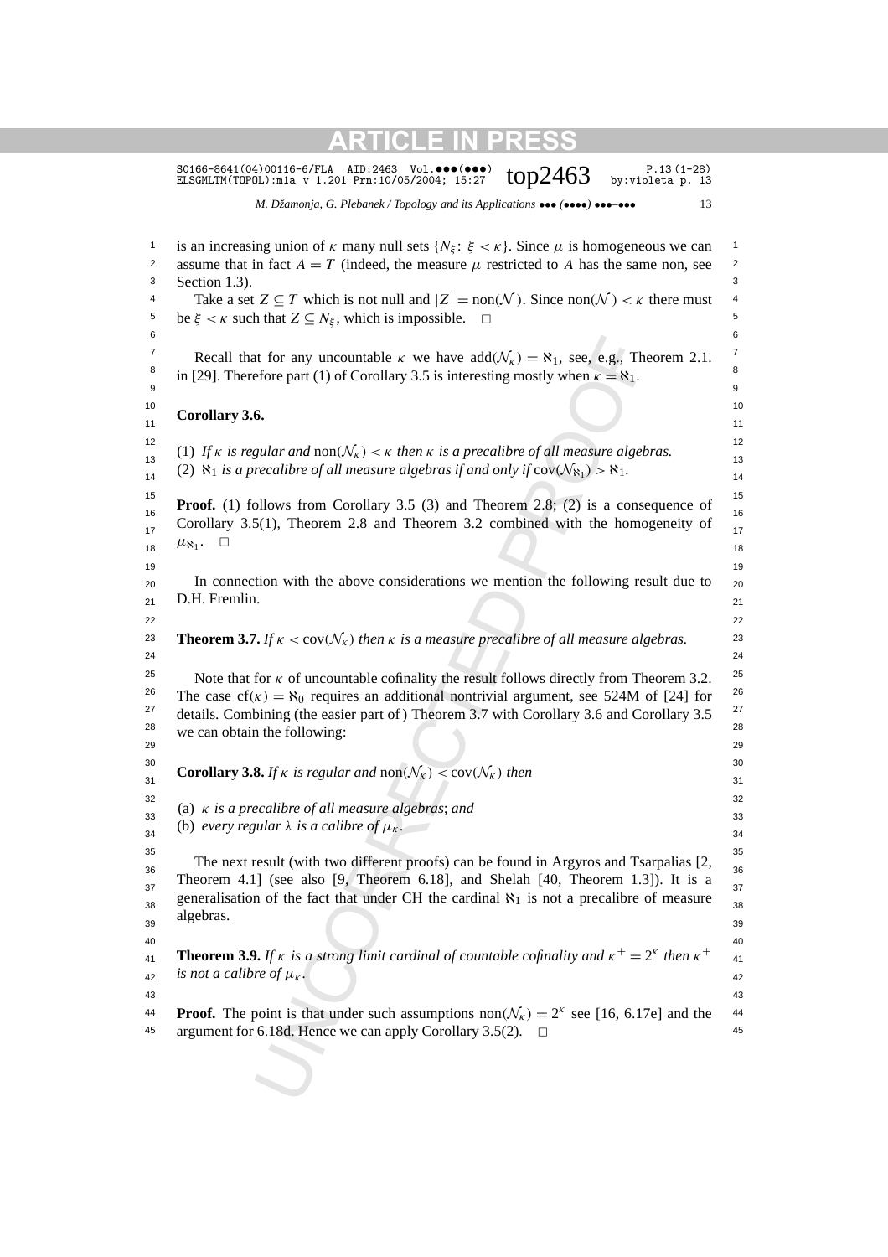|                    | M. Džamonja, G. Plebanek / Topology and its Applications $\bullet \bullet \bullet (\bullet \bullet \bullet) \bullet \bullet \bullet \bullet \bullet \bullet$<br>13                     |
|--------------------|----------------------------------------------------------------------------------------------------------------------------------------------------------------------------------------|
|                    |                                                                                                                                                                                        |
|                    | is an increasing union of $\kappa$ many null sets $\{N_{\xi} : \xi < \kappa\}$ . Since $\mu$ is homogeneous we can                                                                     |
|                    | assume that in fact $A = T$ (indeed, the measure $\mu$ restricted to A has the same non, see                                                                                           |
|                    | Section 1.3).<br>Take a set $Z \subseteq T$ which is not null and $ Z  = \text{non}(\mathcal{N})$ . Since $\text{non}(\mathcal{N}) < \kappa$ there must                                |
|                    | be $\xi < \kappa$ such that $Z \subseteq N_{\xi}$ , which is impossible. $\square$                                                                                                     |
|                    |                                                                                                                                                                                        |
|                    | Recall that for any uncountable $\kappa$ we have $add(\mathcal{N}_{\kappa}) = \aleph_1$ , see, e.g., Theorem 2.1.                                                                      |
|                    | in [29]. Therefore part (1) of Corollary 3.5 is interesting mostly when $\kappa = \aleph_1$ .                                                                                          |
|                    | Corollary 3.6.                                                                                                                                                                         |
|                    | (1) If $\kappa$ is regular and non( $\mathcal{N}_{\kappa}$ ) < $\kappa$ then $\kappa$ is a precalibre of all measure algebras.                                                         |
|                    | (2) $\aleph_1$ is a precalibre of all measure algebras if and only if $cov(\mathcal{N}_{\aleph_1}) > \aleph_1$ .                                                                       |
|                    | <b>Proof.</b> (1) follows from Corollary 3.5 (3) and Theorem 2.8; (2) is a consequence of                                                                                              |
|                    | Corollary 3.5(1), Theorem 2.8 and Theorem 3.2 combined with the homogeneity of                                                                                                         |
| $\mu_{\aleph_1}$ . | $\Box$                                                                                                                                                                                 |
|                    |                                                                                                                                                                                        |
|                    | In connection with the above considerations we mention the following result due to                                                                                                     |
|                    | D.H. Fremlin.                                                                                                                                                                          |
|                    | <b>Theorem 3.7.</b> If $\kappa < \text{cov}(\mathcal{N}_\kappa)$ then $\kappa$ is a measure precalibre of all measure algebras.                                                        |
|                    | Note that for $\kappa$ of uncountable cofinality the result follows directly from Theorem 3.2.                                                                                         |
|                    | The case $cf(\kappa) = \aleph_0$ requires an additional nontrivial argument, see 524M of [24] for                                                                                      |
|                    | details. Combining (the easier part of) Theorem 3.7 with Corollary 3.6 and Corollary 3.5                                                                                               |
|                    | we can obtain the following:                                                                                                                                                           |
|                    |                                                                                                                                                                                        |
|                    | <b>Corollary 3.8.</b> If $\kappa$ is regular and non $(\mathcal{N}_{\kappa}) <$ cov $(\mathcal{N}_{\kappa})$ then                                                                      |
|                    | (a) $\kappa$ is a precalibre of all measure algebras; and                                                                                                                              |
|                    | (b) every regular $\lambda$ is a calibre of $\mu_{\kappa}$ .                                                                                                                           |
|                    |                                                                                                                                                                                        |
|                    | The next result (with two different proofs) can be found in Argyros and Tsarpalias [2,                                                                                                 |
|                    | Theorem 4.1] (see also $[9,$ Theorem 6.18], and Shelah $[40,$ Theorem 1.3]). It is a                                                                                                   |
|                    | generalisation of the fact that under CH the cardinal $\aleph_1$ is not a precalibre of measure                                                                                        |
| algebras.          |                                                                                                                                                                                        |
|                    |                                                                                                                                                                                        |
|                    | <b>Theorem 3.9.</b> If $\kappa$ is a strong limit cardinal of countable cofinality and $\kappa^+ = 2^{\kappa}$ then $\kappa^+$                                                         |
|                    | is not a calibre of $\mu_{\kappa}$ .                                                                                                                                                   |
|                    |                                                                                                                                                                                        |
|                    | <b>Proof.</b> The point is that under such assumptions $\text{non}(\mathcal{N}_k) = 2^k$ see [16, 6.17e] and the<br>argument for 6.18d. Hence we can apply Corollary 3.5(2).<br>$\Box$ |
|                    |                                                                                                                                                                                        |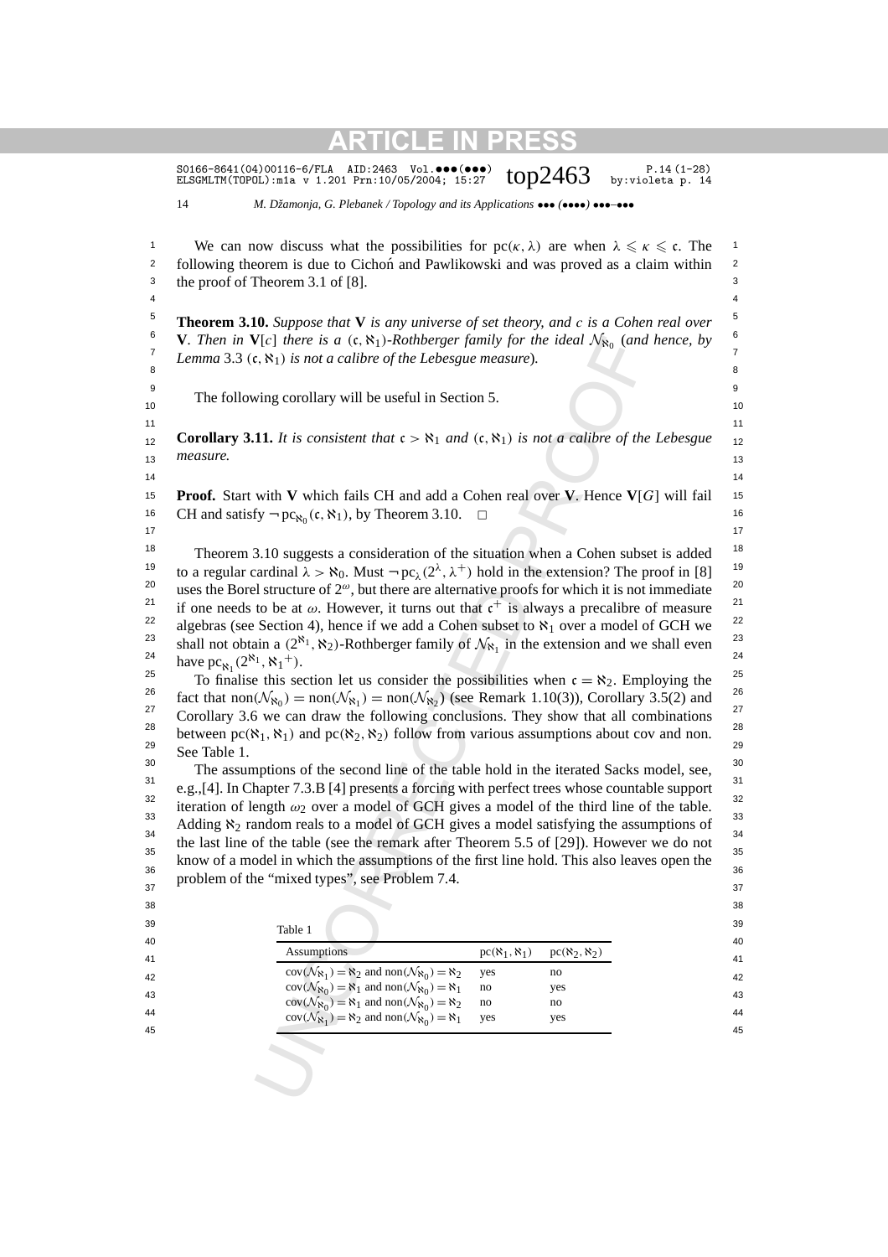$V[c]$  there is a (c, N<sub>1</sub>)-Rothberger fumily for the ideal  $N_{80}$  (and<br>  $N_{81}$ , N<sub>1</sub>) is not a calibre of the Lebesgue measure).<br>
ving corollary will be useful in Section 5.<br>
11. It is consistent that  $c > N_1$  and  $(c, N_1$ S0166-8641(04)00116-6/FLA AID:2463 Vol. ••• (•••)  $top2463$  P.14(1-28)<br>ELSGMLTM(TOPOL):mia v 1.201 Prn:10/05/2004; 15:27  $top2463$  by:violeta p. 14 ELSGMLTM(TOPOL):m1a v 1.201 Prn:10/05/2004; 15:27 14 *M. Džamonja, G. Plebanek / Topology and its Applications* ••• *(*••••*)* •••*–*••• 1 We can now discuss what the possibilities for  $pc(\kappa, \lambda)$  are when  $\lambda \leq \kappa \leq \mathfrak{c}$ . The <sup>2</sup> following theorem is due to Cichon and Pawlikowski and was proved as a claim within <sup>2</sup> 3 3 the proof of Theorem 3.1 of [8]. 4 4 5 5 **Theorem 3.10.** *Suppose that* **V** *is any universe of set theory, and c is a Cohen real over* <sup>6</sup> **V***. Then in* **V**[*c*] *there is a* (c,  $\aleph_1$ )*-Rothberger family for the ideal*  $\mathcal{N}_{\aleph_0}$  (*and hence, by T Lemma* 3.3  $(\mathfrak{c}, \aleph_1)$  *is not a calibre of the Lebesgue measure*). 8 a component contract to the contract of the contract of the contract of the contract of the contract of the c<br>Second contract of the contract of the contract of the contract of the contract of the contract of the contrac 9 9 The following corollary will be useful in Section 5.  $\frac{10}{10}$  $11$  11 **Corollary 3.11.** *It is consistent that*  $c > \aleph_1$  *and*  $(c, \aleph_1)$  *is not a calibre of the Lebesgue*  $_{12}$  $13$  measure.  $13$  $14$   $14$ 15 15 **Proof.** Start with **V** which fails CH and add a Cohen real over **V**. Hence **V**[*G*] will fail 16 CH and satisfy  $\neg pc_{\aleph_0}(\mathfrak{c}, \aleph_1)$ , by Theorem 3.10.  $\Box$  $17$  and  $17$ <sup>18</sup> Theorem 3.10 suggests a consideration of the situation when a Cohen subset is added <sup>18</sup> <sup>19</sup> to a regular cardinal  $\lambda > \aleph_0$ . Must  $\neg pc_\lambda(2^\lambda, \lambda^+)$  hold in the extension? The proof in [8] <sup>19</sup> <sup>20</sup> uses the Borel structure of  $2^\omega$ , but there are alternative proofs for which it is not immediate <sup>20</sup> <sup>21</sup> if one needs to be at  $\omega$ . However, it turns out that  $c^+$  is always a precalibre of measure<sup>21</sup> <sup>22</sup> algebras (see Section 4), hence if we add a Cohen subset to  $\aleph_1$  over a model of GCH we  $^{23}$  chall not obtain a  $(28)$  N bethbought funity of  $\mathcal{N}$  in the extension and use shall even  $^{23}$ <sup>23</sup> shall not obtain a  $(2^{\aleph_1}, \aleph_2)$ -Rothberger family of  $\mathcal{N}_{\aleph_1}$  in the extension and we shall even <sup>23</sup><br><sup>24</sup> have not  $(2^{\aleph_1}, \aleph_1)$ 25 25 To finalise this section let us consider the possibilities when c = ℵ2. Employing the <sup>26</sup> fact that non $(\mathcal{N}_{\aleph_0}) = \text{non}(\mathcal{N}_{\aleph_1}) = \text{non}(\mathcal{N}_{\aleph_2})$  (see Remark 1.10(3)), Corollary 3.5(2) and  $\frac{26}{27}$  $^{27}$  Corollary 3.6 we can draw the following conclusions. They show that all combinations  $^{27}$ between  $pc(\aleph_1, \aleph_1)$  and  $pc(\aleph_2, \aleph_2)$  follow from various assumptions about cov and non.  $29 \t\t 29$  $\frac{30}{10}$  The assumptions of the second line of the table hold in the iterated Sacks model, see,  $\frac{30}{10}$  $e.g., [4]$ . In Chapter 7.3.B [4] presents a forcing with perfect trees whose countable support <sup>32</sup> iteration of length  $\omega_2$  over a model of GCH gives a model of the third line of the table.  $^{33}$  Adding  $\aleph_2$  random reals to a model of GCH gives a model satisfying the assumptions of  $^{33}$ <sup>34</sup> the last line of the table (see the remark after Theorem 5.5 of [29]). However we do not  $35$   $\phantom{00}$   $\phantom{00}$   $\phantom{00}$   $\phantom{00}$   $\phantom{00}$   $\phantom{00}$   $\phantom{00}$   $\phantom{00}$   $\phantom{00}$   $\phantom{00}$   $\phantom{00}$   $\phantom{00}$   $\phantom{00}$   $\phantom{00}$   $\phantom{00}$   $\phantom{00}$   $\phantom{00}$   $\phantom{00}$   $\phantom{00}$   $\phantom{00}$   $\phantom{00}$   $\phantom{0$  $\frac{36}{36}$  know of a model in which the assumptions of the first line hold. This also leaves open the  $\frac{37}{37}$  problem of the "mixed types", see Problem 7.4. 38 38  $39$  39 40 40 41  $\frac{1}{r^{(1)}(1)}$   $\frac{1}{r^{(2)}(1)}$   $\frac{1}{r^{(3)}(1)}$  41  $cov(\mathcal{N}_{\aleph_1}) = \aleph_2$  and  $non(\mathcal{N}_{\aleph_0}) = \aleph_2$  yes no 42 43  $cov(N_{\aleph_0}) = \aleph_1$  and  $hom(N_{\aleph_0}) = \aleph_2$  no no no 143 *measure.* have  $pc_{\aleph_1}(2^{\aleph_1}, \aleph_1^+)$ . See Table 1. Table 1 Assumptions  $pc(\aleph_1, \aleph_1)$   $pc(\aleph_2, \aleph_2)$  $cov(\mathcal{N}_{\aleph_0}) = \aleph_1$  and  $non(\mathcal{N}_{\aleph_0}) = \aleph_1$  no yes

 $cov(\mathcal{N}_{\aleph_1}) = \aleph_2$  and  $non(\mathcal{N}_{\aleph_0}) = \aleph_1$  yes yes yes 45 45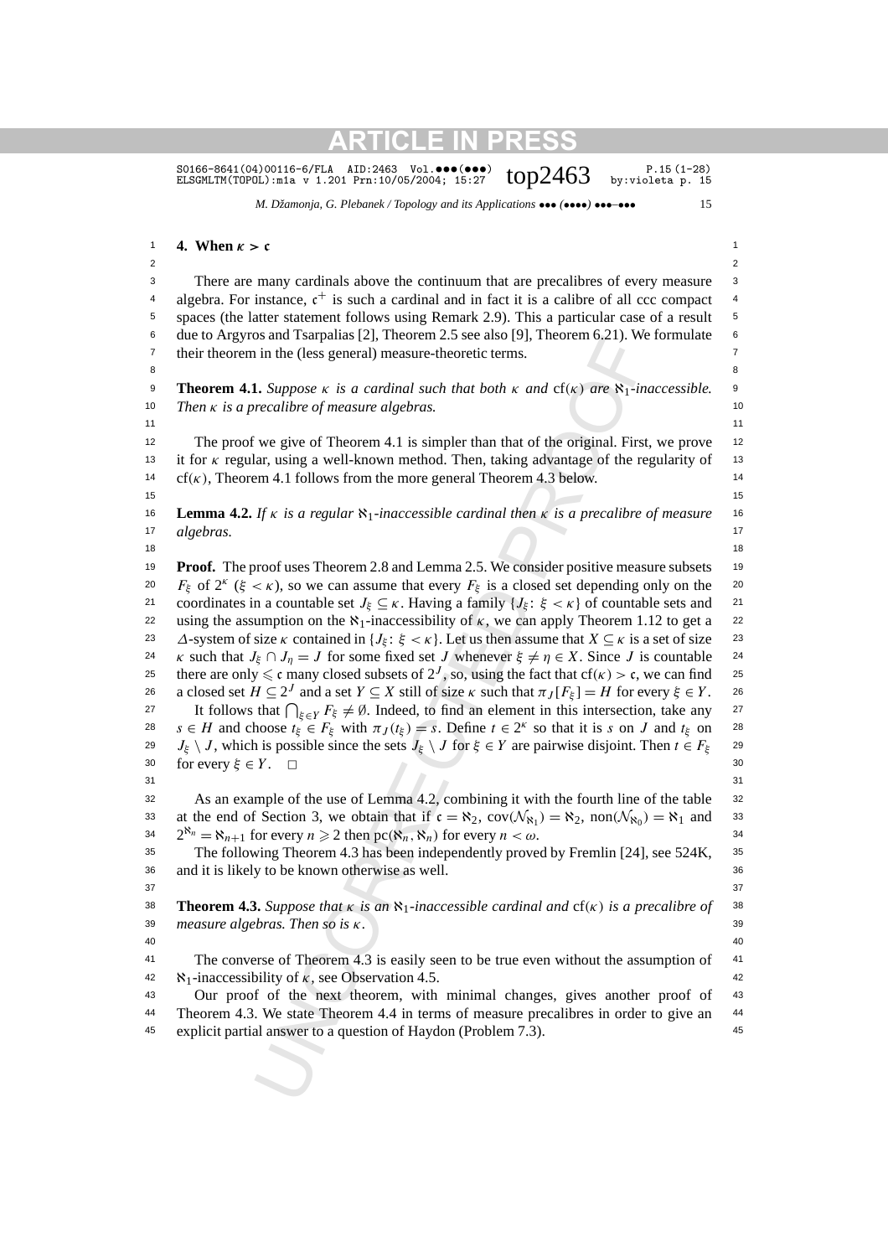S0166-8641(04)00116-6/FLA AID:2463 Vol. $\bullet\bullet\bullet\bullet\bullet\bullet$ )  $\bullet\bullet\cdot$   $\bullet\cdot$  P.15(1-28)<br>ELSGMLTM(TOPOL):m1a v 1.201 Prn:10/05/2004; 15:27  $\bullet$   $\bullet$   $\bullet$   $\bullet$  by:violeta p. 15

*M. Džamonja, G. Plebanek / Topology and its Applications* ••• *(*••••*)* •••*–*••• 15

#### 1 **4.** When  $\kappa > c$  1

2  $\sim$  2

<sup>3</sup> There are many cardinals above the continuum that are precalibres of every measure <sup>3</sup> <sup>4</sup> algebra. For instance,  $c^+$  is such a cardinal and in fact it is a calibre of all ccc compact <sup>4</sup> 5 5 spaces (the latter statement follows using Remark 2.9). This a particular case of a result 6 6 due to Argyros and Tsarpalias [2], Theorem 2.5 see also [9], Theorem 6.21). We formulate 7 7 their theorem in the (less general) measure-theoretic terms.

8 8

9 9 **Theorem 4.1.** *Suppose κ is a cardinal such that both κ and* cf*(κ) are* ℵ1*-inaccessible.* 10 10 *Then κ is a precalibre of measure algebras.*

 $11$  11

<sup>12</sup> The proof we give of Theorem 4.1 is simpler than that of the original. First, we prove <sup>12</sup> 13 13 it for *κ* regular, using a well-known method. Then, taking advantage of the regularity of 14 14 cf*(κ)*, Theorem 4.1 follows from the more general Theorem 4.3 below.

 $15$  15

16 16 **Lemma 4.2.** *If κ is a regular* ℵ1*-inaccessible cardinal then κ is a precalibre of measure* 17 algebras. 17 *algebras.*

18 18

is an issipants 1(2), tinotential 2, see ansigly, measure (6,21), we<br>is an issipants 1(2), theorem 4.2 see ansigly, measure of the correct terms.<br>
1. Suppose  $\kappa$  is a cardinal such that both  $\kappa$  and  $c f(\kappa)$  are  $R_1$ <sup>19</sup> Proof. The proof uses Theorem 2.8 and Lemma 2.5. We consider positive measure subsets <sup>19</sup> <sup>20</sup>  $F_{\xi}$  of 2<sup>*κ*</sup> ( $\xi < \kappa$ ), so we can assume that every  $F_{\xi}$  is a closed set depending only on the <sup>20</sup> 21 coordinates in a countable set *J<sub>ξ</sub>* ⊆ *κ*. Having a family {*J<sub>ξ</sub>*: *ξ* < *κ*} of countable sets and <sup>21</sup> <sup>22</sup> using the assumption on the  $\aleph_1$ -inaccessibility of *κ*, we can apply Theorem 1.12 to get a <sup>22</sup> 23 *∆*-system of size *κ* contained in {*J<sub>ξ</sub>*: *ξ* < *κ*}. Let us then assume that *X* ⊆ *κ* is a set of size 23 24 *κ* such that *J<sub>ξ</sub>* ∩ *J<sub>η</sub>* = *J* for some fixed set *J* whenever  $ξ ≠ η ∈ X$ . Since *J* is countable 24 25 there are only  $\leq$  c many closed subsets of  $2^J$ , so, using the fact that cf( $\kappa$ ) > c, we can find 25 26 a closed set  $H \subseteq 2^J$  and a set  $Y \subseteq X$  still of size  $\kappa$  such that  $\pi_J[F_{\xi}] = H$  for every  $\xi \in Y$ . 26 27 It follows that  $\bigcap_{\xi \in Y} F_{\xi} \neq \emptyset$ . Indeed, to find an element in this intersection, take any 27 28  $s \in H$  and choose  $t_{\xi} \in F_{\xi}$  with  $\pi_J(t_{\xi}) = s$ . Define  $t \in 2^k$  so that it is *s* on *J* and  $t_{\xi}$  on 28 29  $J_{\xi} \setminus J$ , which is possible since the sets  $J_{\xi} \setminus J$  for  $\xi \in Y$  are pairwise disjoint. Then  $t \in F_{\xi}$  29 30 for every *ξ* ∈ *Y* . <u>□</u> 30

 $31$   $31$ 

32 32 As an example of the use of Lemma 4.2, combining it with the fourth line of the table 33 at the end of Section 3, we obtain that if  $c = \aleph_2$ ,  $cov(\mathcal{N}_{\aleph_1}) = \aleph_2$ ,  $non(\mathcal{N}_{\aleph_0}) = \aleph_1$  and 33  $2^{\aleph_n} = \aleph_{n+1}$  for every  $n \ge 2$  then pc $(\aleph_n, \aleph_n)$  for every  $n < \omega$ .

35 35 The following Theorem 4.3 has been independently proved by Fremlin [24], see 524K, 36 36 and it is likely to be known otherwise as well.

38 38 **Theorem 4.3.** *Suppose that κ is an* ℵ1*-inaccessible cardinal and* cf*(κ) is a precalibre of* 39 39 *measure algebras. Then so is κ.*

 $37$   $37$ 

40 40

<sup>41</sup> The converse of Theorem 4.3 is easily seen to be true even without the assumption of <sup>41</sup> 42  $\aleph_1$ -inaccessibility of *κ*, see Observation 4.5.

43 43 Our proof of the next theorem, with minimal changes, gives another proof of <sup>44</sup> Theorem 4.3. We state Theorem 4.4 in terms of measure precalibres in order to give an <sup>44</sup> 45 45 explicit partial answer to a question of Haydon (Problem 7.3).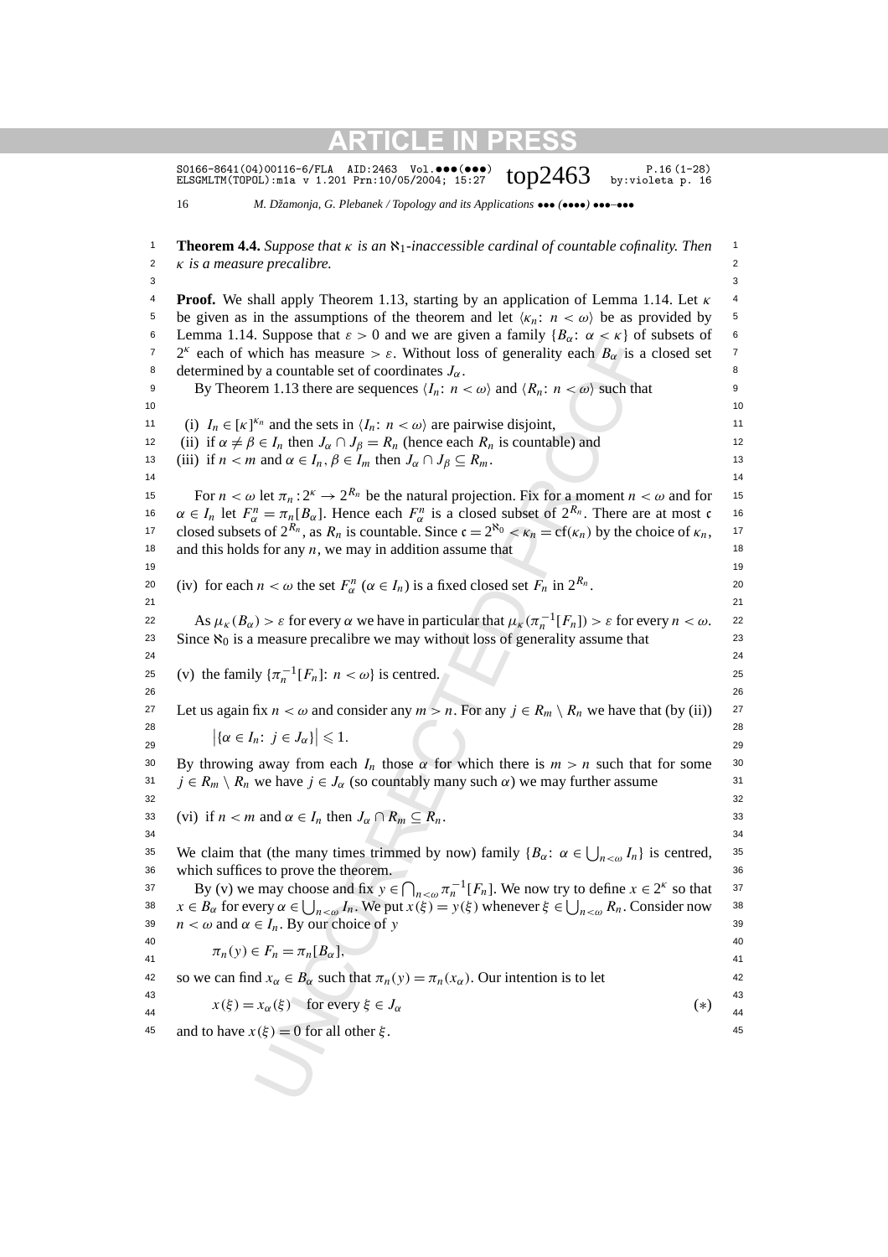|        | S0166-8641 (04) 00116-6/FLA<br>$AID:2463$ Vol. $\bullet\bullet\bullet(\bullet\bullet\bullet)$<br>$P.16(1-28)$<br>top2463<br>by:violeta p. 16<br>ELSGMLTM(TOPOL): m1a v 1.201 Prn: 10/05/2004; 15:27 |       |
|--------|-----------------------------------------------------------------------------------------------------------------------------------------------------------------------------------------------------|-------|
| 16     | M. Džamonja, G. Plebanek / Topology and its Applications $\bullet \bullet \bullet (\bullet \bullet \bullet) \bullet \bullet \bullet \bullet \bullet \bullet$                                        |       |
|        | <b>Theorem 4.4.</b> Suppose that $\kappa$ is an $\aleph_1$ -inaccessible cardinal of countable cofinality. Then                                                                                     |       |
| 2<br>3 | $\kappa$ is a measure precalibre.                                                                                                                                                                   |       |
| 4      | <b>Proof.</b> We shall apply Theorem 1.13, starting by an application of Lemma 1.14. Let $\kappa$                                                                                                   |       |
|        | be given as in the assumptions of the theorem and let $\langle \kappa_n : n < \omega \rangle$ be as provided by                                                                                     |       |
|        | Lemma 1.14. Suppose that $\varepsilon > 0$ and we are given a family $\{B_{\alpha}: \alpha < \kappa\}$ of subsets of                                                                                |       |
|        | $2^k$ each of which has measure > $\varepsilon$ . Without loss of generality each $B_{\alpha}$ is a closed set                                                                                      |       |
|        | determined by a countable set of coordinates $J_{\alpha}$ .                                                                                                                                         |       |
|        | By Theorem 1.13 there are sequences $\langle I_n: n < \omega \rangle$ and $\langle R_n: n < \omega \rangle$ such that                                                                               |       |
|        |                                                                                                                                                                                                     |       |
|        | (i) $I_n \in [\kappa]^{K_n}$ and the sets in $\langle I_n : n \langle \omega \rangle$ are pairwise disjoint,                                                                                        |       |
|        | (ii) if $\alpha \neq \beta \in I_n$ then $J_{\alpha} \cap J_{\beta} = R_n$ (hence each $R_n$ is countable) and                                                                                      |       |
|        | (iii) if $n < m$ and $\alpha \in I_n$ , $\beta \in I_m$ then $J_\alpha \cap J_\beta \subseteq R_m$ .                                                                                                |       |
|        |                                                                                                                                                                                                     |       |
|        | For $n < \omega$ let $\pi_n : 2^k \to 2^{R_n}$ be the natural projection. Fix for a moment $n < \omega$ and for                                                                                     |       |
|        | $\alpha \in I_n$ let $F_\alpha^n = \pi_n[B_\alpha]$ . Hence each $F_\alpha^n$ is a closed subset of $2^{R_n}$ . There are at most c                                                                 |       |
|        | closed subsets of $2^{R_n}$ , as $R_n$ is countable. Since $\mathfrak{c} = 2^{\aleph_0} < \kappa_n = \text{cf}(\kappa_n)$ by the choice of $\kappa_n$ ,                                             |       |
|        | and this holds for any $n$ , we may in addition assume that                                                                                                                                         |       |
|        | (iv) for each $n < \omega$ the set $F^n_\alpha$ ( $\alpha \in I_n$ ) is a fixed closed set $F_n$ in $2^{R_n}$ .                                                                                     |       |
|        |                                                                                                                                                                                                     |       |
|        | As $\mu_K(B_\alpha) > \varepsilon$ for every $\alpha$ we have in particular that $\mu_K(\pi_n^{-1}[F_n]) > \varepsilon$ for every $n < \omega$ .                                                    |       |
|        | Since $\aleph_0$ is a measure precalibre we may without loss of generality assume that                                                                                                              |       |
|        |                                                                                                                                                                                                     |       |
|        | (v) the family $\{\pi_n^{-1}[F_n]: n < \omega\}$ is centred.                                                                                                                                        |       |
|        |                                                                                                                                                                                                     |       |
|        | Let us again fix $n < \omega$ and consider any $m > n$ . For any $j \in R_m \setminus R_n$ we have that (by (ii))                                                                                   |       |
|        | $ \{\alpha \in I_n : j \in J_\alpha\}  \leq 1.$                                                                                                                                                     |       |
|        |                                                                                                                                                                                                     |       |
|        | By throwing away from each $I_n$ those $\alpha$ for which there is $m > n$ such that for some                                                                                                       |       |
|        | $j \in R_m \setminus R_n$ we have $j \in J_\alpha$ (so countably many such $\alpha$ ) we may further assume                                                                                         |       |
|        |                                                                                                                                                                                                     |       |
|        | (vi) if $n < m$ and $\alpha \in I_n$ then $J_\alpha \cap R_m \subseteq R_n$ .                                                                                                                       |       |
|        | We claim that (the many times trimmed by now) family $\{B_{\alpha}: \alpha \in \bigcup_{n < \omega} I_n\}$ is centred,                                                                              |       |
|        | which suffices to prove the theorem.                                                                                                                                                                |       |
|        | By (v) we may choose and fix $y \in \bigcap_{n < \omega} \pi_n^{-1}[F_n]$ . We now try to define $x \in 2^k$ so that                                                                                |       |
|        | $x \in B_\alpha$ for every $\alpha \in \bigcup_{n < \omega} I_n$ . We put $x(\xi) = y(\xi)$ whenever $\xi \in \bigcup_{n < \omega} R_n$ . Consider now                                              |       |
|        | $n < \omega$ and $\alpha \in I_n$ . By our choice of y                                                                                                                                              |       |
|        |                                                                                                                                                                                                     |       |
|        | $\pi_n(y) \in F_n = \pi_n[B_\alpha],$                                                                                                                                                               |       |
|        | so we can find $x_{\alpha} \in B_{\alpha}$ such that $\pi_n(y) = \pi_n(x_{\alpha})$ . Our intention is to let                                                                                       |       |
|        | $x(\xi) = x_\alpha(\xi)$ for every $\xi \in J_\alpha$                                                                                                                                               | $(*)$ |
|        | and to have $x(\xi) = 0$ for all other $\xi$ .                                                                                                                                                      |       |
|        |                                                                                                                                                                                                     |       |
|        |                                                                                                                                                                                                     |       |
|        |                                                                                                                                                                                                     |       |
|        |                                                                                                                                                                                                     |       |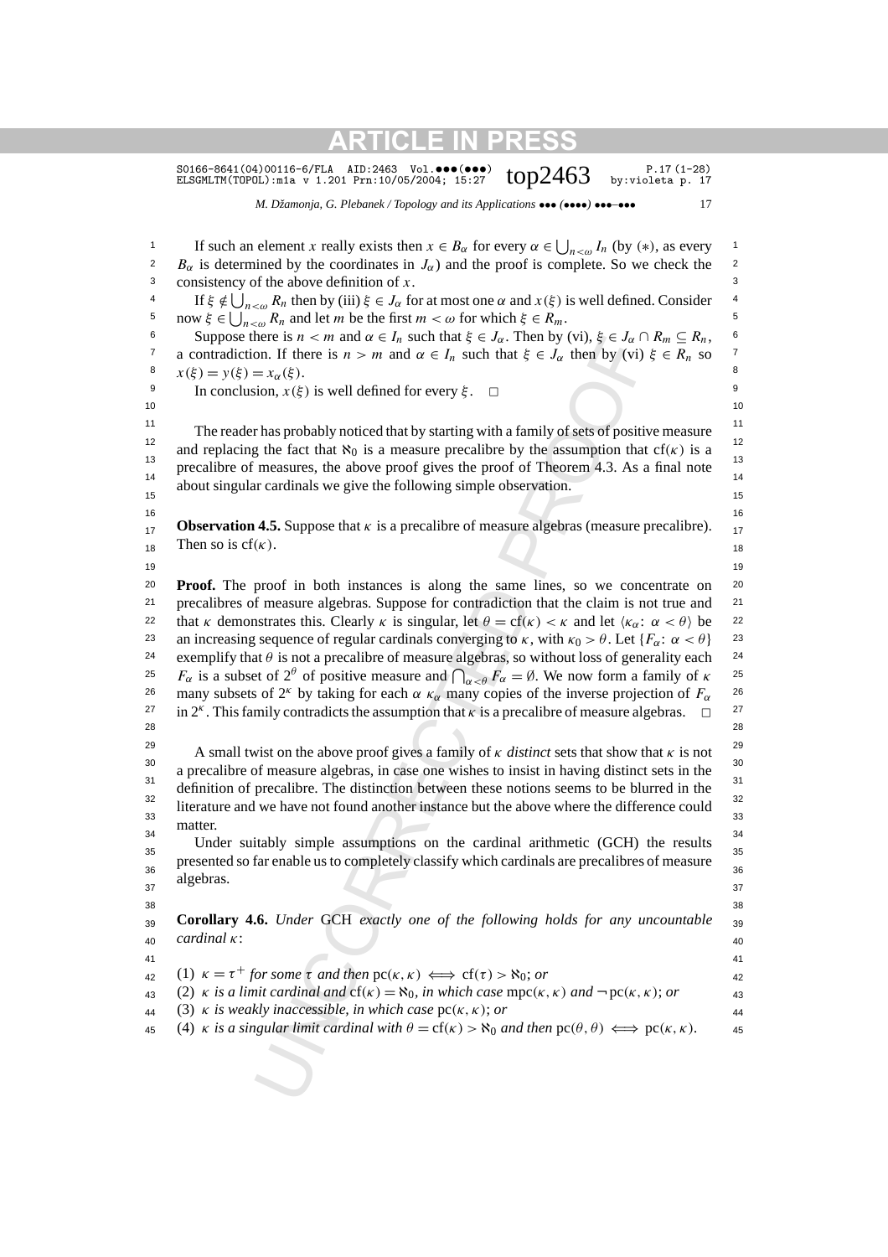S0166-8641(04)00116-6/FLA AID:2463 Vol. $\bullet\bullet\bullet\bullet\bullet\bullet$ )  $\bullet\bullet\cdot\bullet\cdot$  P.17(1-28)<br>ELSGMLTM(TOPOL):m1a v 1.201 Prn:10/05/2004; 15:27  $\bullet$   $\bullet$   $\bullet$ 2463 by:violeta p. 17

*M. Džamonja, G. Plebanek / Topology and its Applications* ••• *(*••••*)* •••*–*••• 17

here is  $n \le m$  and  $\alpha \in I_n$  such that  $\xi \in J_{\alpha}$ . Then by (vt),  $\xi \in I_{\alpha}$  in the part of  $\epsilon$ ,  $I_n$  is not that  $\xi \in J_n$  then by (vt)  $= x_{\alpha}(\xi)$ .<br>
ion,  $x(\xi)$  is well defined for every  $\xi$ .  $\square$ <br>  $= x_{\alpha}(\xi)$ .<br>
ion, 1 If such an element *x* really exists then  $x \in B_\alpha$  for every  $\alpha \in \bigcup_{n < \omega} I_n$  (by (\*), as every <sup>2</sup>  $B_{\alpha}$  is determined by the coordinates in  $J_{\alpha}$ ) and the proof is complete. So we check the <sup>2</sup> 3 consistency of the above definition of  $x$ . 3  $4$  If *ξ*  $\notin \bigcup_{n < \omega} R_n$  then by (iii) *ξ* ∈ *J*<sub>α</sub> for at most one *α* and *x*(*ξ*) is well defined. Consider <sup>4</sup> <sup>5</sup> now *ξ* ∈  $\bigcup_{n < \omega} R_n$  and let *m* be the first *m* < ω for which *ξ* ∈  $R_m$ . 6 Suppose there is *n* < *m* and *α* ∈ *I<sub>n</sub>* such that *ξ* ∈ *J<sub>α</sub>*. Then by (vi), *ξ* ∈ *J<sub>α</sub>* ∩ *R<sub>m</sub>* ⊆ *R<sub>n</sub>*, 6 <sup>7</sup> a contradiction. If there is *n > m* and *α* ∈ *I<sub>n</sub>* such that *ξ* ∈ *J<sub>α</sub>* then by (vi) *ξ* ∈ *R<sub>n</sub>* so <sup>7</sup> 8  $x(\xi) = y(\xi) = x_\alpha(\xi)$ . <sup>9</sup> In conclusion, *x*(*ξ*) is well defined for every *ξ*.  $□$  $10$ <sup>11</sup> 11 The reader has probably noticed that by starting with a family of sets of positive measure <sup>12</sup> and replacing the fact that  $\aleph_0$  is a measure precalibre by the assumption that cf(κ) is a <sup>12</sup> <sup>13</sup> precalibre of measures, the above proof gives the proof of Theorem 4.3. As a final note  $\frac{13}{14}$  $14$  1 about singular cardinals we give the following simple observation.  $16$  16 **Observation 4.5.** Suppose that *κ* is a precalibre of measure algebras (measure precalibre).  $_{17}$ Then so is cf( $\kappa$ ). 19 19 <sup>20</sup> **Proof.** The proof in both instances is along the same lines, so we concentrate on <sup>20</sup> <sup>21</sup> precalibres of measure algebras. Suppose for contradiction that the claim is not true and <sup>21</sup> 22 that *κ* demonstrates this. Clearly *κ* is singular, let  $θ = cf(κ) < κ$  and let  $\langle κ_α: α < θ \rangle$  be 22 23 an increasing sequence of regular cardinals converging to *κ*, with  $\kappa_0 > \theta$ . Let  $\{F_\alpha : \alpha < \theta\}$  23 <sup>24</sup> exemplify that  $θ$  is not a precalibre of measure algebras, so without loss of generality each <sup>24</sup> <sup>25</sup>  $F_\alpha$  is a subset of 2<sup>θ</sup> of positive measure and  $\bigcap_{\alpha < \theta} F_\alpha = \emptyset$ . We now form a family of *κ*<sup>25</sup> <sup>26</sup> many subsets of 2<sup>κ</sup> by taking for each *α*  $κ_\alpha$  many copies of the inverse projection of  $F_\alpha$  <sup>26</sup>  $27$  in 2<sup>*κ*</sup>. This family contradicts the assumption that *κ* is a precalibre of measure algebras.  $\Box$ <sup>27</sup> 28 28 29 A small twist on the above proof gives a family of *κ distinct* sets that show that *κ* is not <sup>30</sup> a precalibre of measure algebras, in case one wishes to insist in having distinct sets in the  $\frac{31}{2}$  definition of precalibre. The distinction between these notions seems to be blurred in the 32 32  $rac{33}{33}$  literature and we have not found another instance but the above where the difference could  $\frac{32}{33}$ <sup>34</sup> Under suitably simple assumptions on the cardinal arithmetic (GCH) the results  $35$   $35$   $35$ presented so far enable us to completely classify which cardinals are precalibres of measure  $\frac{36}{36}$  $37$   $37$   $37$ 38 38 39 39 **Corollary 4.6.** *Under* GCH *exactly one of the following holds for any uncountable*  $_{40}$  caramatic  $_{40}$ 41 41  $\kappa = \tau^+$  *for some*  $\tau$  *and then*  $\mathrm{pc}(\kappa, \kappa) \iff \mathrm{cf}(\tau) > \aleph_0$ ; *or*  $\kappa$  (2) *κ is a limit cardinal and* cf(*κ*) =  $\aleph$ <sub>0</sub>*, in which case* mpc(*κ, κ*) *and* − pc(*κ, κ*); *or*  $\qquad 43$ 44 44 (3) *κ is weakly inaccessible, in which case* pc*(κ, κ)*; *or* 45 (4) *κ is a singular limit cardinal with*  $\theta = cf(\kappa) > \aleph_0$  *and then*  $\text{pc}(\theta, \theta) \iff \text{pc}(\kappa, \kappa)$ *.* 45 matter. algebras. *cardinal κ*: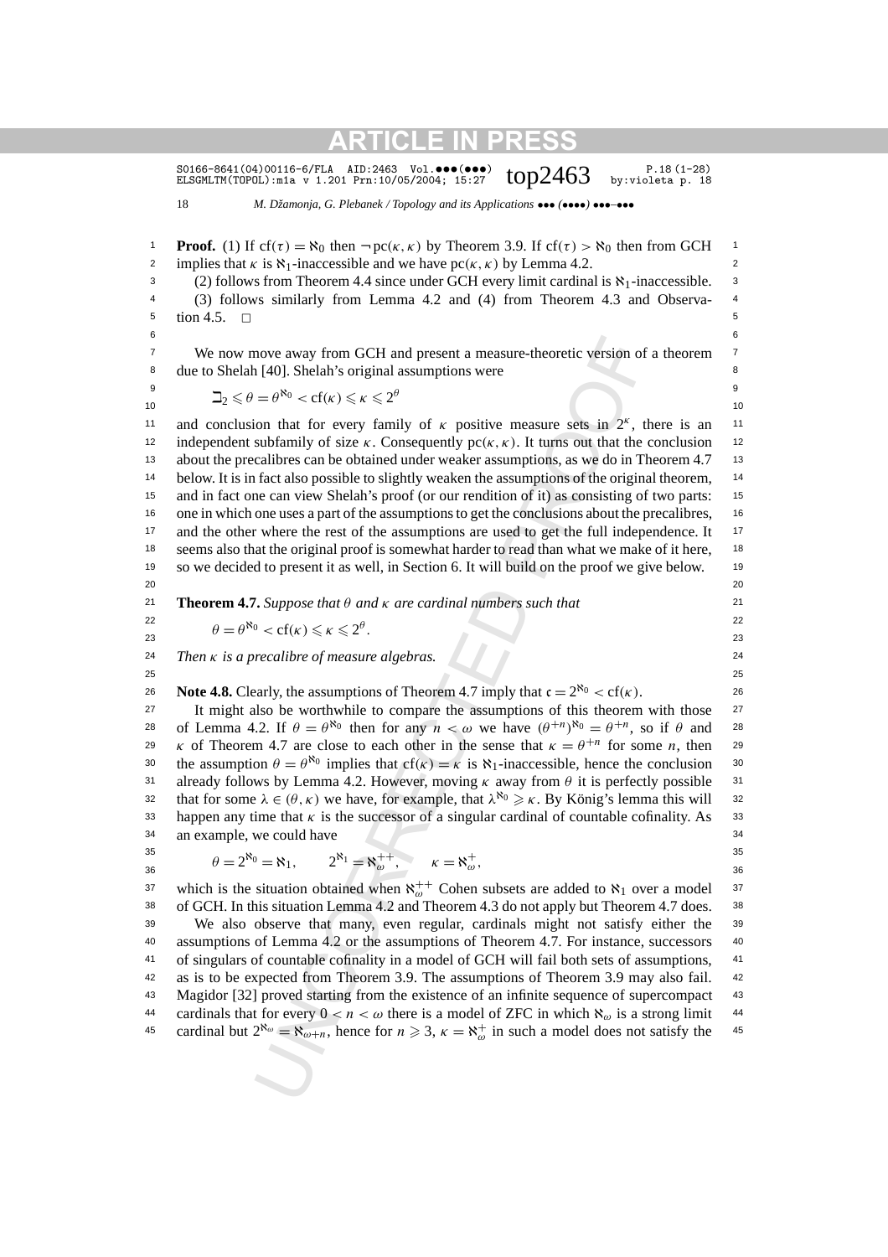S0166-8641(04)00116-6/FLA AID:2463 Vol. $\bullet\bullet\bullet\bullet\bullet\bullet$ )  $\bullet\bullet\cdot$   $\bullet\cdot$  P.18(1-28)<br>ELSGMLTM(TOPOL):m1a v 1.201 Prn:10/05/2004; 15:27  $\bullet$   $\bullet$   $\bullet$   $\bullet$  by:violeta p. 18

18 *M. Džamonja, G. Plebanek / Topology and its Applications* ••• *(*••••*)* •••*–*•••

**Proof.** (1) If cf( $\tau$ ) =  $\aleph_0$  then  $\neg$  pc( $\kappa$ ,  $\kappa$ ) by Theorem 3.9. If cf( $\tau$ ) >  $\aleph_0$  then from GCH  $\Box$ 2 implies that *κ* is  $\aleph_1$ -inaccessible and we have  $pc(\kappa, \kappa)$  by Lemma 4.2.

3 (2) follows from Theorem 4.4 since under GCH every limit cardinal is  $\aleph_1$ -inaccessible. <sup>3</sup> 4 4 (3) follows similarly from Lemma 4.2 and (4) from Theorem 4.3 and Observa- $5 \t{.} \t{.} \t{5}$ 

 $6$ 

<sup>7</sup> We now move away from GCH and present a measure-theoretic version of a theorem <sup>7</sup> 8 due to Shelah [40]. Shelah's original assumptions were 8

9<br>  $\frac{9}{2}$  2 ≤ θ = θ<sup>N</sup><sup>0</sup> < cf(κ) ≤ κ ≤ 2<sup>θ</sup>  $-2 < i$  10

nove away from GCH and present a measure-theoretic version of [40]. Shelah's original assumptions were  $= \theta^{N_0} \lt \epsilon f(\kappa) \leq \kappa \leq 2^6$ <br>on that for every family of  $\kappa$  positive measure sets in 2<sup>s</sup>, dust<br>brannil or ever 11 and conclusion that for every family of  $\kappa$  positive measure sets in  $2^{\kappa}$ , there is an 11 12 independent subfamily of size  $\kappa$ . Consequently  $pc(\kappa, \kappa)$ . It turns out that the conclusion <sup>12</sup> <sup>13</sup> about the precalibres can be obtained under weaker assumptions, as we do in Theorem 4.7 <sup>13</sup> <sup>14</sup> below. It is in fact also possible to slightly weaken the assumptions of the original theorem, <sup>14</sup> <sup>15</sup> and in fact one can view Shelah's proof (or our rendition of it) as consisting of two parts: <sup>15</sup> <sup>16</sup> one in which one uses a part of the assumptions to get the conclusions about the precalibres, <sup>16</sup> <sup>17</sup> and the other where the rest of the assumptions are used to get the full independence. It <sup>18</sup> seems also that the original proof is somewhat harder to read than what we make of it here, <sup>18</sup> 19 19 so we decided to present it as well, in Section 6. It will build on the proof we give below. 20 20

21 21 **Theorem 4.7.** *Suppose that θ and κ are cardinal numbers such that*

22<br> *θ* = *θ*<sup>N</sup><sup>0</sup> < cf(κ) ≤ κ ≤ 2<sup>θ</sup>. 23 23

24 24 *Then κ is a precalibre of measure algebras.*

26 **Note 4.8.** Clearly, the assumptions of Theorem 4.7 imply that  $c = 2^{\aleph_0} < cf(\kappa)$ .

<sup>27</sup> It might also be worthwhile to compare the assumptions of this theorem with those <sup>27</sup> 28 of Lemma 4.2. If  $\theta = \theta^{\aleph_0}$  then for any  $n < \omega$  we have  $(\theta^{+n})^{\aleph_0} = \theta^{+n}$ , so if  $\theta$  and 28 29 *κ* of Theorem 4.7 are close to each other in the sense that  $\kappa = \theta^{+n}$  for some *n*, then 29 30 the assumption  $\theta = \theta^{\aleph_0}$  implies that cf(*κ*) = *κ* is  $\aleph_1$ -inaccessible, hence the conclusion 30 31 31 already follows by Lemma 4.2. However, moving *κ* away from *θ* it is perfectly possible 32 that for some  $\lambda \in (\theta, \kappa)$  we have, for example, that  $\lambda^{\aleph_0} \geq \kappa$ . By König's lemma this will <sup>32</sup> 33 happen any time that  $\kappa$  is the successor of a singular cardinal of countable cofinality. As  $\approx$  33 34 34 an example, we could have

 $25$  25

 $35$  35  $35$ 36  $\theta = 2^{\aleph_0} = \aleph_1, \qquad 2^{\aleph_1} = \aleph_{\omega}^{++}, \qquad \kappa = \aleph_{\omega}^{+},$  36

37 which is the situation obtained when  $\aleph_{\omega}^{++}$  Cohen subsets are added to  $\aleph_1$  over a model <sup>37</sup> 38 of GCH. In this situation Lemma 4.2 and Theorem 4.3 do not apply but Theorem 4.7 does. 39 We also observe that many, even regular, cardinals might not satisfy either the 40 assumptions of Lemma 4.2 or the assumptions of Theorem 4.7. For instance, successors

<sup>41</sup> of singulars of countable cofinality in a model of GCH will fail both sets of assumptions, <sup>41</sup> 42 42 as is to be expected from Theorem 3.9. The assumptions of Theorem 3.9 may also fail. 43 Magidor [32] proved starting from the existence of an infinite sequence of supercompact 43 44 cardinals that for every  $0 < n < \omega$  there is a model of ZFC in which  $\aleph_{\omega}$  is a strong limit 44 45 cardinal but  $2^{\aleph_{\omega}} = \aleph_{\omega+n}$ , hence for  $n \ge 3$ ,  $\kappa = \aleph_{\omega}^+$  in such a model does not satisfy the 45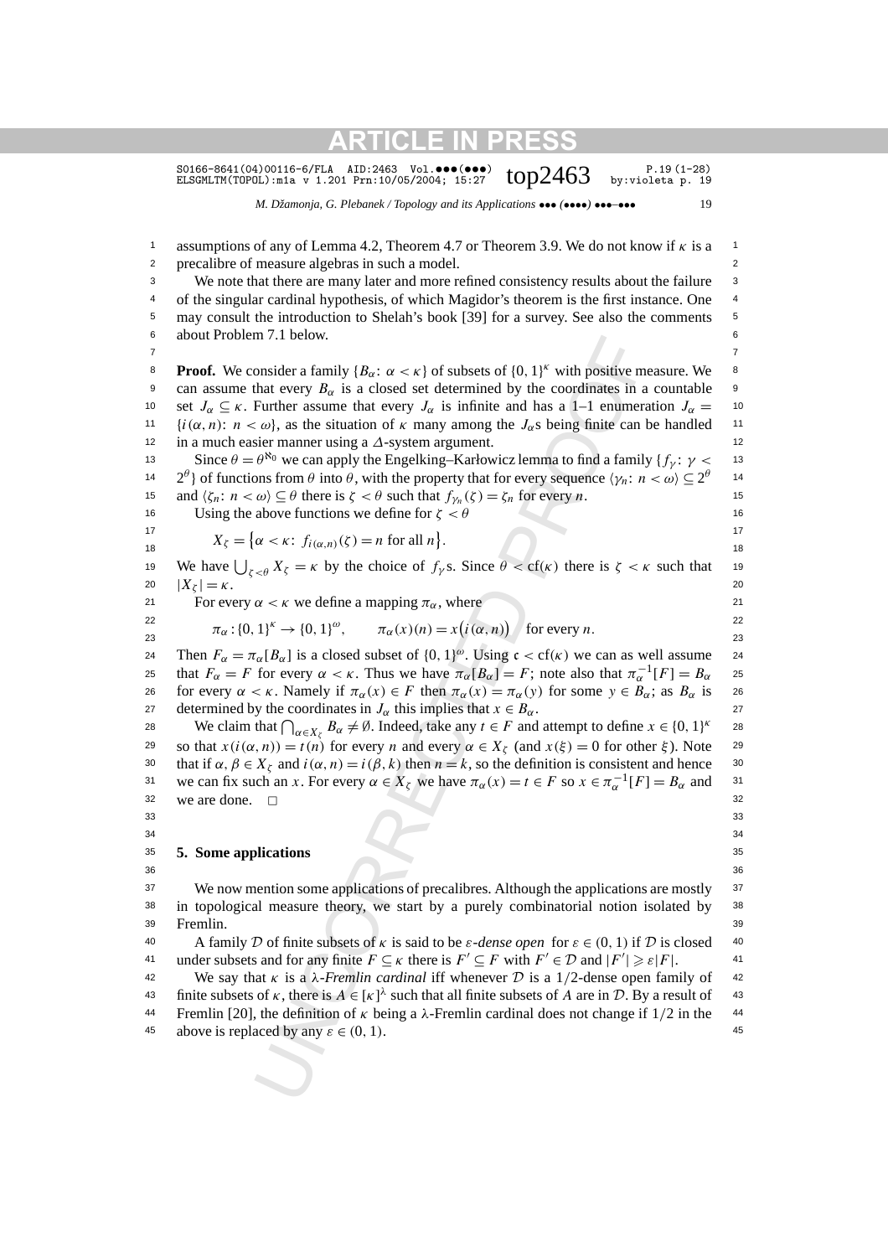S0166-8641(04)00116-6/FLA AID:2463 Vol. $\bullet\bullet\bullet\bullet\bullet\bullet$ )  $\bullet\bullet\cdot$   $\bullet\cdot$  P.19(1-28)<br>ELSGMLTM(TOPOL):m1a v 1.201 Prn:10/05/2004; 15:27  $\bullet$   $\bullet$   $\bullet$   $\bullet$   $\bullet$   $\cdot$   $\bullet$   $\cdot$  19

*M. Džamonja, G. Plebanek / Topology and its Applications* ••• *(*••••*)* •••*–*••• 19

In 7.1 betow.<br>
The Action Start and Start and Start and Start and Start and Start and Start and Start and Start and Start and Start and Start and Start and Start and Start and Start and Start and Start and Start and Start <sup>1</sup> assumptions of any of Lemma 4.2, Theorem 4.7 or Theorem 3.9. We do not know if *κ* is a <sup>1</sup> 2 2 precalibre of measure algebras in such a model. <sup>3</sup> We note that there are many later and more refined consistency results about the failure <sup>3</sup> <sup>4</sup> of the singular cardinal hypothesis, of which Magidor's theorem is the first instance. One <sup>4</sup> <sup>5</sup> may consult the introduction to Shelah's book [39] for a survey. See also the comments <sup>5</sup> 6 6 about Problem 7.1 below. 7 7 **Proof.** We consider a family  ${B_\alpha: \alpha < \kappa}$  of subsets of  ${0, 1}^{\kappa}$  with positive measure. We  $\infty$ 9 can assume that every  $B_{\alpha}$  is a closed set determined by the coordinates in a countable 9 10 set  $J_\alpha \subseteq \kappa$ . Further assume that every  $J_\alpha$  is infinite and has a 1–1 enumeration  $J_\alpha = 10$ 11  $\{i(\alpha, n): n < \omega\}$ , as the situation of  $\kappa$  many among the  $J_\alpha$ s being finite can be handled 11 12 12 in a much easier manner using a *∆*-system argument. 13 Since  $θ = θ^{\aleph_0}$  we can apply the Engelking–Karłowicz lemma to find a family {*f<sub>γ</sub>*:  $γ <$  13 14 2<sup>θ</sup>} of functions from  $\theta$  into  $\theta$ , with the property that for every sequence  $\langle \gamma_n : n < \omega \rangle \subseteq 2^\theta$  14 15 and  $\langle \zeta_n : n < \omega \rangle \subseteq \theta$  there is  $\zeta < \theta$  such that  $f_{\gamma_n}(\zeta) = \zeta_n$  for every *n*. 16 Using the above functions we define for  $\zeta < \theta$  16 17 17 *Xζ* = *α<κ*: *fi(α,n)(ζ )* = *n* for all *n* - *.* 18  $\frac{1}{18}$  18 19 We have  $\bigcup_{\zeta \leq \theta} X_{\zeta} = \kappa$  by the choice of  $f_{\gamma}$ s. Since  $\theta < cf(\kappa)$  there is  $\zeta < \kappa$  such that 19 20  $|X_r| = \kappa$ . 20 21 For every  $\alpha < \kappa$  we define a mapping  $\pi_{\alpha}$ , where 21 22 22 22<br>
23  $\pi_{\alpha} : \{0, 1\}^{k} \to \{0, 1\}^{\omega}, \qquad \pi_{\alpha}(x)(n) = x(i(\alpha, n))$  for every *n*. 24 Then  $F_\alpha = \pi_\alpha[B_\alpha]$  is a closed subset of  $\{0, 1\}^\omega$ . Using  $\mathfrak{c} < \text{cf}(\kappa)$  we can as well assume 24 25 that  $F_\alpha = F$  for every  $\alpha < \kappa$ . Thus we have  $\pi_\alpha[B_\alpha] = F$ ; note also that  $\pi_\alpha^{-1}[F] = B_\alpha$  25 26 for every  $\alpha < \kappa$ . Namely if  $\pi_{\alpha}(x) \in F$  then  $\pi_{\alpha}(x) = \pi_{\alpha}(y)$  for some  $y \in B_{\alpha}$ ; as  $B_{\alpha}$  is 26 27 determined by the coordinates in  $J_\alpha$  this implies that  $x \in B_\alpha$ . 28 We claim that  $\bigcap_{\alpha \in X_{\zeta}} B_{\alpha} \neq \emptyset$ . Indeed, take any  $t \in F$  and attempt to define  $x \in \{0, 1\}^{\kappa}$  28 29 so that  $x(i(\alpha, n)) = t(n)$  for every *n* and every  $\alpha \in X_{\zeta}$  (and  $x(\xi) = 0$  for other  $\xi$ ). Note 29 30 that if  $\alpha, \beta \in X_\zeta$  and  $i(\alpha, n) = i(\beta, k)$  then  $n = k$ , so the definition is consistent and hence <sup>30</sup> 31 we can fix such an *x*. For every  $\alpha \in X_{\zeta}$  we have  $\pi_{\alpha}(x) = t \in F$  so  $x \in \pi_{\alpha}^{-1}[F] = B_{\alpha}$  and 31  $32$  we are done.  $\Box$  $33$   $33$  $34$   $34$ 35 35 **5. Some applications** 36 36 37 37 We now mention some applications of precalibres. Although the applications are mostly 38 38 in topological measure theory, we start by a purely combinatorial notion isolated by 39 39 40 A family D of finite subsets of *κ* is said to be *ε*-*dense open* for  $ε ∈ (0, 1)$  if D is closed 40 41 under subsets and for any finite  $F \subseteq \kappa$  there is  $F' \subseteq F$  with  $F' \in \mathcal{D}$  and  $|F'| \geq \varepsilon |F|$ . 42 42 We say that *κ* is a *λ-Fremlin cardinal* iff whenever D is a 1*/*2-dense open family of 43 finite subsets of *κ*, there is  $A \in [\kappa]^{\lambda}$  such that all finite subsets of *A* are in *D*. By a result of 43 44 44 Fremlin [20], the definition of *κ* being a *λ*-Fremlin cardinal does not change if 1*/*2 in the 45 above is replaced by any  $\varepsilon \in (0, 1)$ .  $|X_{\zeta}| = \kappa$ . Fremlin.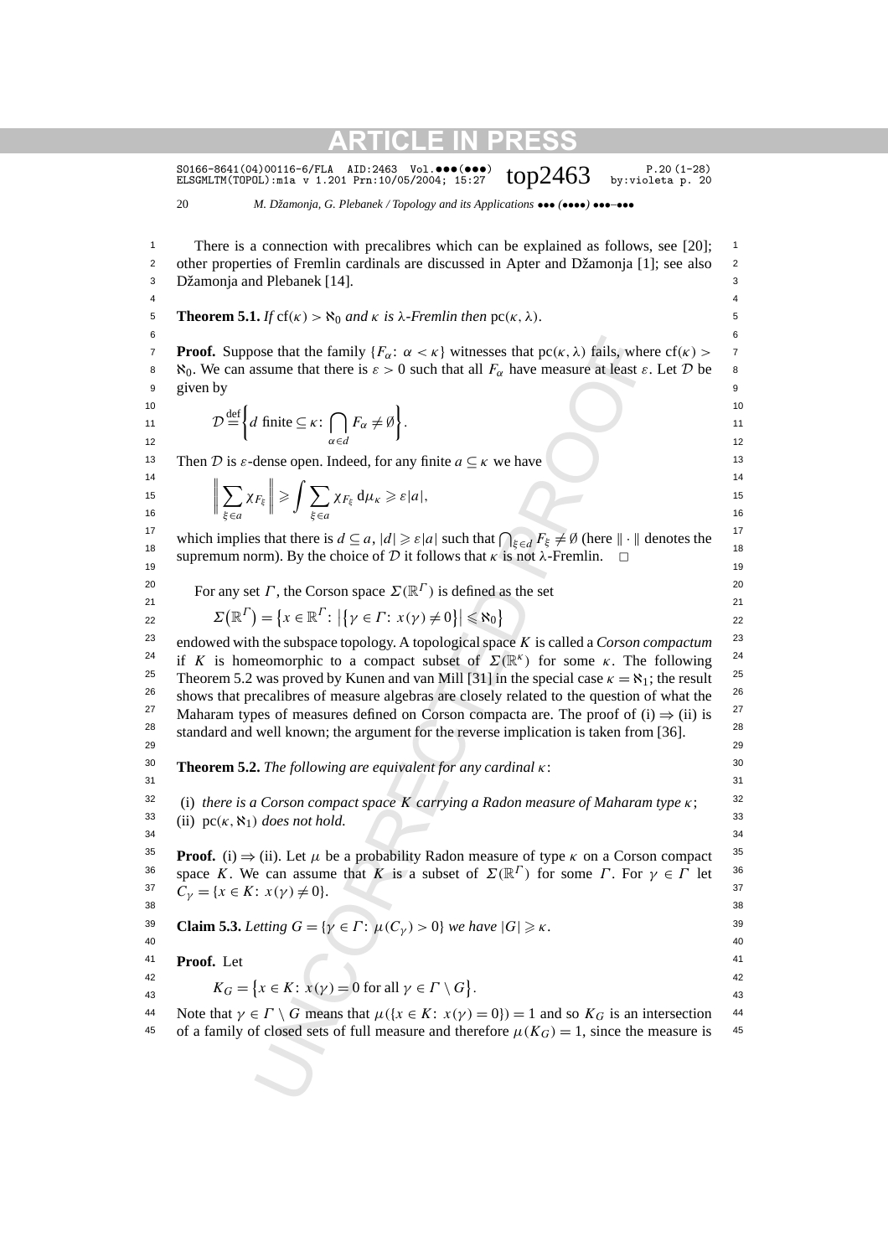S0166-8641(04)00116-6/FLA AID:2463 Vol.•••(•••)  $top2463$  p.20(1-28)<br>ELSGMLTM(TOPOL):m1a v 1.201 Prn:10/05/2004; 15:27  $top2463$  by:violeta p. 20

20 *M. Džamonja, G. Plebanek / Topology and its Applications* ••• *(*••••*)* •••*–*•••

ose that the family  $\{F_{\alpha}: \alpha < \kappa\}$  witnesses that  $p c(\kappa, \lambda)$  fails, whe<br>ssume that there is  $\varepsilon > 0$  such that all  $F_{\alpha}$  have measure at least  $\varepsilon$ <br>f finite  $\subseteq \kappa$ :  $\bigcap_{\alpha \in \mathcal{A}} F_{\alpha} \neq \emptyset$ .<br>If finite  $\subseteq \kappa$ : <sup>1</sup> There is a connection with precalibres which can be explained as follows, see [20]; <sup>1</sup> <sup>2</sup> other properties of Fremlin cardinals are discussed in Apter and Džamonja [1]; see also <sup>2</sup> 3 3 Džamonja and Plebanek [14]. 4 4 **5 Theorem 5.1.** *If* cf( $\kappa$ ) >  $\aleph_0$  *and*  $\kappa$  *is*  $\lambda$ *-Fremlin then* pc( $\kappa$ ,  $\lambda$ )*.*  $6$ **Proof.** Suppose that the family  ${F_\alpha: \alpha < \kappa}$  witnesses that  $pc(\kappa, \lambda)$  fails, where  $cf(\kappa) > \frac{1}{\kappa}$ 8  $\aleph_0$ . We can assume that there is  $\epsilon > 0$  such that all  $F_\alpha$  have measure at least  $\epsilon$ . Let D be 8 9 given by  $\overline{9}$  $10$  10 11  $D = \{d \text{ finite} \subseteq \kappa : \mid \mid F_{\alpha} \neq \emptyset\}.$  11 11  $\mathcal{D} \stackrel{\text{def}}{=} \left\{ d \text{ finite } \subseteq \kappa : \bigcap_{\alpha \in d} F_{\alpha} \neq \emptyset \right\}.$ Then D is *ε*-dense open. Indeed, for any finite  $a \subseteq \kappa$  we have  $\frac{14}{14}$  14  $\frac{1}{14}$  14 15  $\|\sum \chi_{F_n}\| \geqslant 1$   $\sum \chi_{F_n} d\mu_{V} \geqslant \varepsilon |a|$ . 16  $\parallel$   $\frac{1}{2}$   $\epsilon_{0}$   $\parallel$   $\parallel$   $\frac{1}{2}$   $\epsilon_{10}$   $\parallel$  16 which implies that there is  $d \subseteq a$ ,  $|d| \geq \varepsilon |a|$  such that  $\bigcap_{\xi \in d} F_{\xi} \neq \emptyset$  (here  $\|\cdot\|$  denotes the 18 supremum norm). By the choice of D it follows that *κ* is not *λ*-Fremlin.  $\Box$ <sup>18</sup>  $19$  19 <sup>20</sup> 20 For any set *Γ*, the Corson space  $\Sigma(\mathbb{R}^{\Gamma})$  is defined as the set 20 21 21 22  $\qquad \qquad \Sigma(\mathbb{R}^{\Gamma}) = \{x \in \mathbb{R}^{\Gamma} : |\{\gamma \in \Gamma : x(\gamma) \neq 0\}| \leqslant \aleph_0\}$  22 23 23 endowed with the subspace topology. A topological space *K* is called a *Corson compactum* <sup>24</sup> if *K* is homeomorphic to a compact subset of  $\Sigma(\mathbb{R}^k)$  for some *κ*. The following <sup>24</sup> <sup>25</sup> Theorem 5.2 was proved by Kunen and van Mill [31] in the special case  $\kappa = \aleph_1$ ; the result <sup>25</sup> <sup>26</sup> shows that precalibres of measure algebras are closely related to the question of what the <sup>26</sup> <sup>27</sup> Maharam types of measures defined on Corson compacta are. The proof of (i)  $\Rightarrow$  (ii) is <sup>27</sup> <sup>28</sup> standard and well known; the argument for the reverse implication is taken from [36]. <sup>28</sup> 29 29 30 30 **Theorem 5.2.** *The following are equivalent for any cardinal κ*:  $31$   $31$ 32 32 (i) *there is a Corson compact space K carrying a Radon measure of Maharam type κ*;  $33$  (ii) pc( $\kappa$ ,  $\aleph_1$ ) *does not hold.*  $34$   $34$ **Proof.** (i)  $\Rightarrow$  (ii). Let  $\mu$  be a probability Radon measure of type  $\kappa$  on a Corson compact <sup>35</sup> 36 space *K*. We can assume that *K* is a subset of  $\Sigma(\mathbb{R}^{\Gamma})$  for some *Γ*. For  $\gamma \in \Gamma$  let <sup>36</sup> 37  $C_{\gamma} = \{x \in K : x(\gamma) \neq 0\}.$  37 38 38 **Claim 5.3.** *Letting*  $G = \{ \gamma \in \Gamma : \mu(C_{\gamma}) > 0 \}$  *we have*  $|G| \geq \kappa$ .  $40$ 41 41 **Proof.** Let 42 42  $K_G = \{x \in K : x(y) = 0 \text{ for all } y \in \Gamma \setminus G\}.$ 44 Note that  $\gamma \in \Gamma \setminus G$  means that  $\mu({x \in K : x(\gamma) = 0}) = 1$  and so  $K_G$  is an intersection 44 45 of a family of closed sets of full measure and therefore  $\mu(K_G) = 1$ , since the measure is 45 given by  $\mathbf{f}$ *d* finite ⊆  $\kappa$ :  $\bigcap$ *α*∈*d*  $F_{\alpha} \neq \emptyset$ .  $\begin{array}{c} \begin{array}{c} \begin{array}{c} \end{array}\\ \begin{array}{c} \end{array} \end{array} \end{array}$  $\overline{\phantom{0}}$ *ξ*∈*a χFξ*  $\left\| \geqslant \int \sum_{\xi \in \mathcal{G}}$ *ξ*∈*a*  $\chi_{F_{\xi}} d\mu_{\kappa} \geqslant \varepsilon |a|,$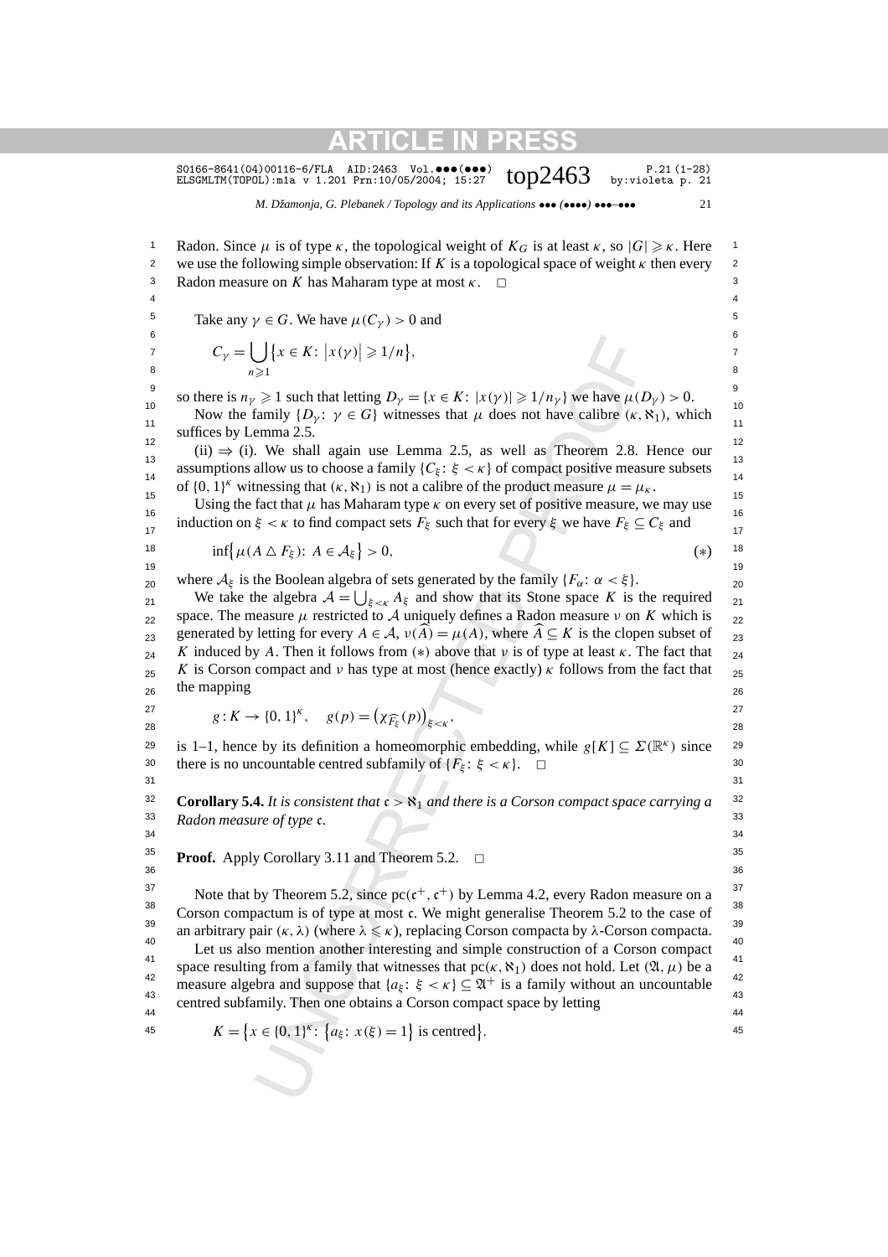S0166-8641(04)00116-6/FLA AID:2463 Vol.•••(•••)  $top2463$  p.21(1-28)<br>ELSGMLTM(TOPOL):m1a v 1.201 Prn:10/05/2004; 15:27  $top2463$  by:violeta p. 21

*M. Džamonja, G. Plebanek / Topology and its Applications* ••• *(*••••*)* •••*–*••• 21

 $\bigcup_{\geq 1} \{x \in K: |x(y)| \geq 1/n\},$ <br>  $\geq 1$  such that letting  $D_y = \{x \in K: |x(y)| \geq 1/n_y\}$  we have  $\mu(L \infty)$  timily  $\{D_y: \gamma \in G\}$  withen<br>
seemant 2.5.<br>
We shall again use Lemma 2.5, as well as Theorem 2.8.<br>
We shall again us 1 Radon. Since *μ* is of type *κ*, the topological weight of  $K_G$  is at least *κ*, so  $|G| \ge \kappa$ . Here 2 we use the following simple observation: If  $K$  is a topological space of weight  $\kappa$  then every 2 3 Radon measure on *K* has Maharam type at most *κ*. □ 3 4 4 Take any  $\gamma \in G$ . We have  $\mu(C_{\gamma}) > 0$  and <sup>5</sup>  $6$ 7  $C_{\nu} = | \{ x \in K : |x(\nu)| \geq 1/n \},$  7 8  $n \geqslant 1$  8 so there is  $n_\gamma \geq 1$  such that letting  $D_\gamma = \{x \in K : |x(\gamma)| \geq 1/n_\gamma\}$  we have  $\mu(D_\gamma) > 0$ . 10  $\frac{1}{2}$  10  $\frac{1}{2}$  10  $\frac{1}{2}$  10  $\frac{1}{2}$  10  $\frac{1}{2}$  10  $\frac{1}{2}$  10  $\frac{1}{2}$  10  $\frac{1}{2}$  10  $\frac{1}{2}$  10 Now the family  $\{D_\gamma : \gamma \in G\}$  witnesses that  $\mu$  does not have calibre  $(\kappa, \aleph_1)$ , which  $\frac{12}{(ii) \Rightarrow (i)}$ . We shall again use Lemma 2.5, as well as Theorem 2.8. Hence our  $13$  13 assumptions allow us to choose a family  $\{C_{\xi}: \xi < \kappa\}$  of compact positive measure subsets  $\frac{14}{14}$ <sup>15</sup><br>Using the fact that *μ* has Maharam type *κ* on every set of positive measure, we may use 16  $\frac{16}{16}$  16 induction on  $\xi < \kappa$  to find compact sets  $F_{\xi}$  such that for every  $\xi$  we have  $F_{\xi} \subseteq C_{\xi}$  and 18  $\inf \{ \mu(A \triangle F_{\xi}) : A \in \mathcal{A}_{\xi} \} > 0,$  (\*) 18 19 19 where  $A_{\xi}$  is the Boolean algebra of sets generated by the family  $\{F_{\alpha}: \alpha < \xi\}$ . 21 We take the algebra  $A = \bigcup_{\xi < K} A_{\xi}$  and show that its Stone space *K* is the required 21 <sub>22</sub> space. The measure *μ* restricted to *A* uniquely defines a Radon measure *ν* on *K* which is <sub>22</sub> generated by letting for every  $A \in \mathcal{A}$ ,  $v(\widehat{A}) = \mu(A)$ , where  $\widehat{A} \subseteq K$  is the clopen subset of <sub>23</sub>  $K$  induced by *A*. Then it follows from (\*) above that *ν* is of type at least *κ*. The fact that  $_{24}$  $K$  is Corson compact and *ν* has type at most (hence exactly) *κ* follows from the fact that  $25$  $_{26}$  and mapping  $_{26}$ 27 27 27<br>
28  $g: K \to \{0, 1\}^K$ ,  $g(p) = (\chi_{\widehat{F_{\xi}}}(p))_{\xi \lt \kappa}$ , <sup>27</sup> 29 is 1–1, hence by its definition a homeomorphic embedding, while  $g[K] \subseteq \Sigma(\mathbb{R}^k)$  since 29 30 there is no uncountable centred subfamily of  $\{F_{\xi}: \xi < \kappa\}$ .  $\square$  $31$   $31$ **Corollary 5.4.** *It is consistent that*  $c > \aleph_1$  *and there is a Corson compact space carrying a*<sup>32</sup> 33 33 *Radon measure of type* c*.*  $34$   $34$ **Proof.** Apply Corollary 3.11 and Theorem 5.2.  $\Box$ 36 36 Note that by Theorem 5.2, since  $\text{pc}(\mathfrak{c}^+,\mathfrak{c}^+)$  by Lemma 4.2, every Radon measure on a  $\frac{37}{20}$ <sup>38</sup> Corson compactum is of type at most c. We might generalise Theorem 5.2 to the case of <sup>38</sup> 39 39 an arbitrary pair *(κ, λ)* (where *λ κ*), replacing Corson compacta by *λ*-Corson compacta. <sup>40</sup> Let us also mention another interesting and simple construction of a Corson compact <sup>40</sup> 41 space resulting from a family that witnesses that pc(κ, S<sub>1</sub>) does not hold. Let  $(λ, μ)$  be a 41 <sup>42</sup> measure algebra and suppose that  $\{a_{\xi} : \xi < \kappa\} \subseteq \mathfrak{A}^+$  is a family without an uncountable 43 43 centred subfamily. Then one obtains a Corson compact space by letting 44 **44** 44 **44** 44 **44** 44 **44** 44 **44** 45 45  $K = \{x \in \{0, 1\}^k : \{a_{\xi}: x(\xi) = 1\} \text{ is centred}\}.$  45  $C_{\gamma} = \begin{pmatrix} \end{pmatrix}$ *n*≥1  $\{x \in K: |x(\gamma)| \geq 1/n\},\$ suffices by Lemma 2.5. of  $\{0, 1\}^k$  witnessing that  $(\kappa, \aleph_1)$  is not a calibre of the product measure  $\mu = \mu_{\kappa}$ . *>* 0*,* (∗) the mapping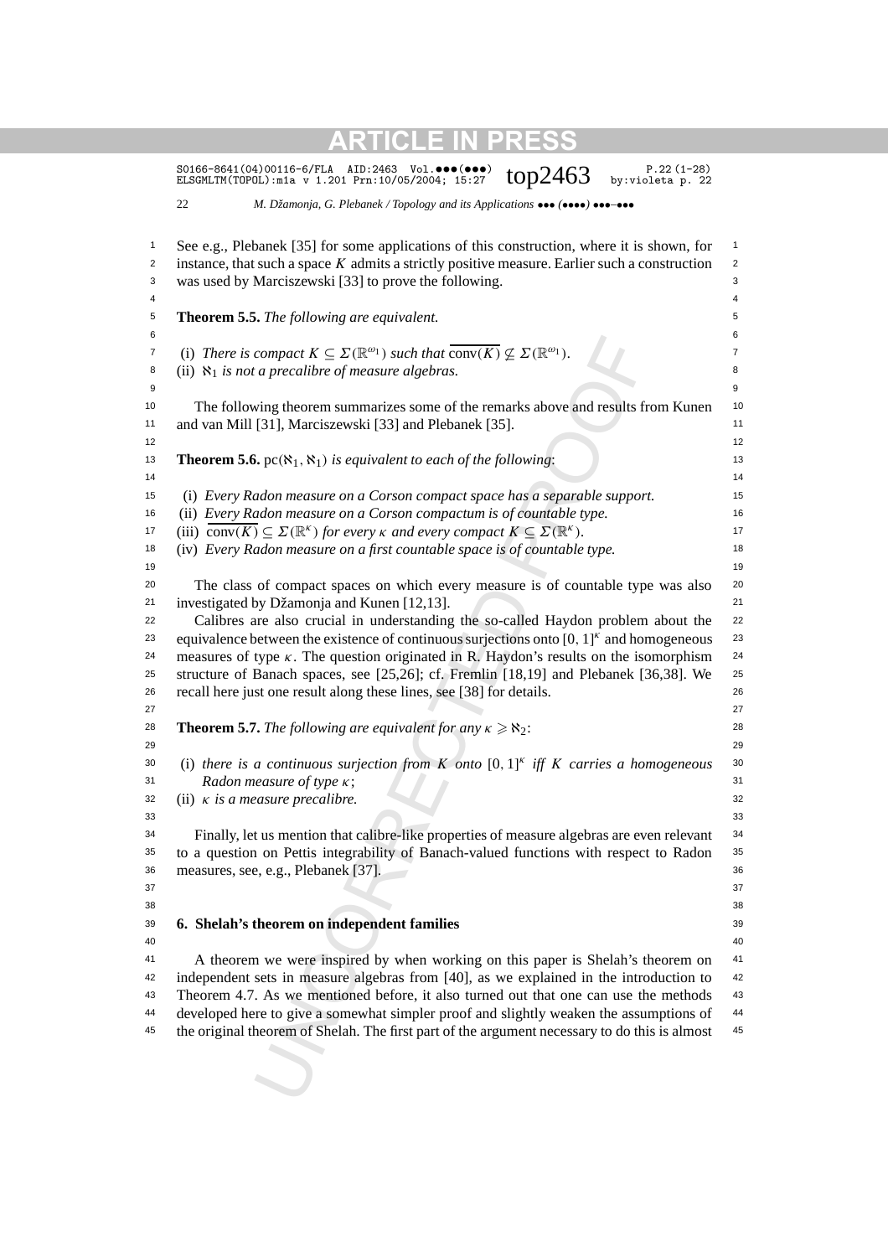|                | $P.22(1-28)$<br>S0166-8641(04)00116-6/FLA<br>AID:2463 Vol.●●●()<br>top2463<br>by: violeta p. 22<br>ELSGMLTM(TOPOL): m1a v 1.201 Prn: 10/05/2004; 15:27        |                |
|----------------|---------------------------------------------------------------------------------------------------------------------------------------------------------------|----------------|
|                | 22<br>M. Džamonja, G. Plebanek / Topology and its Applications ••• (****) ***-***                                                                             |                |
| 1              | See e.g., Plebanek [35] for some applications of this construction, where it is shown, for                                                                    | 1              |
| $\overline{c}$ | instance, that such a space $K$ admits a strictly positive measure. Earlier such a construction                                                               | 2              |
| 3              | was used by Marciszewski [33] to prove the following.                                                                                                         | 3              |
| 4              |                                                                                                                                                               | 4              |
| 5              | <b>Theorem 5.5.</b> The following are equivalent.                                                                                                             | 5              |
| 6              |                                                                                                                                                               | 6              |
| 7              | (i) There is compact $K \subseteq \Sigma(\mathbb{R}^{\omega_1})$ such that $\overline{\text{conv}(K)} \nsubseteq \Sigma(\mathbb{R}^{\omega_1})$ .             | $\overline{7}$ |
| 8              | (ii) $\aleph_1$ is not a precalibre of measure algebras.                                                                                                      | 8              |
| 9              |                                                                                                                                                               | 9              |
| 10<br>11       | The following theorem summarizes some of the remarks above and results from Kunen<br>and van Mill [31], Marciszewski [33] and Plebanek [35].                  | 10<br>11       |
| 12             |                                                                                                                                                               | 12             |
| 13<br>14       | <b>Theorem 5.6.</b> pc( $\aleph_1, \aleph_1$ ) is equivalent to each of the following:                                                                        | 13<br>14       |
| 15             | (i) Every Radon measure on a Corson compact space has a separable support.                                                                                    | 15             |
| 16             | (ii) Every Radon measure on a Corson compactum is of countable type.                                                                                          | 16             |
| 17             | (iii) conv $(K) \subseteq \Sigma(\mathbb{R}^k)$ for every $\kappa$ and every compact $K \subseteq \Sigma(\mathbb{R}^k)$ .                                     | 17             |
| 18             | (iv) Every Radon measure on a first countable space is of countable type.                                                                                     | 18             |
| 19             |                                                                                                                                                               | 19             |
| 20             | The class of compact spaces on which every measure is of countable type was also                                                                              | 20             |
| 21             | investigated by Džamonja and Kunen [12,13].                                                                                                                   | 21             |
| 22             | Calibres are also crucial in understanding the so-called Haydon problem about the                                                                             | 22             |
| 23             | equivalence between the existence of continuous surjections onto $[0, 1]^k$ and homogeneous                                                                   | 23<br>24       |
| 24<br>25       | measures of type $\kappa$ . The question originated in R. Haydon's results on the isomorphism                                                                 | 25             |
| 26             | structure of Banach spaces, see [25,26]; cf. Fremlin [18,19] and Plebanek [36,38]. We<br>recall here just one result along these lines, see [38] for details. | 26             |
| 27             |                                                                                                                                                               | 27             |
| 28             | <b>Theorem 5.7.</b> The following are equivalent for any $\kappa \ge \aleph_2$ :                                                                              | 28             |
| 29             |                                                                                                                                                               | 29             |
| 30             | (i) there is a continuous surjection from K onto $[0,1]^k$ iff K carries a homogeneous                                                                        | 30             |
| 31             | Radon measure of type $\kappa$ ;                                                                                                                              | 31             |
| 32             | (ii) $\kappa$ is a measure precalibre.                                                                                                                        | 32             |
| 33             |                                                                                                                                                               | 33             |
| 34             | Finally, let us mention that calibre-like properties of measure algebras are even relevant                                                                    | 34             |
| 35             | to a question on Pettis integrability of Banach-valued functions with respect to Radon                                                                        | 35             |
| 36             | measures, see, e.g., Plebanek [37].                                                                                                                           | 36             |
| 37             |                                                                                                                                                               | 37             |
| 38             |                                                                                                                                                               | 38             |
| 39             | 6. Shelah's theorem on independent families                                                                                                                   | 39             |
| 40             |                                                                                                                                                               | 40             |
| 41             | A theorem we were inspired by when working on this paper is Shelah's theorem on                                                                               | 41             |
| 42             | independent sets in measure algebras from [40], as we explained in the introduction to                                                                        | 42             |
| 43             | Theorem 4.7. As we mentioned before, it also turned out that one can use the methods                                                                          | 43             |
| 44             | developed here to give a somewhat simpler proof and slightly weaken the assumptions of                                                                        | 44             |
| 45             | the original theorem of Shelah. The first part of the argument necessary to do this is almost                                                                 | 45             |
|                |                                                                                                                                                               |                |
|                |                                                                                                                                                               |                |
|                |                                                                                                                                                               |                |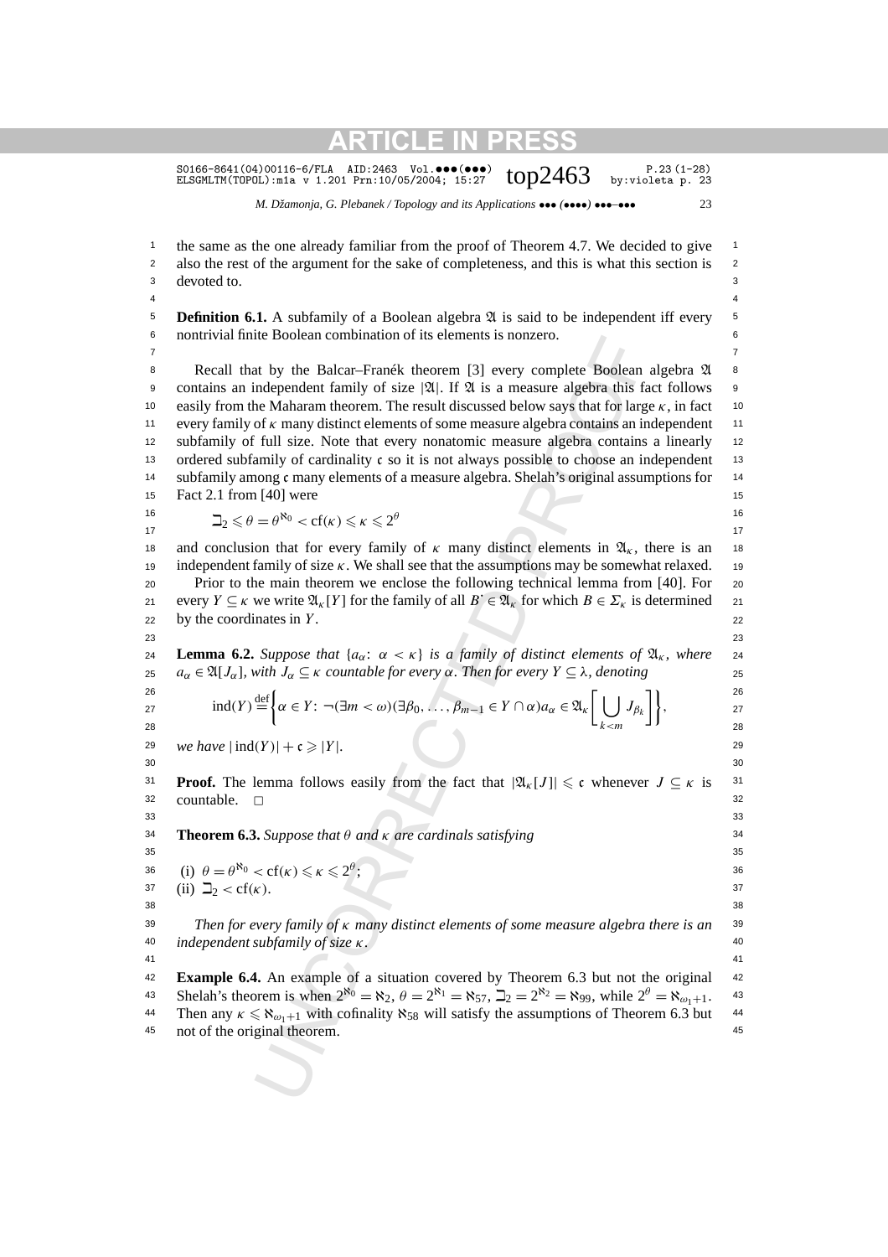S0166-8641(04)00116-6/FLA AID:2463 Vol.•••(•••)  $top2463$  p.23(1-28)<br>ELSGMLTM(TOPOL):m1a v 1.201 Prn:10/05/2004; 15:27  $top2463$  by:violeta p. 23

<sup>1</sup> the same as the one already familiar from the proof of Theorem 4.7. We decided to give <sup>1</sup> <sup>2</sup> also the rest of the argument for the sake of completeness, and this is what this section is <sup>2</sup> 3 3 devoted to.  $4 \times 4$ **5 Definition 6.1.** A subfamily of a Boolean algebra  $\mathfrak A$  is said to be independent iff every  $\mathfrak s$ 

*M. Džamonja, G. Plebanek / Topology and its Applications* ••• *(*••••*)* •••*–*••• 23

It by the Balcar-Pranck theorem [3] every complete Boolean<br>
It by the Balcar-Pranck theorem [3] every complete Boolean<br>
ndependent family of size [2], [1 [3] is a measure algebra this fit<br>
is the Maharam theorem. The re 6 6 nontrivial finite Boolean combination of its elements is nonzero. 7 7 8 Recall that by the Balcar–Franék theorem [3] every complete Boolean algebra  $\mathfrak A$  8 9 contains an independent family of size  $|\mathfrak{A}|$ . If  $\mathfrak A$  is a measure algebra this fact follows 9 10 easily from the Maharam theorem. The result discussed below says that for large  $\kappa$ , in fact 10 11 every family of *κ* many distinct elements of some measure algebra contains an independent <sup>11</sup> <sup>12</sup> subfamily of full size. Note that every nonatomic measure algebra contains a linearly <sup>12</sup> 13 ordered subfamily of cardinality c so it is not always possible to choose an independent 13 14 subfamily among c many elements of a measure algebra. Shelah's original assumptions for 14 15 **Fact 2.1 from [40] were** 15 16  $\Box_2 \leq \theta = \theta^{\aleph_0} < \text{cf}(\kappa) \leq \kappa \leq 2^{\theta}$  $17$  and  $17$  and  $17$  and  $17$ 18 and conclusion that for every family of  $\kappa$  many distinct elements in  $\mathfrak{A}_{\kappa}$ , there is an 18 19 19 independent family of size *κ*. We shall see that the assumptions may be somewhat relaxed. 20 20 Prior to the main theorem we enclose the following technical lemma from [40]. For every  $Y \subseteq \kappa$  we write  $\mathfrak{A}_\kappa[Y]$  for the family of all  $B \in \mathfrak{A}_\kappa$  for which  $B \in \Sigma_\kappa$  is determined 21  $22$  by the coordinates in *Y*. 23 23 **Lemma 6.2.** *Suppose that*  $\{a_{\alpha}: \alpha < \kappa\}$  *is a family of distinct elements of*  $\mathfrak{A}_{\kappa}$ *, where* 24 25  $a_{\alpha} \in \mathfrak{A}[J_{\alpha}],$  with  $J_{\alpha} \subseteq \kappa$  *countable for every*  $\alpha$ . Then for every  $Y \subseteq \lambda$ , denoting 25 26 and  $\epsilon$  (contract to the contract of the contract of the contract of the contract of the contract of the contract of the contract of the contract of the contract of the contract of the contract of the contract of the 27  $\text{Ind}(Y) = \{ \alpha \in Y : \neg(\exists m < \omega) (\exists \beta_0, \ldots, \beta_{m-1} \in Y \cap \alpha) d_{\alpha} \in \mathfrak{A}_k \mid \Box \mathcal{I}_{\beta_k} \mid \},$ 28 **a**  $\zeta$  28 29 *we have*  $|\text{ind}(Y)| + c \ge |Y|$ .  $30$ **Proof.** The lemma follows easily from the fact that  $|\mathfrak{A}_k[J]| \leqslant c$  whenever  $J \subseteq \kappa$  is <sup>31</sup> <sup>32</sup> countable. □ <sup>32</sup>  $33$   $33$ 34 34 **Theorem 6.3.** *Suppose that θ and κ are cardinals satisfying*  $35$  35 36 (i)  $\theta = \theta^{\aleph_0} < \text{cf}(\kappa) \leq \kappa \leq 2^{\theta}$ ; 37 (ii)  $\Box_2 < cf(\kappa)$ *.* 37 38 38 39 39 *Then for every family of κ many distinct elements of some measure algebra there is an* 40 40 *independent subfamily of size κ.* 41 41 42 42 **Example 6.4.** An example of a situation covered by Theorem 6.3 but not the original 43 Shelah's theorem is when  $2^{\aleph_0} = \aleph_2$ ,  $\theta = 2^{\aleph_1} = \aleph_{57}$ ,  $\Delta_2 = 2^{\aleph_2} = \aleph_{99}$ , while  $2^{\theta} = \aleph_{\omega_1+1}$ . 43  $ind(Y) \stackrel{\text{def}}{=}$  $\mathbf{f}$  $\alpha \in Y$ :  $\neg(\exists m < \omega)(\exists \beta_0, \ldots, \beta_{m-1} \in Y \cap \alpha)a_{\alpha} \in \mathfrak{A}_k$ <sup>[</sup> | | *k<m*  $J_{\beta_k}$ <sup>]</sup>,

44 Then any  $\kappa \le \aleph_{\omega_1+1}$  with cofinality  $\aleph_{58}$  will satisfy the assumptions of Theorem 6.3 but 44 45 45 not of the original theorem.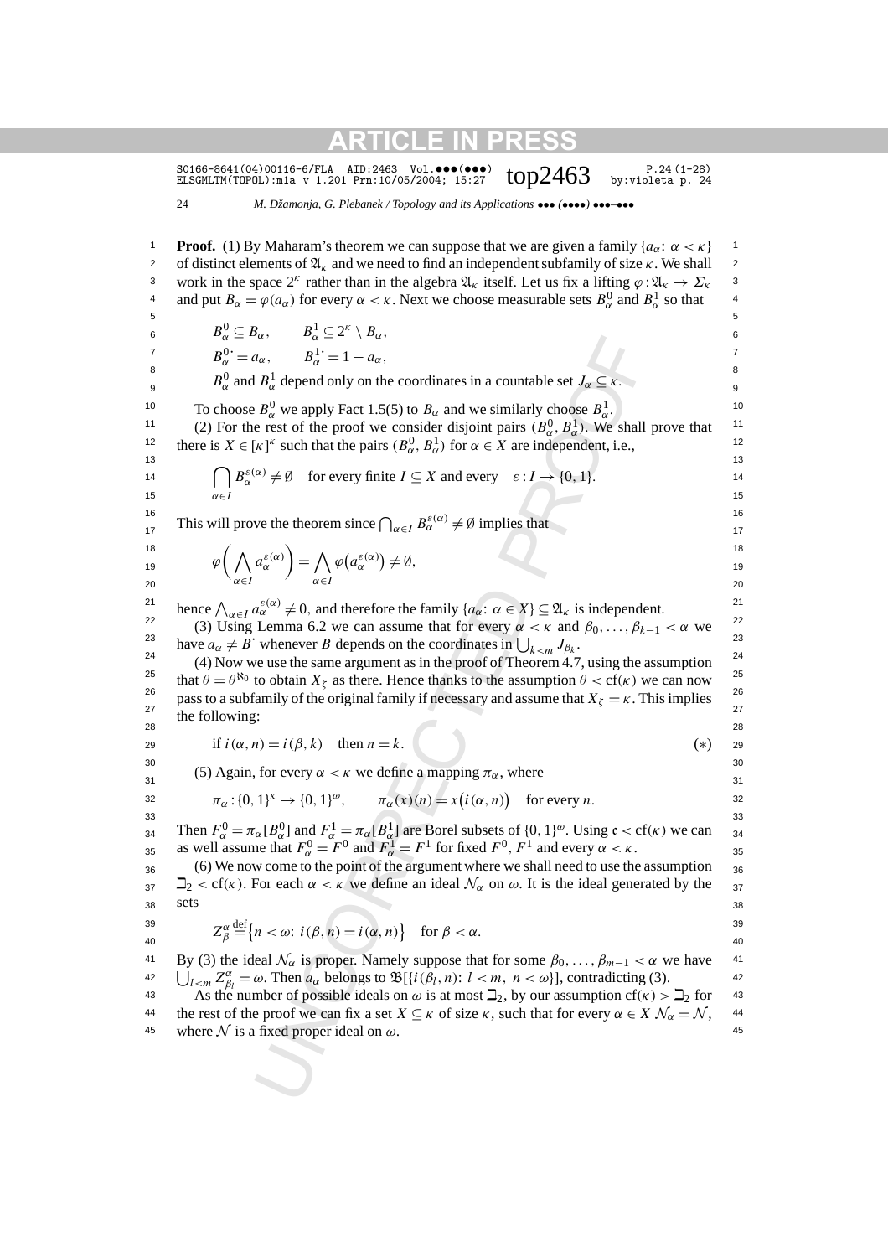S0166-8641(04)00116-6/FLA AID:2463 Vol.•••(•••) P.24 (1-28) ELSGMLTM(TOPOL):m1a v 1.201 Prn:10/05/2004; 15:27 top2463 by:violeta p. 24

24 *M. Džamonja, G. Plebanek / Topology and its Applications* ••• *(*••••*)* •••*–*•••

 $u_a$ <br>  $u_a$ ,  $B_a^+ = v_a$ ,<br>  $B_a^+ = 1 - a_a$ ,<br>  $B_a^+$  depend only on the coordinates in a countable set  $J_\alpha \subseteq \kappa$ .<br>  $B_\alpha^0$  we apply Fact 1.5(5) to  $B_\alpha$  and we similarly choose  $B_\alpha^1$ ,<br>  $B_\alpha^0$  we apply Fact 1.5(5) to  $B_\alpha$  an **Proof.** (1) By Maharam's theorem we can suppose that we are given a family  ${a<sub>α</sub>: α < κ}$  1 2 of distinct elements of  $\mathfrak{A}_{k}$  and we need to find an independent subfamily of size  $\kappa$ . We shall 2 3 work in the space  $2^k$  rather than in the algebra  $\mathfrak{A}_k$  itself. Let us fix a lifting  $\varphi : \mathfrak{A}_k \to \Sigma_k$  <sup>3</sup> 4 and put  $B_\alpha = \varphi(a_\alpha)$  for every  $\alpha < \kappa$ . Next we choose measurable sets  $B_\alpha^0$  and  $B_\alpha^1$  so that  $5$  $B^0_\alpha \subseteq B_\alpha$ ,  $B^1_\alpha \subseteq 2^\kappa \setminus B_\alpha$ , 6  $B_{\alpha}^{0} = a_{\alpha}, \qquad B_{\alpha}^{1} = 1 - a_{\alpha},$  $8 \t\t 0 \t\t 1$  $B_{\alpha}^{0}$  and  $B_{\alpha}^{1}$  depend only on the coordinates in a countable set  $J_{\alpha} \subseteq \kappa$ . 10 10 To choose *B*<sup>0</sup> *<sup>α</sup>* we apply Fact 1.5(5) to *Bα* and we similarly choose *B*<sup>1</sup> *α*. <sup>11</sup> (2) For the rest of the proof we consider disjoint pairs  $(B_{\alpha}^0, B_{\alpha}^1)$ . We shall prove that there is  $X \in [\kappa]^k$  such that the pairs  $(B_\alpha^0, B_\alpha^1)$  for  $\alpha \in X$  are independent, i.e., 13 13 14  $\left[\begin{array}{c} B_{\alpha}^{c}(x) \neq \emptyset \\ 1 \end{array}\right]$  for every finite  $I \subseteq X$  and every  $\varepsilon: I \to \{0, 1\}.$ 15  $\alpha \in I$  15 16  $c(x)$  16 This will prove the theorem since  $\bigcap_{\alpha \in I} B_{\alpha}^{\varepsilon(\alpha)} \neq \emptyset$  implies that 18 and  $(18$  18 18  $\varphi\left(\bigwedge a_{\alpha}^{\varepsilon(\alpha)}\right) = \bigwedge \varphi\left(a_{\alpha}^{\varepsilon(\alpha)}\right) \neq \emptyset,$ <sup>18</sup>
<sup>19</sup>
<sup>19</sup>
<sup>19</sup>
<sup>19</sup> 20  $\alpha \in I$   $\alpha \in I$  20 hence  $\bigwedge_{\alpha \in I} a_{\alpha}^{\varepsilon(\alpha)} \neq 0$ , and therefore the family  $\{a_{\alpha}: \alpha \in X\} \subseteq \mathfrak{A}_{\kappa}$  is independent. <sup>22</sup> (3) Using Lemma 6.2 we can assume that for every *α* < *κ* and  $β_0, ..., β_{k-1}$  < *α* we <sup>22</sup> have  $a_{\alpha} \neq B$ <sup>u</sup> whenever *B* depends on the coordinates in  $\bigcup_{k \le m} J_{\beta_k}$ . <sup>24</sup> (4) Now we use the same argument as in the proof of Theorem 4.7, using the assumption <sup>24</sup> that  $\theta = \theta^{\aleph_0}$  to obtain  $X_\zeta$  as there. Hence thanks to the assumption  $\theta < \text{cf}(\kappa)$  we can now <sup>25</sup> 26  $\frac{26}{\sqrt{25}}$  and  $\frac{26}{\sqrt{25}}$  and  $\frac{26}{\sqrt{25}}$  and  $\frac{26}{\sqrt{25}}$  and  $\frac{26}{\sqrt{25}}$  and  $\frac{26}{\sqrt{25}}$  and  $\frac{26}{\sqrt{25}}$ <sup>26</sup> pass to a subfamily of the original family if necessary and assume that  $X_\zeta = \kappa$ . This implies  $\frac{26}{27}$ 28 28 29 if  $i(\alpha, n) = i(\beta, k)$  then  $n = k$ . (\*) 29  $30$   $\phantom{00}$   $30$ (5) Again, for every  $\alpha < \kappa$  we define a mapping  $\pi_{\alpha}$ , where  $\frac{31}{31}$ 32  $\pi_{\alpha} : \{0, 1\}^{k} \to \{0, 1\}^{\omega}, \qquad \pi_{\alpha}(x)(n) = x(i(\alpha, n))$  for every *n*.  $33$   $33$  $_{34}$  Then  $r_{\alpha} = \pi_{\alpha} \cdot \mathbf{D}_{\alpha}$  and  $r_{\alpha} = \pi_{\alpha} \cdot \mathbf{D}_{\alpha}$  are boter subsets of  $\{0, 1\}$ . Using  $\mathbf{C} < \mathbf{C}(\mathbf{K})$  we can  $_{34}$ 35 as well assume that  $r_{\alpha} = r$  and  $r_{\alpha} = r$  for fixed  $r$ ,  $r$  and every  $\alpha < \kappa$ .  $_{36}$  (6) We now come to the point of the argument where we shall need to use the assumption  $_{36}$  $\exists$ <sub>2</sub> < cf(κ). For each  $\alpha < \kappa$  we define an ideal  $\mathcal{N}_{\alpha}$  on  $\omega$ . It is the ideal generated by the <sub>37</sub>  $38 \text{ }$   $38$  $39$   $70^\circ \text{def}$   $(3)$   $(2)$   $(3)$   $(3)$  $Z_{\beta}^{\alpha} \stackrel{\text{def}}{=} \left\{ n < \omega : i(\beta, n) = i(\alpha, n) \right\}$  for  $\beta < \alpha$ . 41 By (3) the ideal  $\mathcal{N}_{\alpha}$  is proper. Namely suppose that for some  $\beta_0, \ldots, \beta_{m-1} < \alpha$  we have 42  $\bigcup_{l \le m} Z_{\beta_l}^{\alpha} = \omega$ . Then  $a_{\alpha}$  belongs to  $\mathfrak{B}[\{i(\beta_l, n): l < m, n < \omega\}]$ , contradicting (3). 43 As the number of possible ideals on  $\omega$  is at most  $\Box_2$ , by our assumption cf( $\kappa$ )  $> \Box_2$  for 43  $\cap$ *α*∈*I*  $B_{\alpha}^{\varepsilon(\alpha)} \neq \emptyset$  for every finite  $I \subseteq X$  and every  $\varepsilon : I \to \{0, 1\}.$ *α*∈*I aε(α) α*  $=$   $\wedge$ *α*∈*I*  $\varphi\left(a_{\alpha}^{\varepsilon(\alpha)}\right) \neq \emptyset,$ the following: Then  $F_{\alpha}^{0} = \pi_{\alpha}[B_{\alpha}^{0}]$  and  $F_{\alpha}^{1} = \pi_{\alpha}[B_{\alpha}^{1}]$  are Borel subsets of  $\{0, 1\}^{\omega}$ . Using  $\mathfrak{c} < \text{cf}(\kappa)$  we can as well assume that  $F^0_\alpha = F^0$  and  $F^1_\alpha = F^1$  for fixed  $F^0, F^1$  and every  $\alpha < \kappa$ . sets  $\stackrel{\text{def}}{=} \{n < \omega : i(\beta, n) = i(\alpha, n)\}$  for  $\beta < \alpha$ .

the rest of the proof we can fix a set  $X \subseteq \kappa$  of size  $\kappa$ , such that for every  $\alpha \in X \mathcal{N}_\alpha = \mathcal{N}$ , 44 45 where  $N$  is a fixed proper ideal on  $\omega$ .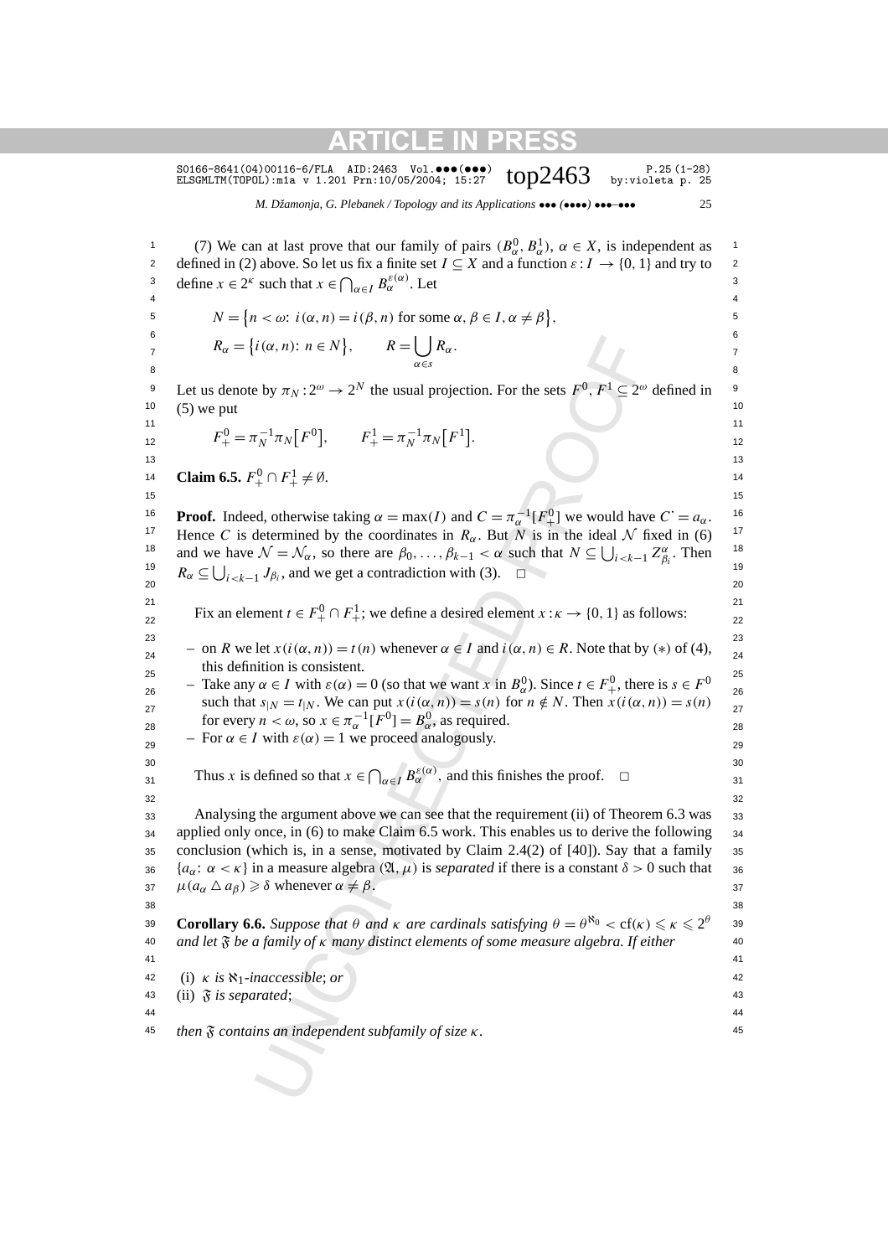S0166-8641(04)00116-6/FLA AID:2463 Vol. $\bullet\bullet\bullet\bullet\bullet\bullet$ )  $\bullet\bullet\cdot$   $\bullet\cdot$  P.25(1-28)<br>ELSGMLTM(TOPOL):m1a v 1.201 Prn:10/05/2004; 15:27  $\bullet$   $\bullet$   $\cdot$   $\bullet$  by:violeta p. 25

*M. Džamonja, G. Plebanek / Topology and its Applications* ••• *(*••••*)* •••*–*••• 25

1 (7) We can at last prove that our family of pairs  $(B_{\alpha}^0, B_{\alpha}^1)$ ,  $\alpha \in X$ , is independent as 2 defined in (2) above. So let us fix a finite set *I* ⊆ *X* and a function  $\varepsilon$  : *I* → {0, 1} and try to <sup>2</sup> 3 define  $x \in 2^k$  such that  $x \in \bigcap_{\alpha \in I} B_\alpha^{\varepsilon(\alpha)}$ . Let 4 4

$$
N = \{ n < \omega : i(\alpha, n) = i(\beta, n) \text{ for some } \alpha, \beta \in I, \alpha \neq \beta \},
$$

6 and  $\sim$  6 and  $\sim$  6 and  $\sim$  6 and  $\sim$  6 *R<sub>α</sub>* = {*i*(*α, n*): *n* ∈ *N*},  $R = \bigcup R_{\alpha}$ .  $\frac{1}{2}$  8 *α*∈*s Rα.*

9 Let us denote by  $\pi_N : 2^{\omega} \to 2^N$  the usual projection. For the sets  $F^0, F^1 \subseteq 2^{\omega}$  defined in <sup>9</sup>  $10\quad$  (5) we put  $10$ 

$$
F_{+}^{0} = \pi_{N}^{-1} \pi_{N} [F^{0}], \qquad F_{+}^{1} = \pi_{N}^{-1} \pi_{N} [F^{1}].
$$
<sup>11</sup>

14 **Claim 6.5.**  $F_+^0 \cap F_+^1 \neq \emptyset$ .

**Proof.** Indeed, otherwise taking  $\alpha = \max(I)$  and  $C = \pi_{\alpha}^{-1}[F_{+}^{0}]$  we would have  $C = a_{\alpha}$ . <sup>17</sup> Hence *C* is determined by the coordinates in  $R_\alpha$ . But *N* is in the ideal *N* fixed in (6) <sup>17</sup> 18 and we have  $\mathcal{N} = \mathcal{N}_{\alpha}$ , so there are  $\beta_0, \ldots, \beta_{k-1} < \alpha$  such that  $N \subseteq \bigcup_{i \le k-1} Z_{\beta_i}^{\alpha}$ . Then <sup>18</sup> <sup>19</sup>  $R_{\alpha} \subseteq \bigcup_{i < k-1} J_{\beta_i}$ , and we get a contradiction with (3).  $\square$ 20  $\sim$   $\sim$   $\sim$   $\sim$   $\sim$   $\sim$  20

 $15$  15

21 21 Fix an element  $t \in F_+^0 \cap F_+^1$ ; we define a desired element  $x : \kappa \to \{0, 1\}$  as follows:

23 23  $\frac{1}{24}$  − on *R* we let *x*(*i*(*α*, *n*)) = *t*(*n*) whenever *α* ∈ *I* and *i*(*α*, *n*) ∈ *R*. Note that by (\*) of (4),  $\frac{1}{24}$  $25$  and definition is consistent. this definition is consistent.

 $\alpha$ <sup>25</sup> − Take any *α* ∈ *I* with *ε*(*α*) = 0 (so that we want *x* in *B*<sup>0</sup><sub>*a*</sub>). Since *t* ∈ *F*<sup>0</sup><sub>+</sub>, there is *s* ∈ *F*<sup>0</sup><sub>26</sub><sup>2</sup> such that  $s_{|N} = t_{|N}$ . We can put  $x(i(\alpha, n)) = s(n)$  for  $n \notin N$ . Then  $x(i(\alpha, n)) = s(n)$   $\frac{1}{27}$ for every  $n < \omega$ , so  $x \in \pi_{\alpha}^{-1}[F^0] = B_{\alpha}^0$ , as required.

 $\epsilon_{29}$  – For  $\alpha \in I$  with  $\varepsilon(\alpha) = 1$  we proceed analogously.

 $30$ Thus *x* is defined so that  $x \in \bigcap_{\alpha \in I} B_{\alpha}^{\varepsilon(\alpha)}$ , and this finishes the proof.  $\square$  $32$   $32$ 

 $i(\alpha, n)$ :  $n \in N$ },<br>  $R = \bigcup_{\alpha \in S} R_{\alpha}$ .<br>
by  $\pi_N : 2^{\omega} \rightarrow 2^N$  the usual projection. For the sets  $F^0$ ,  $F^1 \subseteq 2^{\omega}$ <br>  $\pi_N^{-1} \pi_N [F^0]$ ,  $F_+^1 = \pi_N^{-1} \pi_N [F^1]$ .<br>  ${}^0_+ \cap F_+^1 \neq \emptyset$ .<br>  ${}^1_+ \cap F_+^1 \neq \emptyset$ .<br>  ${}^0_+ \cap F_+$ 33 Analysing the argument above we can see that the requirement (ii) of Theorem 6.3 was 33 34 applied only once, in (6) to make Claim 6.5 work. This enables us to derive the following 34  $35$  conclusion (which is, in a sense, motivated by Claim 2.4(2) of [40]). Say that a family  $35$  ${a_{\alpha}: \alpha < \kappa}$  in a measure algebra  $(\mathfrak{A}, \mu)$  is *separated* if there is a constant  $\delta > 0$  such that <sub>36</sub>  $\mu(a_{\alpha} \Delta a_{\beta}) \geq \delta$  whenever  $\alpha \neq \beta$ .

38 38 **Corollary 6.6.** *Suppose that*  $\theta$  *and*  $\kappa$  *are cardinals satisfying*  $\theta = \theta^{\aleph_0} < cf(\kappa) \leq \kappa \leq 2^{\theta}$  39 40 40 *and let* F *be a family of κ many distinct elements of some measure algebra. If either*

41 41

42 (i)  $\kappa$  *is*  $\aleph_1$ *-inaccessible*; *or*  $\blacktriangleleft$ 

43 (ii)  $\delta$  *is separated*; 43

44 44

45 45 *then* F *contains an independent subfamily of size κ.*

13 13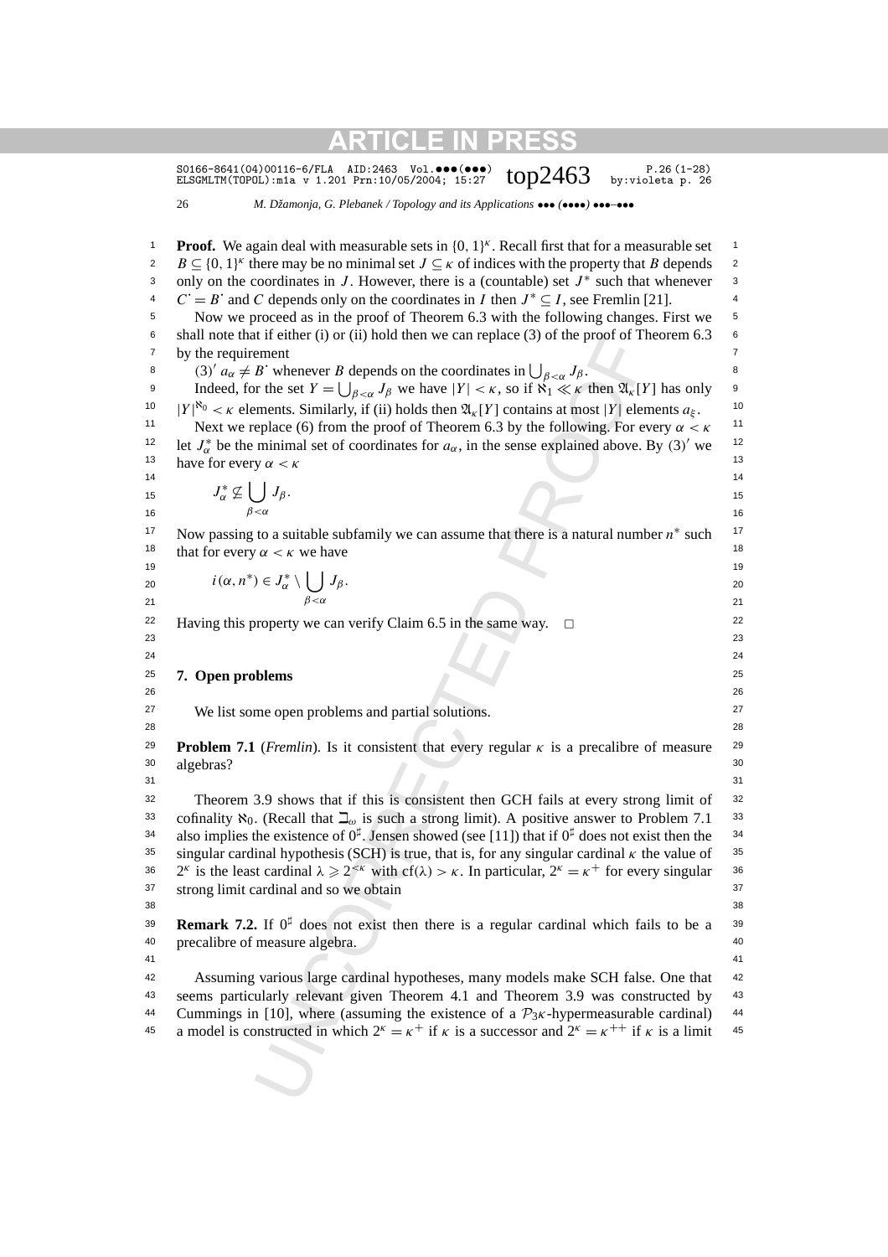S0166-8641(04)00116-6/FLA AID:2463 Vol.•••(•••)  $top2463$  by:violeta p. 26 (1-28)

26 *M. Džamonja, G. Plebanek / Topology and its Applications* ••• *(*••••*)* •••*–*•••

If the ment<br>
are the set  $B$  choens on the continuates in  $\bigcup_{\alpha \in \mathbb{N}} J_{\beta}$ .<br>  $B'$  whence  $B$  depends on the coordinates in  $\bigcup_{\alpha \in \mathbb{N}} J_{\beta}$ .<br>  $\alpha \in \mathbb{N}$  for the set  $Y = \bigcup_{\beta \in \mathbb{N}} J_{\alpha}$  of the  $\mathfrak{A}_K[Y]$  1 1 **Proof.** We again deal with measurable sets in {0*,* 1}*<sup>κ</sup>* . Recall first that for a measurable set  $B \subseteq \{0, 1\}^k$  there may be no minimal set  $J \subseteq \kappa$  of indices with the property that *B* depends 2 3 only on the coordinates in *J*. However, there is a (countable) set *J*<sup>∗</sup> such that whenever <sup>3</sup> 4  $C' = B'$  and *C* depends only on the coordinates in *I* then  $J^* \subseteq I$ , see Fremlin [21]. <sup>5</sup> Now we proceed as in the proof of Theorem 6.3 with the following changes. First we <sup>5</sup> 6 shall note that if either (i) or (ii) hold then we can replace (3) of the proof of Theorem 6.3  $\epsilon$  $\sigma$  by the requirement  $\sigma$ 8 (3)<sup>'</sup>  $a_{\alpha} \neq B$ <sup>'</sup> whenever *B* depends on the coordinates in  $\bigcup_{\beta < \alpha} J_{\beta}$ . 9 Indeed, for the set  $Y = \bigcup_{\beta < \alpha} J_\beta$  we have  $|Y| < \kappa$ , so if  $\aleph_1 \ll \kappa$  then  $\mathfrak{A}_\kappa[Y]$  has only <sup>10</sup>  $|Y|^{80} < \kappa$  elements. Similarly, if (ii) holds then  $\mathfrak{A}_{\kappa}[Y]$  contains at most  $|Y|$  elements  $a_{\xi}$ . <sup>10</sup> <sup>11</sup> Next we replace (6) from the proof of Theorem 6.3 by the following. For every  $\alpha < \kappa$ <sup>11</sup> 12 let  $J_{\alpha}^*$  be the minimal set of coordinates for  $a_{\alpha}$ , in the sense explained above. By (3)' we <sup>12</sup> <sup>13</sup> have for every *α < κ*<sup>13</sup>  $14$   $14$ 15  $J_{\alpha}^* \nsubseteq \bigcup J_{\beta}$ . 15 16  $\beta < \alpha$  16 17 Now passing to a suitable subfamily we can assume that there is a natural number  $n^*$  such <sup>17</sup> 18 that for every  $\alpha < \kappa$  we have 18 19 19 20  $l(\alpha, n) \in J_\alpha \setminus \bigcup J_\beta$ . 20 21  $\beta < \alpha$  21 22 Having this property we can verify Claim 6.5 in the same way.  $\Box$  22 23 23 24 24 25 25 **7. Open problems** 26 26 27 27 We list some open problems and partial solutions. 28 28 29 29 **Problem 7.1** (*Fremlin*)*.* Is it consistent that every regular *κ* is a precalibre of measure  $30$  algebras?  $30$  $31$   $31$ 32 32 Theorem 3.9 shows that if this is consistent then GCH fails at every strong limit of 33 cofinality  $\aleph_0$ . (Recall that  $\beth_\omega$  is such a strong limit). A positive answer to Problem 7.1 <sup>33</sup> <sup>34</sup> also implies the existence of  $0^{\sharp}$ . Jensen showed (see [11]) that if  $0^{\sharp}$  does not exist then the <sup>34</sup> 35 35 singular cardinal hypothesis (SCH) is true, that is, for any singular cardinal *κ* the value of 36 2<sup>*κ*</sup> is the least cardinal  $\lambda \ge 2^{k}$  with cf( $\lambda$ ) > *κ*. In particular,  $2^{k} = \kappa^{+}$  for every singular 36 37 37 strong limit cardinal and so we obtain 38 38 **Remark 7.2.** If  $0^{\sharp}$  does not exist then there is a regular cardinal which fails to be a <sup>39</sup> 40 40 precalibre of measure algebra. 41 41 42 Assuming various large cardinal hypotheses, many models make SCH false. One that 42 <sup>43</sup> seems particularly relevant given Theorem 4.1 and Theorem 3.9 was constructed by <sup>43</sup> 44 Cummings in [10], where (assuming the existence of a  $\mathcal{P}_{3k}$ -hypermeasurable cardinal) 44 45 a model is constructed in which  $2^k = \kappa^+$  if  $\kappa$  is a successor and  $2^k = \kappa^{++}$  if  $\kappa$  is a limit 45 *β<α Jβ .*  $i(\alpha, n^*) \in J_{\alpha}^* \setminus \bigcup$ *β<α Jβ.* algebras?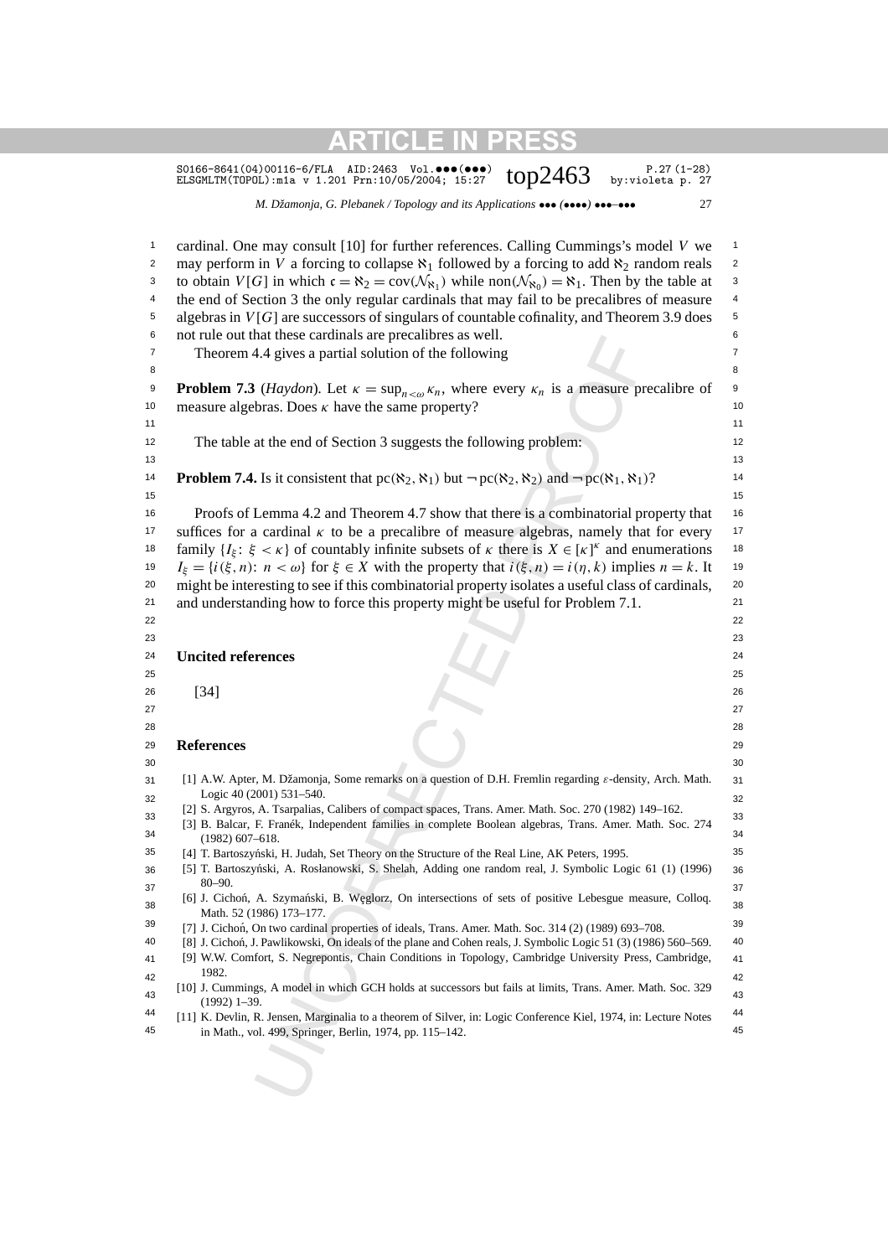S0166-8641(04)00116-6/FLA AID:2463 Vol.•••(•••)  $top2463$  p.27(1-28)<br>ELSGMLTM(TOPOL):m1a v 1.201 Prn:10/05/2004; 15:27  $top2463$  by:violeta p. 27

*M. Džamonja, G. Plebanek / Topology and its Applications* ••• *(*••••*)* •••*–*••• 27

| $\mathbf{1}$   | cardinal. One may consult [10] for further references. Calling Cummings's model V we                                                                                                                                      | $\mathbf{1}$            |
|----------------|---------------------------------------------------------------------------------------------------------------------------------------------------------------------------------------------------------------------------|-------------------------|
| $\overline{c}$ | may perform in V a forcing to collapse $\aleph_1$ followed by a forcing to add $\aleph_2$ random reals                                                                                                                    | $\overline{\mathbf{c}}$ |
| 3              | to obtain $V[G]$ in which $c = \aleph_2 = cov(\mathcal{N}_{\aleph_1})$ while non $(\mathcal{N}_{\aleph_0}) = \aleph_1$ . Then by the table at                                                                             | 3                       |
| 4              | the end of Section 3 the only regular cardinals that may fail to be precalibres of measure                                                                                                                                | 4                       |
| 5              | algebras in $V[G]$ are successors of singulars of countable cofinality, and Theorem 3.9 does                                                                                                                              | 5                       |
| 6              | not rule out that these cardinals are precalibres as well.                                                                                                                                                                | 6                       |
| 7              | Theorem 4.4 gives a partial solution of the following                                                                                                                                                                     | $\overline{7}$          |
| 8              |                                                                                                                                                                                                                           | 8                       |
| 9              | <b>Problem 7.3</b> ( <i>Haydon</i> ). Let $\kappa = \sup_{n \leq \omega} \kappa_n$ , where every $\kappa_n$ is a measure precalibre of                                                                                    | 9                       |
| 10             | measure algebras. Does $\kappa$ have the same property?                                                                                                                                                                   | 10                      |
| 11             |                                                                                                                                                                                                                           | 11                      |
| 12             | The table at the end of Section 3 suggests the following problem:                                                                                                                                                         | 12                      |
| 13             |                                                                                                                                                                                                                           | 13                      |
| 14             | <b>Problem 7.4.</b> Is it consistent that $pc(\aleph_2, \aleph_1)$ but $\neg pc(\aleph_2, \aleph_2)$ and $\neg pc(\aleph_1, \aleph_1)$ ?                                                                                  | 14                      |
| 15             |                                                                                                                                                                                                                           | 15                      |
| 16             | Proofs of Lemma 4.2 and Theorem 4.7 show that there is a combinatorial property that                                                                                                                                      | 16                      |
| 17             | suffices for a cardinal $\kappa$ to be a precalibre of measure algebras, namely that for every                                                                                                                            | 17                      |
| 18             | family $\{I_{\xi} : \xi < \kappa\}$ of countably infinite subsets of $\kappa$ there is $X \in [\kappa]^{\kappa}$ and enumerations                                                                                         | 18                      |
| 19             | $I_{\xi} = \{i(\xi, n): n < \omega\}$ for $\xi \in X$ with the property that $i(\xi, n) = i(\eta, k)$ implies $n = k$ . It                                                                                                | 19                      |
| 20             | might be interesting to see if this combinatorial property isolates a useful class of cardinals,                                                                                                                          | 20                      |
| 21             | and understanding how to force this property might be useful for Problem 7.1.                                                                                                                                             | 21                      |
| 22             |                                                                                                                                                                                                                           | 22                      |
| 23             |                                                                                                                                                                                                                           | 23                      |
| 24             | <b>Uncited references</b>                                                                                                                                                                                                 | 24                      |
| 25             |                                                                                                                                                                                                                           | 25                      |
| 26             |                                                                                                                                                                                                                           | 26                      |
| 27             | $[34]$                                                                                                                                                                                                                    | 27                      |
| 28             |                                                                                                                                                                                                                           | 28                      |
| 29             | <b>References</b>                                                                                                                                                                                                         | 29                      |
| 30             |                                                                                                                                                                                                                           | 30                      |
| 31             | [1] A.W. Apter, M. Džamonja, Some remarks on a question of D.H. Fremlin regarding $\varepsilon$ -density, Arch. Math.                                                                                                     | 31                      |
| 32             | Logic 40 (2001) 531-540.                                                                                                                                                                                                  | 32                      |
| 33             | [2] S. Argyros, A. Tsarpalias, Calibers of compact spaces, Trans. Amer. Math. Soc. 270 (1982) 149-162.                                                                                                                    | 33                      |
| 34             | [3] B. Balcar, F. Franék, Independent families in complete Boolean algebras, Trans. Amer. Math. Soc. 274                                                                                                                  | 34                      |
| 35             | (1982) 607–618.<br>[4] T. Bartoszyński, H. Judah, Set Theory on the Structure of the Real Line, AK Peters, 1995.                                                                                                          | 35                      |
| 36             | [5] T. Bartoszyński, A. Rosłanowski, S. Shelah, Adding one random real, J. Symbolic Logic 61 (1) (1996)                                                                                                                   | 36                      |
| 37             | $80 - 90.$                                                                                                                                                                                                                | 37                      |
| 38             | [6] J. Cichoń, A. Szymański, B. Węglorz, On intersections of sets of positive Lebesgue measure, Colloq.                                                                                                                   | 38                      |
| 39             | Math. 52 (1986) 173-177.                                                                                                                                                                                                  | 39                      |
| 40             | [7] J. Cichoń, On two cardinal properties of ideals, Trans. Amer. Math. Soc. 314 (2) (1989) 693-708.                                                                                                                      | 40                      |
| 41             | [8] J. Cichoń, J. Pawlikowski, On ideals of the plane and Cohen reals, J. Symbolic Logic 51 (3) (1986) 560-569.<br>[9] W.W. Comfort, S. Negrepontis, Chain Conditions in Topology, Cambridge University Press, Cambridge, | 41                      |
|                | 1982.                                                                                                                                                                                                                     |                         |
| 42             | [10] J. Cummings, A model in which GCH holds at successors but fails at limits, Trans. Amer. Math. Soc. 329                                                                                                               | 42                      |
| 43             | $(1992)$ 1-39.                                                                                                                                                                                                            | 43                      |
| 44             | [11] K. Devlin, R. Jensen, Marginalia to a theorem of Silver, in: Logic Conference Kiel, 1974, in: Lecture Notes                                                                                                          | 44                      |
| 45             | in Math., vol. 499, Springer, Berlin, 1974, pp. 115–142.                                                                                                                                                                  | 45                      |
|                |                                                                                                                                                                                                                           |                         |
|                |                                                                                                                                                                                                                           |                         |
|                |                                                                                                                                                                                                                           |                         |